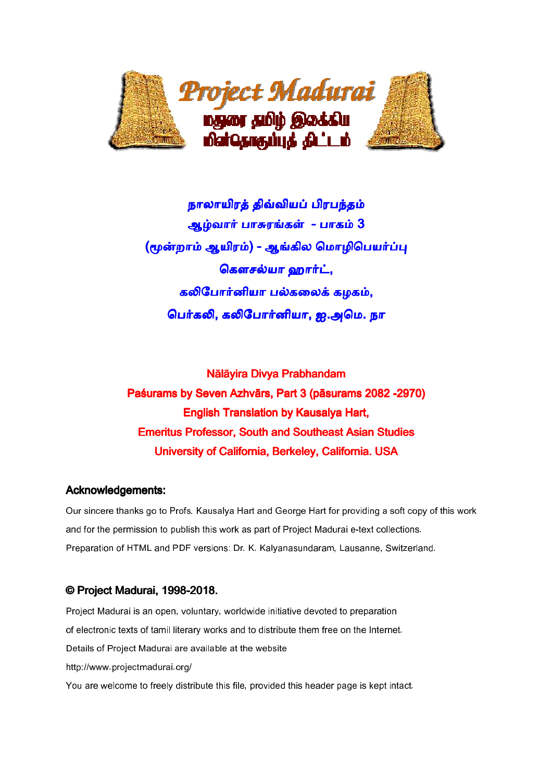

நாலாயிரத் திவ்வியப் பிரபந்தம் ஆழ்வார் பாசுரங்கள் - பாகம் 3 (மூன்றாம் ஆயிரம்) - ஆங்கில மொழிபெயர்ப்பு கௌசல்யா ஹார்ட், கலிபோர்னியா பல்கலைக் கழகம், பெர்கலி, கலிபோர்னியா, ஐ.அமெ. நா

Nālāyira Divya Prabhandam Paśurams by Seven Azhvārs, Part 3 (pāsurams 2082 -2970) **English Translation by Kausalya Hart,** Emeritus Professor, South and Southeast Asian Studies University of California, Berkeley, California. USA

### Acknowledgements:

Our sincere thanks go to Profs. Kausalya Hart and George Hart for providing a soft copy of this work and for the permission to publish this work as part of Project Madurai e-text collections. Preparation of HTML and PDF versions: Dr. K. Kalyanasundaram, Lausanne, Switzerland.

## © Project Madurai, 1998-2018.

Project Madurai is an open, voluntary, worldwide initiative devoted to preparation of electronic texts of tamil literary works and to distribute them free on the Internet. Details of Project Madurai are available at the website http://www.projectmadurai.org/ You are welcome to freely distribute this file, provided this header page is kept intact.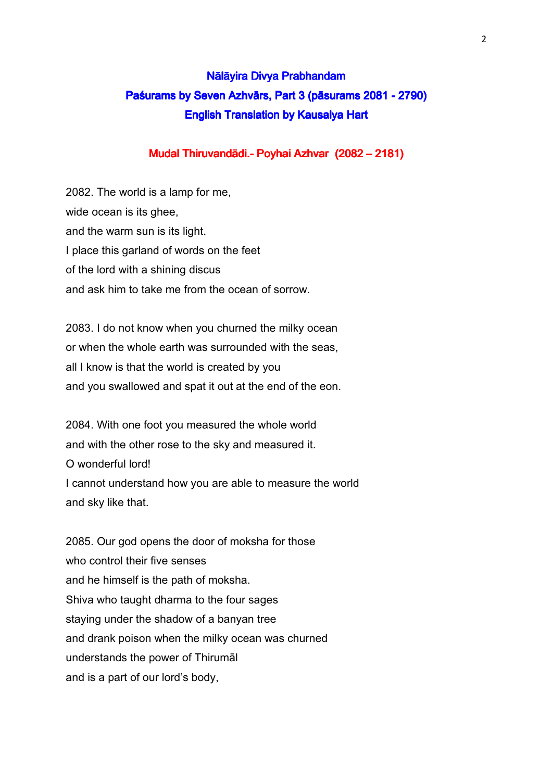# Nālāyira Divya Prabhandam Paśurams by Seven Azhvārs, Part 3 (pāsurams 2081 - 2790) English Translation by Kausalya Hart

## Mudal Thiruvandādi.- Poyhai Azhvar (2082 – 2181)

2082. The world is a lamp for me, wide ocean is its ghee, and the warm sun is its light. I place this garland of words on the feet of the lord with a shining discus and ask him to take me from the ocean of sorrow.

2083. I do not know when you churned the milky ocean or when the whole earth was surrounded with the seas, all I know is that the world is created by you and you swallowed and spat it out at the end of the eon.

2084. With one foot you measured the whole world and with the other rose to the sky and measured it. O wonderful lord! I cannot understand how you are able to measure the world and sky like that.

2085. Our god opens the door of moksha for those who control their five senses and he himself is the path of moksha. Shiva who taught dharma to the four sages staying under the shadow of a banyan tree and drank poison when the milky ocean was churned understands the power of Thirumāl and is a part of our lord's body,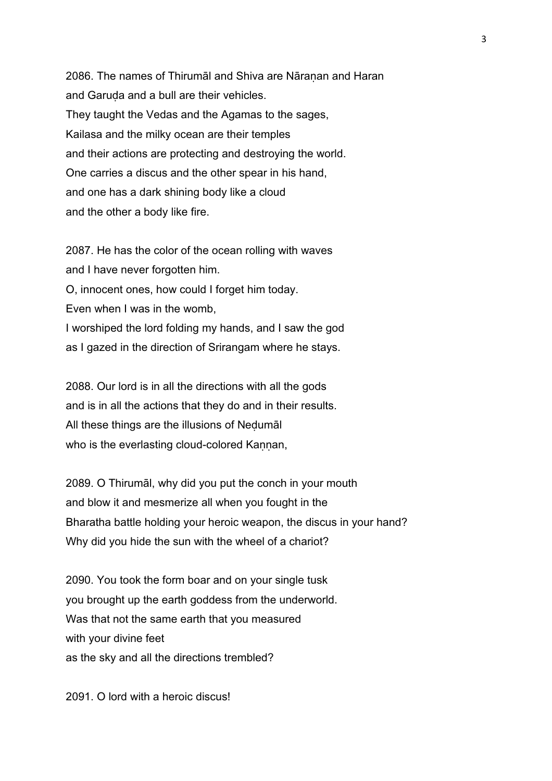2086. The names of Thirumāl and Shiva are Nāranan and Haran and Garuḍa and a bull are their vehicles. They taught the Vedas and the Agamas to the sages, Kailasa and the milky ocean are their temples and their actions are protecting and destroying the world. One carries a discus and the other spear in his hand, and one has a dark shining body like a cloud and the other a body like fire.

2087. He has the color of the ocean rolling with waves and I have never forgotten him. O, innocent ones, how could I forget him today. Even when I was in the womb, I worshiped the lord folding my hands, and I saw the god as I gazed in the direction of Srirangam where he stays.

2088. Our lord is in all the directions with all the gods and is in all the actions that they do and in their results. All these things are the illusions of Neḍumāl who is the everlasting cloud-colored Kannan,

2089. O Thirumāl, why did you put the conch in your mouth and blow it and mesmerize all when you fought in the Bharatha battle holding your heroic weapon, the discus in your hand? Why did you hide the sun with the wheel of a chariot?

2090. You took the form boar and on your single tusk you brought up the earth goddess from the underworld. Was that not the same earth that you measured with your divine feet as the sky and all the directions trembled?

2091. O lord with a heroic discus!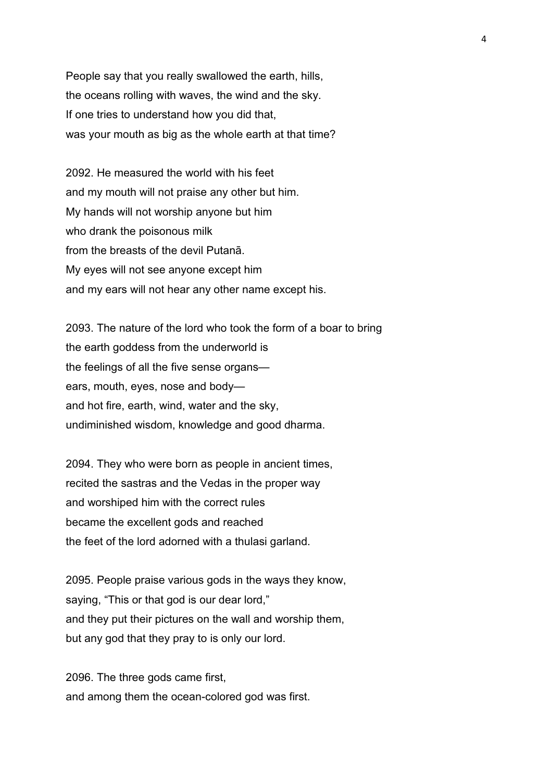People say that you really swallowed the earth, hills, the oceans rolling with waves, the wind and the sky. If one tries to understand how you did that, was your mouth as big as the whole earth at that time?

2092. He measured the world with his feet and my mouth will not praise any other but him. My hands will not worship anyone but him who drank the poisonous milk from the breasts of the devil Putanā. My eyes will not see anyone except him and my ears will not hear any other name except his.

2093. The nature of the lord who took the form of a boar to bring the earth goddess from the underworld is the feelings of all the five sense organs ears, mouth, eyes, nose and body and hot fire, earth, wind, water and the sky, undiminished wisdom, knowledge and good dharma.

2094. They who were born as people in ancient times, recited the sastras and the Vedas in the proper way and worshiped him with the correct rules became the excellent gods and reached the feet of the lord adorned with a thulasi garland.

2095. People praise various gods in the ways they know, saying, "This or that god is our dear lord," and they put their pictures on the wall and worship them, but any god that they pray to is only our lord.

2096. The three gods came first, and among them the ocean-colored god was first.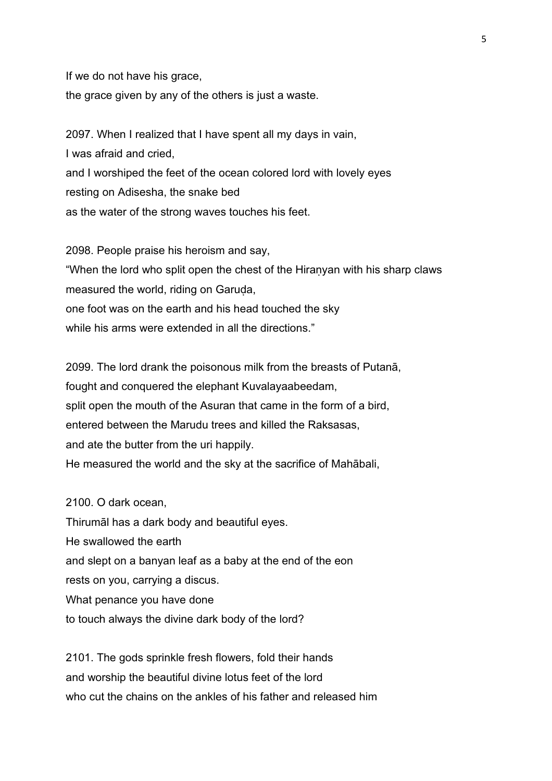If we do not have his grace, the grace given by any of the others is just a waste.

2097. When I realized that I have spent all my days in vain, I was afraid and cried, and I worshiped the feet of the ocean colored lord with lovely eyes resting on Adisesha, the snake bed as the water of the strong waves touches his feet.

2098. People praise his heroism and say, "When the lord who split open the chest of the Hiraṇyan with his sharp claws measured the world, riding on Garuda, one foot was on the earth and his head touched the sky while his arms were extended in all the directions."

2099. The lord drank the poisonous milk from the breasts of Putanā, fought and conquered the elephant Kuvalayaabeedam, split open the mouth of the Asuran that came in the form of a bird, entered between the Marudu trees and killed the Raksasas, and ate the butter from the uri happily. He measured the world and the sky at the sacrifice of Mahābali,

2100. O dark ocean, Thirumāl has a dark body and beautiful eyes. He swallowed the earth

and slept on a banyan leaf as a baby at the end of the eon

rests on you, carrying a discus.

What penance you have done

to touch always the divine dark body of the lord?

2101. The gods sprinkle fresh flowers, fold their hands and worship the beautiful divine lotus feet of the lord who cut the chains on the ankles of his father and released him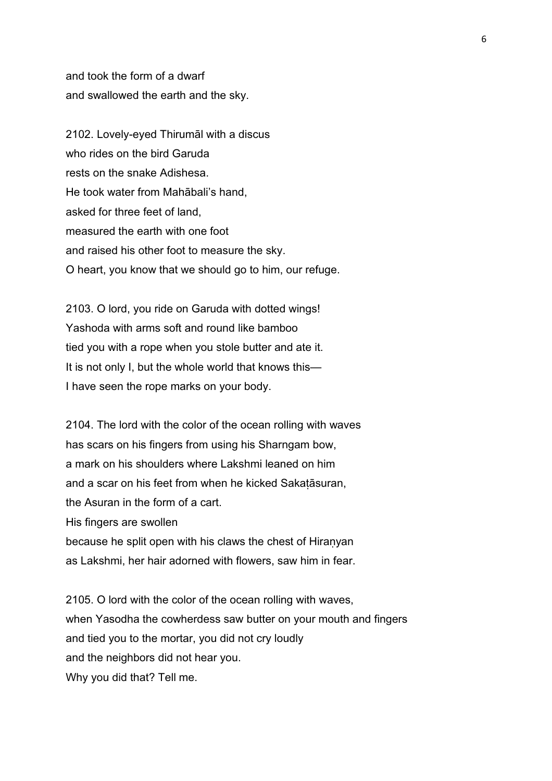and took the form of a dwarf and swallowed the earth and the sky.

2102. Lovely-eyed Thirumāl with a discus who rides on the bird Garuda rests on the snake Adishesa. He took water from Mahābali's hand, asked for three feet of land, measured the earth with one foot and raised his other foot to measure the sky. O heart, you know that we should go to him, our refuge.

2103. O lord, you ride on Garuda with dotted wings! Yashoda with arms soft and round like bamboo tied you with a rope when you stole butter and ate it. It is not only I, but the whole world that knows this— I have seen the rope marks on your body.

2104. The lord with the color of the ocean rolling with waves has scars on his fingers from using his Sharngam bow, a mark on his shoulders where Lakshmi leaned on him and a scar on his feet from when he kicked Sakaṭāsuran, the Asuran in the form of a cart. His fingers are swollen because he split open with his claws the chest of Hiraṇyan as Lakshmi, her hair adorned with flowers, saw him in fear.

2105. O lord with the color of the ocean rolling with waves, when Yasodha the cowherdess saw butter on your mouth and fingers and tied you to the mortar, you did not cry loudly and the neighbors did not hear you. Why you did that? Tell me.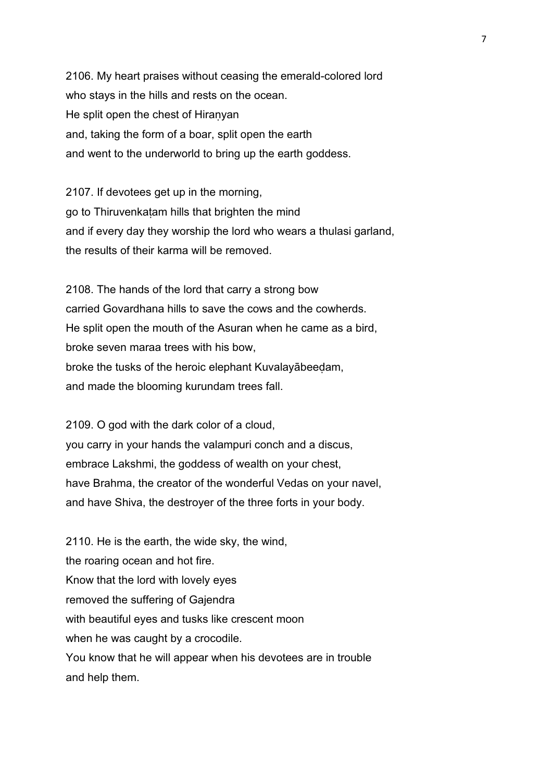2106. My heart praises without ceasing the emerald-colored lord who stays in the hills and rests on the ocean. He split open the chest of Hiraṇyan and, taking the form of a boar, split open the earth and went to the underworld to bring up the earth goddess.

2107. If devotees get up in the morning, go to Thiruvenkaṭam hills that brighten the mind and if every day they worship the lord who wears a thulasi garland, the results of their karma will be removed.

2108. The hands of the lord that carry a strong bow carried Govardhana hills to save the cows and the cowherds. He split open the mouth of the Asuran when he came as a bird, broke seven maraa trees with his bow, broke the tusks of the heroic elephant Kuvalayābeeḍam, and made the blooming kurundam trees fall.

2109. O god with the dark color of a cloud, you carry in your hands the valampuri conch and a discus, embrace Lakshmi, the goddess of wealth on your chest, have Brahma, the creator of the wonderful Vedas on your navel, and have Shiva, the destroyer of the three forts in your body.

2110. He is the earth, the wide sky, the wind, the roaring ocean and hot fire. Know that the lord with lovely eyes removed the suffering of Gajendra with beautiful eyes and tusks like crescent moon when he was caught by a crocodile. You know that he will appear when his devotees are in trouble and help them.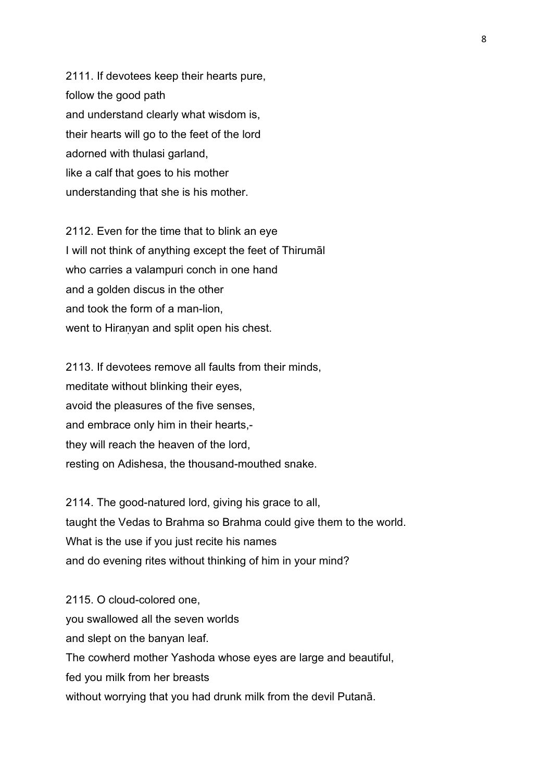2111. If devotees keep their hearts pure, follow the good path and understand clearly what wisdom is, their hearts will go to the feet of the lord adorned with thulasi garland, like a calf that goes to his mother understanding that she is his mother.

2112. Even for the time that to blink an eye I will not think of anything except the feet of Thirumāl who carries a valampuri conch in one hand and a golden discus in the other and took the form of a man-lion, went to Hiranyan and split open his chest.

2113. If devotees remove all faults from their minds, meditate without blinking their eyes, avoid the pleasures of the five senses, and embrace only him in their hearts, they will reach the heaven of the lord, resting on Adishesa, the thousand-mouthed snake.

2114. The good-natured lord, giving his grace to all, taught the Vedas to Brahma so Brahma could give them to the world. What is the use if you just recite his names and do evening rites without thinking of him in your mind?

2115. O cloud-colored one, you swallowed all the seven worlds and slept on the banyan leaf. The cowherd mother Yashoda whose eyes are large and beautiful, fed you milk from her breasts without worrying that you had drunk milk from the devil Putanā.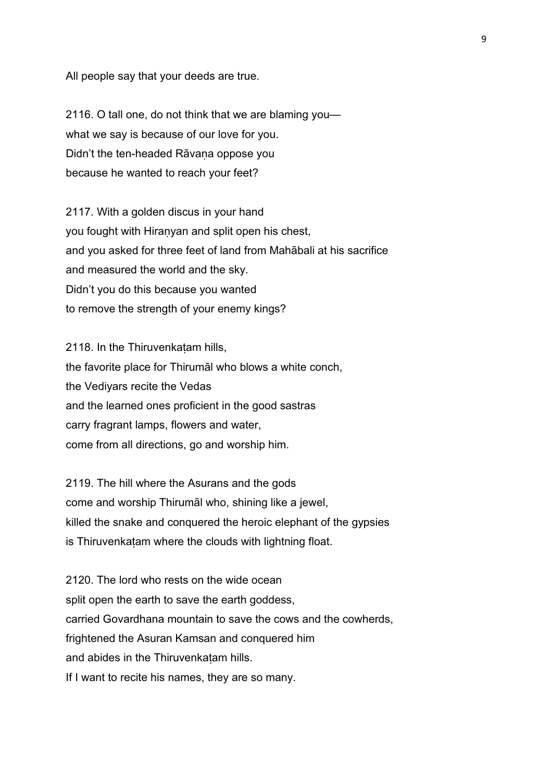All people say that your deeds are true.

2116. O tall one, do not think that we are blaming you what we say is because of our love for you. Didn't the ten-headed Rāvana oppose you because he wanted to reach your feet?

2117. With a golden discus in your hand you fought with Hiraṇyan and split open his chest, and you asked for three feet of land from Mahābali at his sacrifice and measured the world and the sky. Didn't you do this because you wanted to remove the strength of your enemy kings?

2118. In the Thiruvenkatam hills, the favorite place for Thirumāl who blows a white conch, the Vediyars recite the Vedas and the learned ones proficient in the good sastras carry fragrant lamps, flowers and water, come from all directions, go and worship him.

2119. The hill where the Asurans and the gods come and worship Thirumāl who, shining like a jewel, killed the snake and conquered the heroic elephant of the gypsies is Thiruvenkatam where the clouds with lightning float.

2120. The lord who rests on the wide ocean split open the earth to save the earth goddess, carried Govardhana mountain to save the cows and the cowherds, frightened the Asuran Kamsan and conquered him and abides in the Thiruvenkatam hills. If I want to recite his names, they are so many.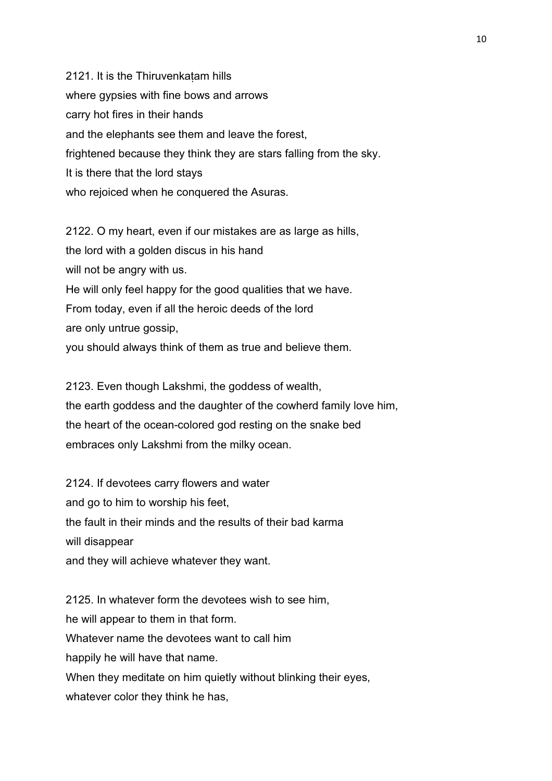2121. It is the Thiruvenkatam hills where gypsies with fine bows and arrows carry hot fires in their hands and the elephants see them and leave the forest, frightened because they think they are stars falling from the sky. It is there that the lord stays who rejoiced when he conquered the Asuras.

2122. O my heart, even if our mistakes are as large as hills, the lord with a golden discus in his hand will not be angry with us. He will only feel happy for the good qualities that we have. From today, even if all the heroic deeds of the lord are only untrue gossip,

you should always think of them as true and believe them.

2123. Even though Lakshmi, the goddess of wealth, the earth goddess and the daughter of the cowherd family love him, the heart of the ocean-colored god resting on the snake bed embraces only Lakshmi from the milky ocean.

2124. If devotees carry flowers and water and go to him to worship his feet, the fault in their minds and the results of their bad karma will disappear and they will achieve whatever they want.

2125. In whatever form the devotees wish to see him, he will appear to them in that form. Whatever name the devotees want to call him happily he will have that name. When they meditate on him quietly without blinking their eyes, whatever color they think he has,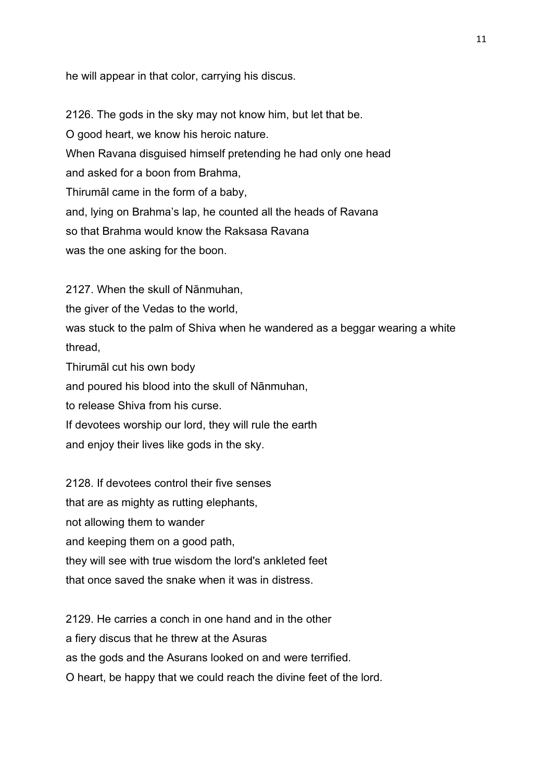he will appear in that color, carrying his discus.

2126. The gods in the sky may not know him, but let that be. O good heart, we know his heroic nature. When Ravana disguised himself pretending he had only one head and asked for a boon from Brahma, Thirumāl came in the form of a baby, and, lying on Brahma's lap, he counted all the heads of Ravana so that Brahma would know the Raksasa Ravana was the one asking for the boon.

2127. When the skull of Nānmuhan,

the giver of the Vedas to the world,

was stuck to the palm of Shiva when he wandered as a beggar wearing a white thread,

Thirumāl cut his own body

and poured his blood into the skull of Nānmuhan,

to release Shiva from his curse.

If devotees worship our lord, they will rule the earth

and enjoy their lives like gods in the sky.

2128. If devotees control their five senses that are as mighty as rutting elephants, not allowing them to wander and keeping them on a good path, they will see with true wisdom the lord's ankleted feet that once saved the snake when it was in distress.

2129. He carries a conch in one hand and in the other a fiery discus that he threw at the Asuras as the gods and the Asurans looked on and were terrified. O heart, be happy that we could reach the divine feet of the lord.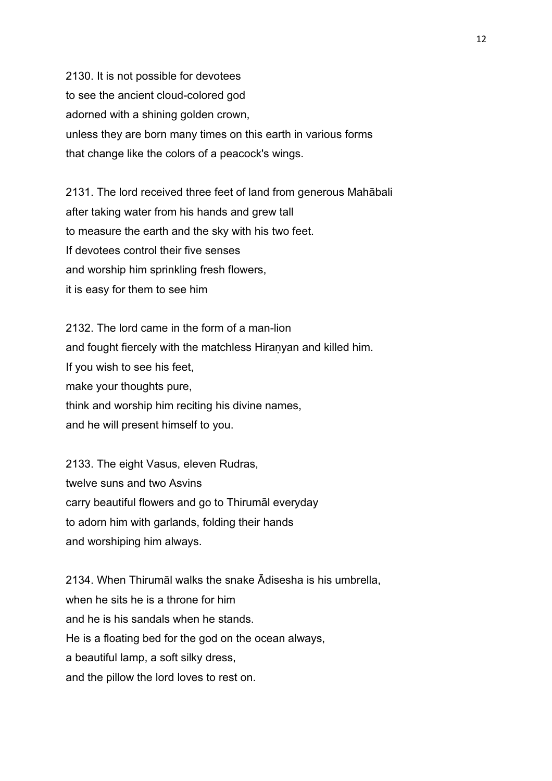2130. It is not possible for devotees to see the ancient cloud-colored god adorned with a shining golden crown, unless they are born many times on this earth in various forms that change like the colors of a peacock's wings.

2131. The lord received three feet of land from generous Mahābali after taking water from his hands and grew tall to measure the earth and the sky with his two feet. If devotees control their five senses and worship him sprinkling fresh flowers, it is easy for them to see him

2132. The lord came in the form of a man-lion and fought fiercely with the matchless Hiraṇyan and killed him. If you wish to see his feet, make your thoughts pure, think and worship him reciting his divine names, and he will present himself to you.

2133. The eight Vasus, eleven Rudras, twelve suns and two Asvins carry beautiful flowers and go to Thirumāl everyday to adorn him with garlands, folding their hands and worshiping him always.

2134. When Thirumāl walks the snake Ādisesha is his umbrella, when he sits he is a throne for him and he is his sandals when he stands. He is a floating bed for the god on the ocean always, a beautiful lamp, a soft silky dress, and the pillow the lord loves to rest on.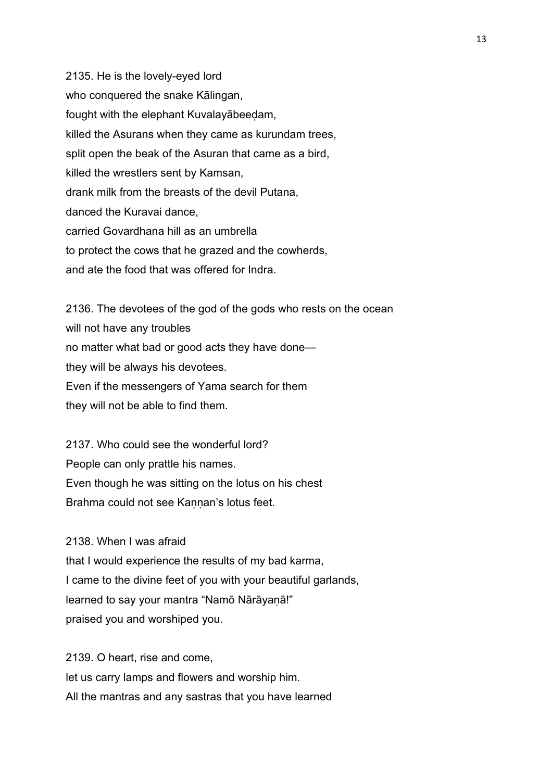2135. He is the lovely-eyed lord who conquered the snake Kālingan, fought with the elephant Kuvalayābeeḍam, killed the Asurans when they came as kurundam trees, split open the beak of the Asuran that came as a bird, killed the wrestlers sent by Kamsan, drank milk from the breasts of the devil Putana, danced the Kuravai dance, carried Govardhana hill as an umbrella to protect the cows that he grazed and the cowherds, and ate the food that was offered for Indra.

2136. The devotees of the god of the gods who rests on the ocean will not have any troubles no matter what bad or good acts they have done they will be always his devotees. Even if the messengers of Yama search for them they will not be able to find them.

2137. Who could see the wonderful lord? People can only prattle his names. Even though he was sitting on the lotus on his chest Brahma could not see Kannan's lotus feet.

2138. When I was afraid

that I would experience the results of my bad karma, I came to the divine feet of you with your beautiful garlands, learned to say your mantra "Namō Nārāyaṇā!" praised you and worshiped you.

2139. O heart, rise and come, let us carry lamps and flowers and worship him. All the mantras and any sastras that you have learned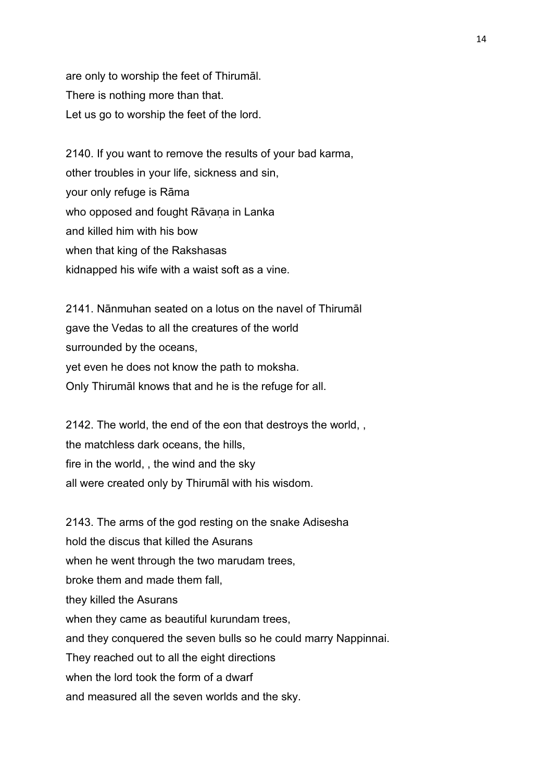are only to worship the feet of Thirumāl. There is nothing more than that. Let us go to worship the feet of the lord.

2140. If you want to remove the results of your bad karma, other troubles in your life, sickness and sin, your only refuge is Rāma who opposed and fought Rāvaṇa in Lanka and killed him with his bow when that king of the Rakshasas kidnapped his wife with a waist soft as a vine.

2141. Nānmuhan seated on a lotus on the navel of Thirumāl gave the Vedas to all the creatures of the world surrounded by the oceans, yet even he does not know the path to moksha. Only Thirumāl knows that and he is the refuge for all.

2142. The world, the end of the eon that destroys the world, , the matchless dark oceans, the hills, fire in the world, , the wind and the sky all were created only by Thirumāl with his wisdom.

2143. The arms of the god resting on the snake Adisesha hold the discus that killed the Asurans when he went through the two marudam trees, broke them and made them fall, they killed the Asurans when they came as beautiful kurundam trees, and they conquered the seven bulls so he could marry Nappinnai. They reached out to all the eight directions when the lord took the form of a dwarf and measured all the seven worlds and the sky.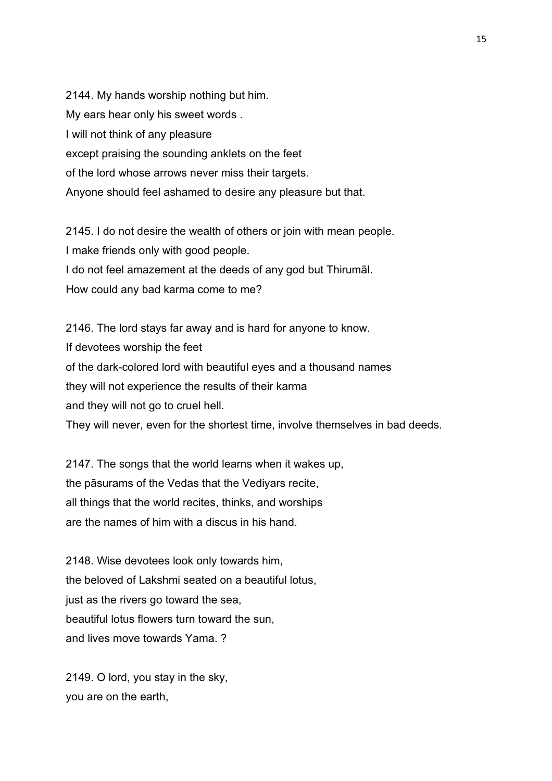2144. My hands worship nothing but him. My ears hear only his sweet words . I will not think of any pleasure except praising the sounding anklets on the feet of the lord whose arrows never miss their targets. Anyone should feel ashamed to desire any pleasure but that.

2145. I do not desire the wealth of others or join with mean people. I make friends only with good people. I do not feel amazement at the deeds of any god but Thirumāl. How could any bad karma come to me?

2146. The lord stays far away and is hard for anyone to know. If devotees worship the feet of the dark-colored lord with beautiful eyes and a thousand names they will not experience the results of their karma and they will not go to cruel hell. They will never, even for the shortest time, involve themselves in bad deeds.

2147. The songs that the world learns when it wakes up, the pāsurams of the Vedas that the Vediyars recite, all things that the world recites, thinks, and worships are the names of him with a discus in his hand.

2148. Wise devotees look only towards him, the beloved of Lakshmi seated on a beautiful lotus, just as the rivers go toward the sea, beautiful lotus flowers turn toward the sun, and lives move towards Yama. ?

2149. O lord, you stay in the sky, you are on the earth,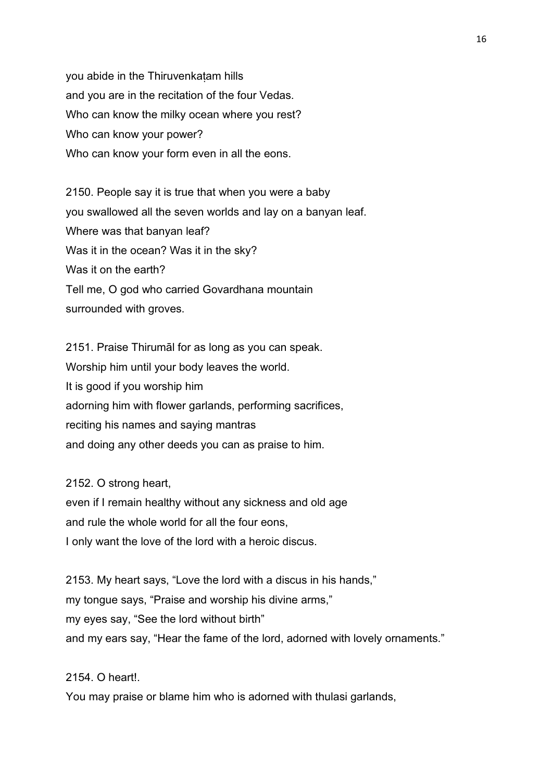you abide in the Thiruvenkaṭam hills and you are in the recitation of the four Vedas. Who can know the milky ocean where you rest? Who can know your power? Who can know your form even in all the eons.

2150. People say it is true that when you were a baby you swallowed all the seven worlds and lay on a banyan leaf. Where was that banyan leaf? Was it in the ocean? Was it in the sky? Was it on the earth? Tell me, O god who carried Govardhana mountain surrounded with groves.

2151. Praise Thirumāl for as long as you can speak. Worship him until your body leaves the world. It is good if you worship him adorning him with flower garlands, performing sacrifices, reciting his names and saying mantras and doing any other deeds you can as praise to him.

2152. O strong heart,

even if I remain healthy without any sickness and old age and rule the whole world for all the four eons, I only want the love of the lord with a heroic discus.

2153. My heart says, "Love the lord with a discus in his hands," my tongue says, "Praise and worship his divine arms," my eyes say, "See the lord without birth" and my ears say, "Hear the fame of the lord, adorned with lovely ornaments."

2154 O heart!

You may praise or blame him who is adorned with thulasi garlands,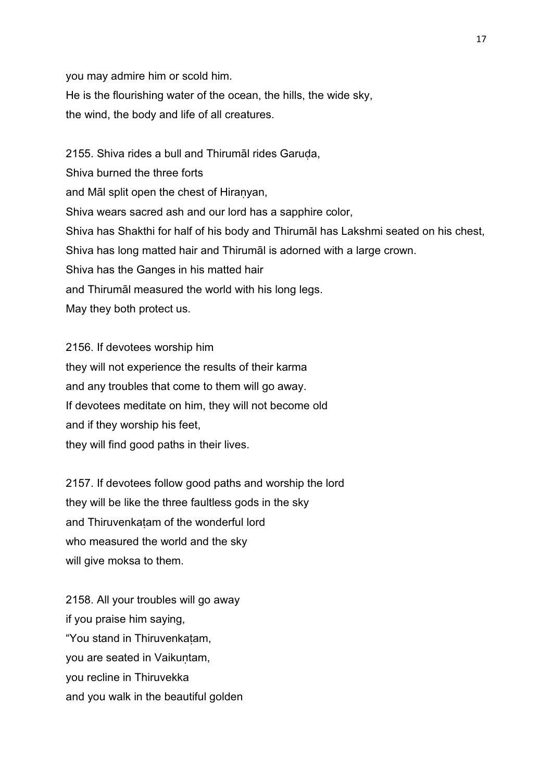you may admire him or scold him. He is the flourishing water of the ocean, the hills, the wide sky, the wind, the body and life of all creatures.

2155. Shiva rides a bull and Thirumāl rides Garuda, Shiva burned the three forts and Māl split open the chest of Hiraṇyan, Shiva wears sacred ash and our lord has a sapphire color, Shiva has Shakthi for half of his body and Thirumāl has Lakshmi seated on his chest, Shiva has long matted hair and Thirumāl is adorned with a large crown. Shiva has the Ganges in his matted hair and Thirumāl measured the world with his long legs. May they both protect us.

2156. If devotees worship him they will not experience the results of their karma and any troubles that come to them will go away. If devotees meditate on him, they will not become old and if they worship his feet, they will find good paths in their lives.

2157. If devotees follow good paths and worship the lord they will be like the three faultless gods in the sky and Thiruvenkaṭam of the wonderful lord who measured the world and the sky will give moksa to them.

2158. All your troubles will go away if you praise him saying, "You stand in Thiruvenkaṭam, you are seated in Vaikuntam, you recline in Thiruvekka and you walk in the beautiful golden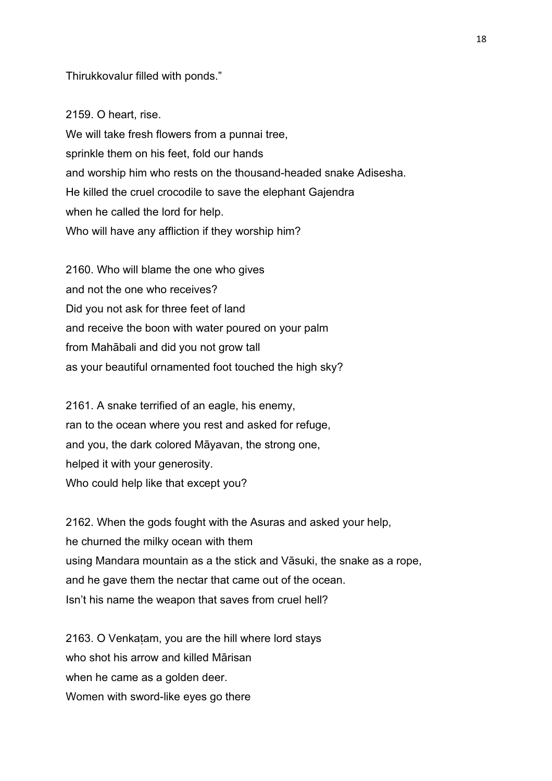### Thirukkovalur filled with ponds."

2159. O heart, rise. We will take fresh flowers from a punnai tree, sprinkle them on his feet, fold our hands and worship him who rests on the thousand-headed snake Adisesha. He killed the cruel crocodile to save the elephant Gajendra when he called the lord for help. Who will have any affliction if they worship him?

2160. Who will blame the one who gives and not the one who receives? Did you not ask for three feet of land and receive the boon with water poured on your palm from Mahābali and did you not grow tall as your beautiful ornamented foot touched the high sky?

2161. A snake terrified of an eagle, his enemy, ran to the ocean where you rest and asked for refuge, and you, the dark colored Māyavan, the strong one, helped it with your generosity. Who could help like that except you?

2162. When the gods fought with the Asuras and asked your help, he churned the milky ocean with them using Mandara mountain as a the stick and Vāsuki, the snake as a rope, and he gave them the nectar that came out of the ocean. Isn't his name the weapon that saves from cruel hell?

2163. O Venkaṭam, you are the hill where lord stays who shot his arrow and killed Mārisan when he came as a golden deer. Women with sword-like eyes go there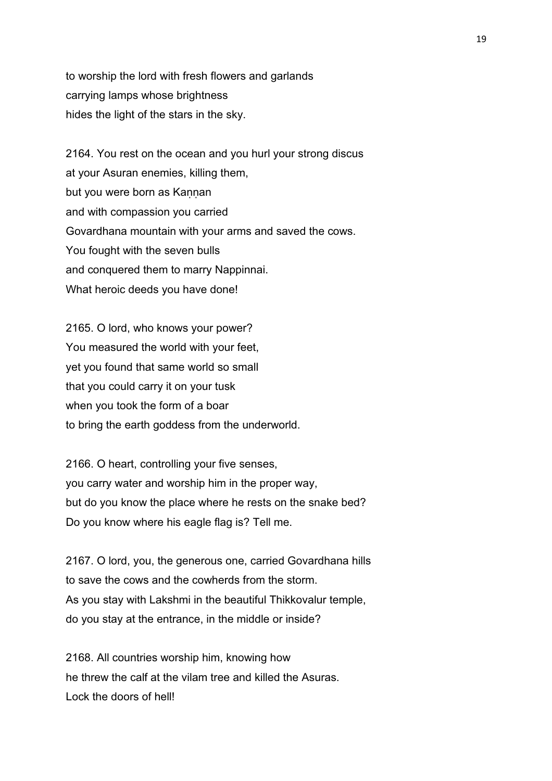to worship the lord with fresh flowers and garlands carrying lamps whose brightness hides the light of the stars in the sky.

2164. You rest on the ocean and you hurl your strong discus at your Asuran enemies, killing them, but you were born as Kaṇṇan and with compassion you carried Govardhana mountain with your arms and saved the cows. You fought with the seven bulls and conquered them to marry Nappinnai. What heroic deeds you have done!

2165. O lord, who knows your power? You measured the world with your feet, yet you found that same world so small that you could carry it on your tusk when you took the form of a boar to bring the earth goddess from the underworld.

2166. O heart, controlling your five senses, you carry water and worship him in the proper way, but do you know the place where he rests on the snake bed? Do you know where his eagle flag is? Tell me.

2167. O lord, you, the generous one, carried Govardhana hills to save the cows and the cowherds from the storm. As you stay with Lakshmi in the beautiful Thikkovalur temple, do you stay at the entrance, in the middle or inside?

2168. All countries worship him, knowing how he threw the calf at the vilam tree and killed the Asuras. Lock the doors of hell!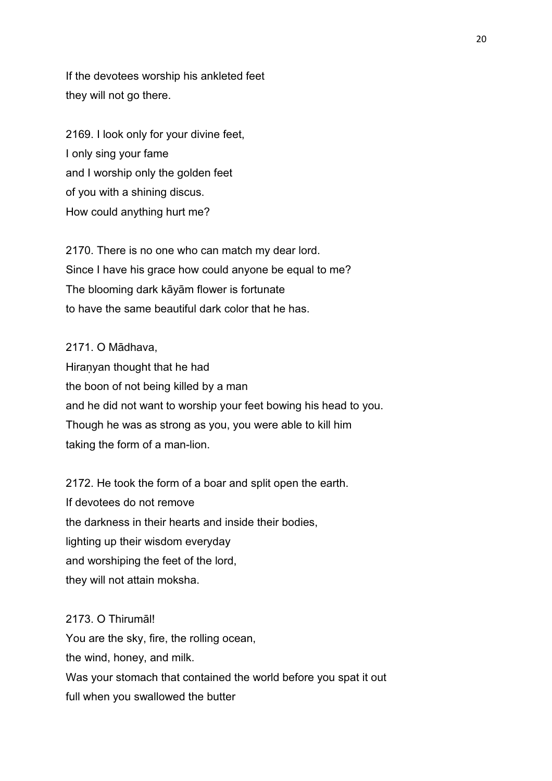If the devotees worship his ankleted feet they will not go there.

2169. I look only for your divine feet, I only sing your fame and I worship only the golden feet of you with a shining discus. How could anything hurt me?

2170. There is no one who can match my dear lord. Since I have his grace how could anyone be equal to me? The blooming dark kāyām flower is fortunate to have the same beautiful dark color that he has.

2171. O Mādhava, Hiraṇyan thought that he had the boon of not being killed by a man and he did not want to worship your feet bowing his head to you. Though he was as strong as you, you were able to kill him taking the form of a man-lion.

2172. He took the form of a boar and split open the earth. If devotees do not remove the darkness in their hearts and inside their bodies, lighting up their wisdom everyday and worshiping the feet of the lord, they will not attain moksha.

2173. O Thirumāl! You are the sky, fire, the rolling ocean, the wind, honey, and milk. Was your stomach that contained the world before you spat it out full when you swallowed the butter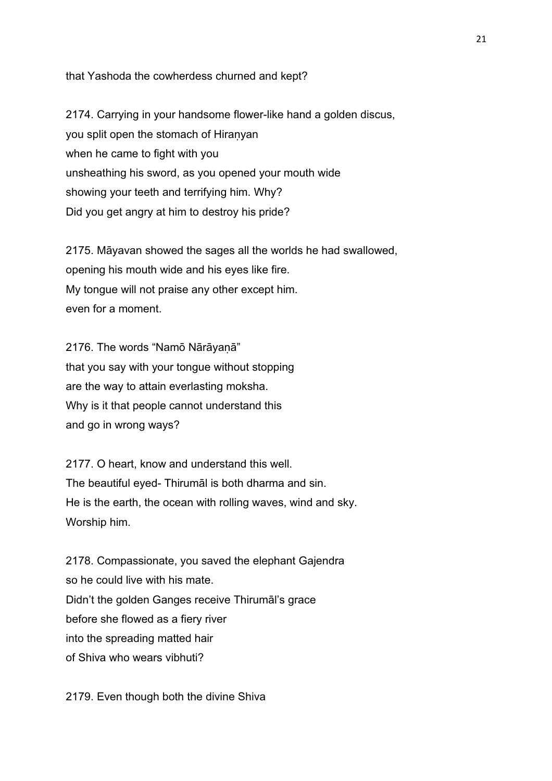that Yashoda the cowherdess churned and kept?

2174. Carrying in your handsome flower-like hand a golden discus, you split open the stomach of Hiranyan when he came to fight with you unsheathing his sword, as you opened your mouth wide showing your teeth and terrifying him. Why? Did you get angry at him to destroy his pride?

2175. Māyavan showed the sages all the worlds he had swallowed, opening his mouth wide and his eyes like fire. My tongue will not praise any other except him. even for a moment.

2176. The words "Namō Nārāyaṇā" that you say with your tongue without stopping are the way to attain everlasting moksha. Why is it that people cannot understand this and go in wrong ways?

2177. O heart, know and understand this well. The beautiful eyed- Thirumāl is both dharma and sin. He is the earth, the ocean with rolling waves, wind and sky. Worship him.

2178. Compassionate, you saved the elephant Gajendra so he could live with his mate. Didn't the golden Ganges receive Thirumāl's grace before she flowed as a fiery river into the spreading matted hair of Shiva who wears vibhuti?

2179. Even though both the divine Shiva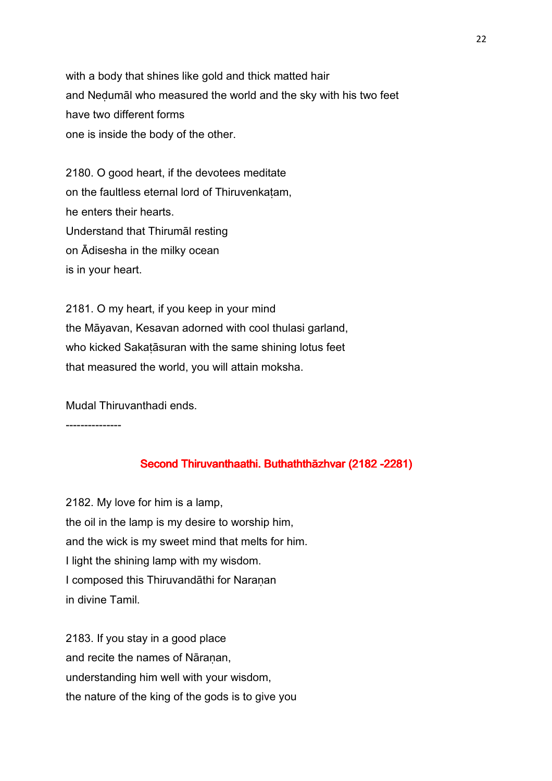with a body that shines like gold and thick matted hair and Neḍumāl who measured the world and the sky with his two feet have two different forms one is inside the body of the other.

2180. O good heart, if the devotees meditate on the faultless eternal lord of Thiruvenkaṭam, he enters their hearts. Understand that Thirumāl resting on Ādisesha in the milky ocean is in your heart.

2181. O my heart, if you keep in your mind the Māyavan, Kesavan adorned with cool thulasi garland, who kicked Sakatāsuran with the same shining lotus feet that measured the world, you will attain moksha.

Mudal Thiruvanthadi ends.

---------------

## Second Thiruvanthaathi. Buthaththāzhvar (2182 -2281)

2182. My love for him is a lamp, the oil in the lamp is my desire to worship him, and the wick is my sweet mind that melts for him. I light the shining lamp with my wisdom. I composed this Thiruvandāthi for Naranan in divine Tamil.

2183. If you stay in a good place and recite the names of Nāranan, understanding him well with your wisdom, the nature of the king of the gods is to give you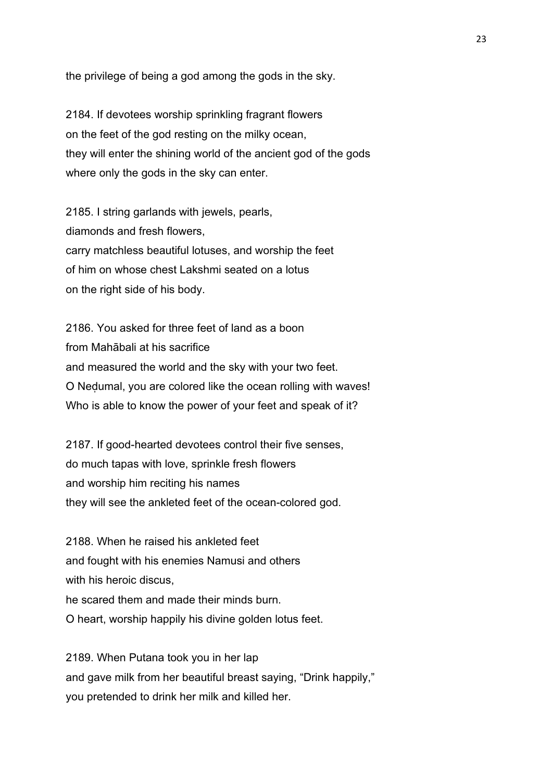the privilege of being a god among the gods in the sky.

2184. If devotees worship sprinkling fragrant flowers on the feet of the god resting on the milky ocean, they will enter the shining world of the ancient god of the gods where only the gods in the sky can enter.

2185. I string garlands with jewels, pearls, diamonds and fresh flowers, carry matchless beautiful lotuses, and worship the feet of him on whose chest Lakshmi seated on a lotus on the right side of his body.

2186. You asked for three feet of land as a boon from Mahābali at his sacrifice and measured the world and the sky with your two feet. O Neḍumal, you are colored like the ocean rolling with waves! Who is able to know the power of your feet and speak of it?

2187. If good-hearted devotees control their five senses, do much tapas with love, sprinkle fresh flowers and worship him reciting his names they will see the ankleted feet of the ocean-colored god.

2188. When he raised his ankleted feet and fought with his enemies Namusi and others with his heroic discus, he scared them and made their minds burn. O heart, worship happily his divine golden lotus feet.

2189. When Putana took you in her lap and gave milk from her beautiful breast saying, "Drink happily," you pretended to drink her milk and killed her.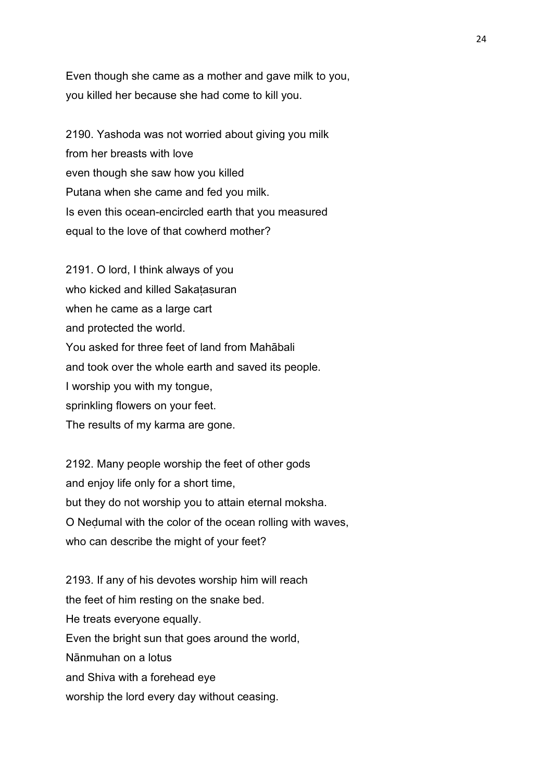Even though she came as a mother and gave milk to you, you killed her because she had come to kill you.

2190. Yashoda was not worried about giving you milk from her breasts with love even though she saw how you killed Putana when she came and fed you milk. Is even this ocean-encircled earth that you measured equal to the love of that cowherd mother?

2191. O lord, I think always of you who kicked and killed Sakatasuran when he came as a large cart and protected the world. You asked for three feet of land from Mahābali and took over the whole earth and saved its people. I worship you with my tongue, sprinkling flowers on your feet. The results of my karma are gone.

2192. Many people worship the feet of other gods and enjoy life only for a short time, but they do not worship you to attain eternal moksha. O Neḍumal with the color of the ocean rolling with waves, who can describe the might of your feet?

2193. If any of his devotes worship him will reach the feet of him resting on the snake bed. He treats everyone equally. Even the bright sun that goes around the world, Nānmuhan on a lotus and Shiva with a forehead eye worship the lord every day without ceasing.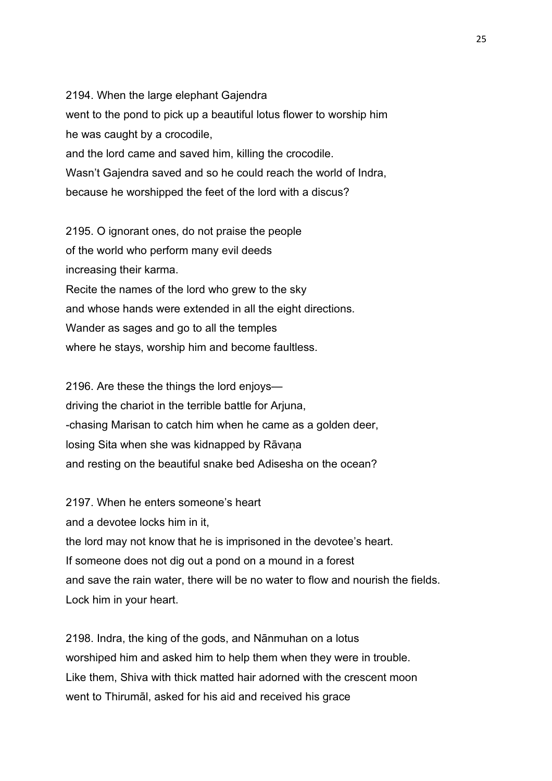2194. When the large elephant Gajendra went to the pond to pick up a beautiful lotus flower to worship him he was caught by a crocodile, and the lord came and saved him, killing the crocodile. Wasn't Gajendra saved and so he could reach the world of Indra, because he worshipped the feet of the lord with a discus?

2195. O ignorant ones, do not praise the people of the world who perform many evil deeds increasing their karma. Recite the names of the lord who grew to the sky and whose hands were extended in all the eight directions. Wander as sages and go to all the temples where he stays, worship him and become faultless.

2196. Are these the things the lord enjoys driving the chariot in the terrible battle for Arjuna, -chasing Marisan to catch him when he came as a golden deer, losing Sita when she was kidnapped by Rāvaṇa and resting on the beautiful snake bed Adisesha on the ocean?

2197. When he enters someone's heart and a devotee locks him in it, the lord may not know that he is imprisoned in the devotee's heart. If someone does not dig out a pond on a mound in a forest and save the rain water, there will be no water to flow and nourish the fields. Lock him in your heart.

2198. Indra, the king of the gods, and Nānmuhan on a lotus worshiped him and asked him to help them when they were in trouble. Like them, Shiva with thick matted hair adorned with the crescent moon went to Thirumāl, asked for his aid and received his grace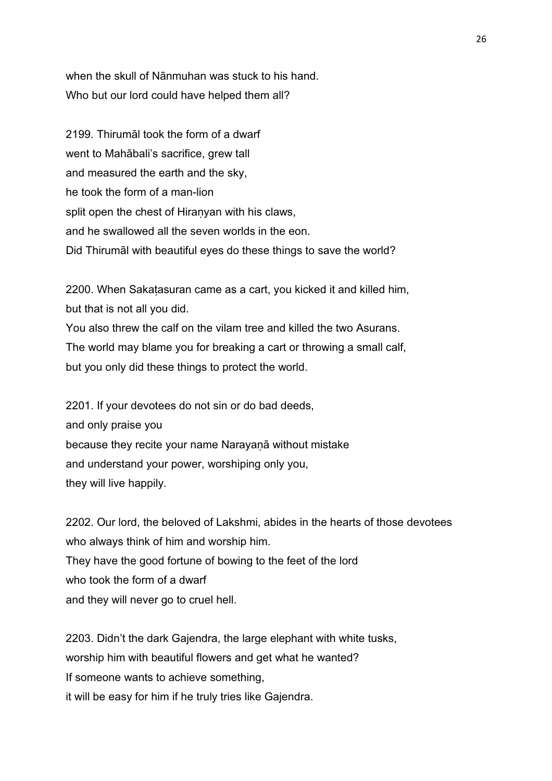when the skull of Nānmuhan was stuck to his hand. Who but our lord could have helped them all?

2199. Thirumāl took the form of a dwarf went to Mahābali's sacrifice, grew tall and measured the earth and the sky, he took the form of a man-lion split open the chest of Hiraṇyan with his claws, and he swallowed all the seven worlds in the eon. Did Thirumāl with beautiful eyes do these things to save the world?

2200. When Sakaṭasuran came as a cart, you kicked it and killed him, but that is not all you did. You also threw the calf on the vilam tree and killed the two Asurans. The world may blame you for breaking a cart or throwing a small calf, but you only did these things to protect the world.

2201. If your devotees do not sin or do bad deeds, and only praise you because they recite your name Narayaṇā without mistake and understand your power, worshiping only you, they will live happily.

2202. Our lord, the beloved of Lakshmi, abides in the hearts of those devotees who always think of him and worship him. They have the good fortune of bowing to the feet of the lord who took the form of a dwarf and they will never go to cruel hell.

2203. Didn't the dark Gajendra, the large elephant with white tusks, worship him with beautiful flowers and get what he wanted? If someone wants to achieve something, it will be easy for him if he truly tries like Gajendra.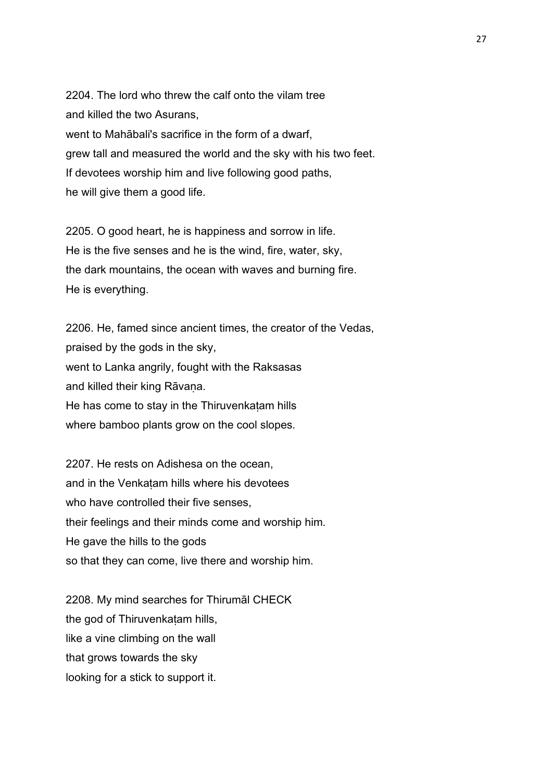2204. The lord who threw the calf onto the vilam tree and killed the two Asurans, went to Mahābali's sacrifice in the form of a dwarf, grew tall and measured the world and the sky with his two feet. If devotees worship him and live following good paths, he will give them a good life.

2205. O good heart, he is happiness and sorrow in life. He is the five senses and he is the wind, fire, water, sky, the dark mountains, the ocean with waves and burning fire. He is everything.

2206. He, famed since ancient times, the creator of the Vedas, praised by the gods in the sky, went to Lanka angrily, fought with the Raksasas and killed their king Rāvana. He has come to stay in the Thiruvenkaṭam hills where bamboo plants grow on the cool slopes.

2207. He rests on Adishesa on the ocean, and in the Venkaṭam hills where his devotees who have controlled their five senses. their feelings and their minds come and worship him. He gave the hills to the gods so that they can come, live there and worship him.

2208. My mind searches for Thirumāl CHECK the god of Thiruvenkatam hills, like a vine climbing on the wall that grows towards the sky looking for a stick to support it.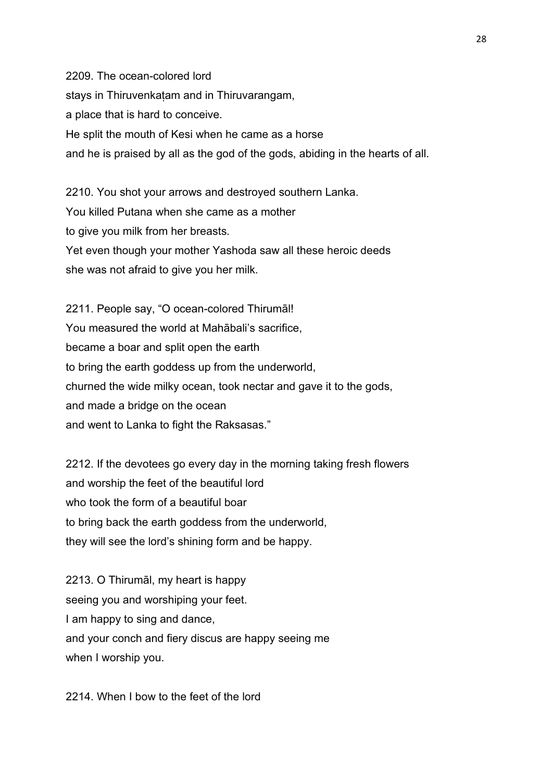2209. The ocean-colored lord stays in Thiruvenkaṭam and in Thiruvarangam, a place that is hard to conceive. He split the mouth of Kesi when he came as a horse and he is praised by all as the god of the gods, abiding in the hearts of all.

2210. You shot your arrows and destroyed southern Lanka. You killed Putana when she came as a mother to give you milk from her breasts. Yet even though your mother Yashoda saw all these heroic deeds she was not afraid to give you her milk.

2211. People say, "O ocean-colored Thirumāl! You measured the world at Mahābali's sacrifice, became a boar and split open the earth to bring the earth goddess up from the underworld, churned the wide milky ocean, took nectar and gave it to the gods, and made a bridge on the ocean and went to Lanka to fight the Raksasas."

2212. If the devotees go every day in the morning taking fresh flowers and worship the feet of the beautiful lord who took the form of a beautiful boar to bring back the earth goddess from the underworld, they will see the lord's shining form and be happy.

2213. O Thirumāl, my heart is happy seeing you and worshiping your feet. I am happy to sing and dance, and your conch and fiery discus are happy seeing me when I worship you.

2214. When I bow to the feet of the lord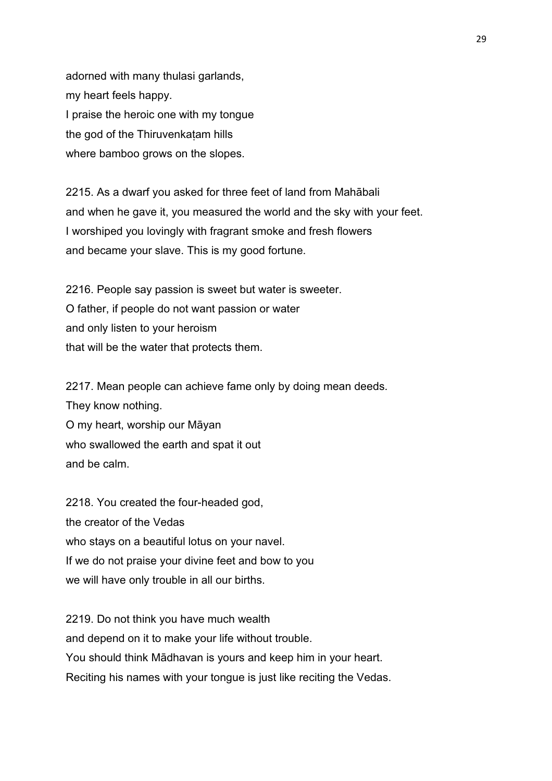adorned with many thulasi garlands, my heart feels happy. I praise the heroic one with my tongue the god of the Thiruvenkatam hills where bamboo grows on the slopes.

2215. As a dwarf you asked for three feet of land from Mahābali and when he gave it, you measured the world and the sky with your feet. I worshiped you lovingly with fragrant smoke and fresh flowers and became your slave. This is my good fortune.

2216. People say passion is sweet but water is sweeter. O father, if people do not want passion or water and only listen to your heroism that will be the water that protects them.

2217. Mean people can achieve fame only by doing mean deeds. They know nothing. O my heart, worship our Māyan who swallowed the earth and spat it out and be calm.

2218. You created the four-headed god, the creator of the Vedas who stays on a beautiful lotus on your navel. If we do not praise your divine feet and bow to you we will have only trouble in all our births.

2219. Do not think you have much wealth and depend on it to make your life without trouble. You should think Mādhavan is yours and keep him in your heart. Reciting his names with your tongue is just like reciting the Vedas.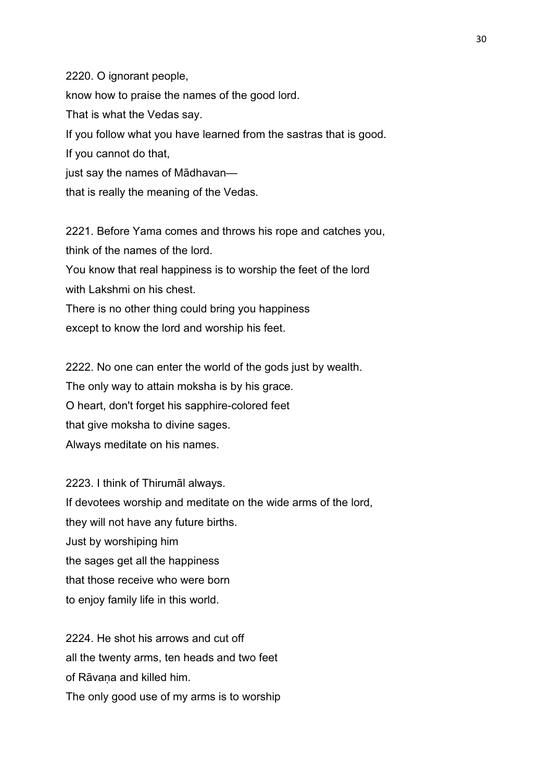2220. O ignorant people, know how to praise the names of the good lord. That is what the Vedas say. If you follow what you have learned from the sastras that is good. If you cannot do that, just say the names of Mādhavan that is really the meaning of the Vedas.

2221. Before Yama comes and throws his rope and catches you, think of the names of the lord.

You know that real happiness is to worship the feet of the lord with Lakshmi on his chest.

There is no other thing could bring you happiness except to know the lord and worship his feet.

2222. No one can enter the world of the gods just by wealth. The only way to attain moksha is by his grace. O heart, don't forget his sapphire-colored feet that give moksha to divine sages. Always meditate on his names.

2223. I think of Thirumāl always. If devotees worship and meditate on the wide arms of the lord, they will not have any future births. Just by worshiping him the sages get all the happiness that those receive who were born to enjoy family life in this world.

2224. He shot his arrows and cut off all the twenty arms, ten heads and two feet of Rāvaṇa and killed him. The only good use of my arms is to worship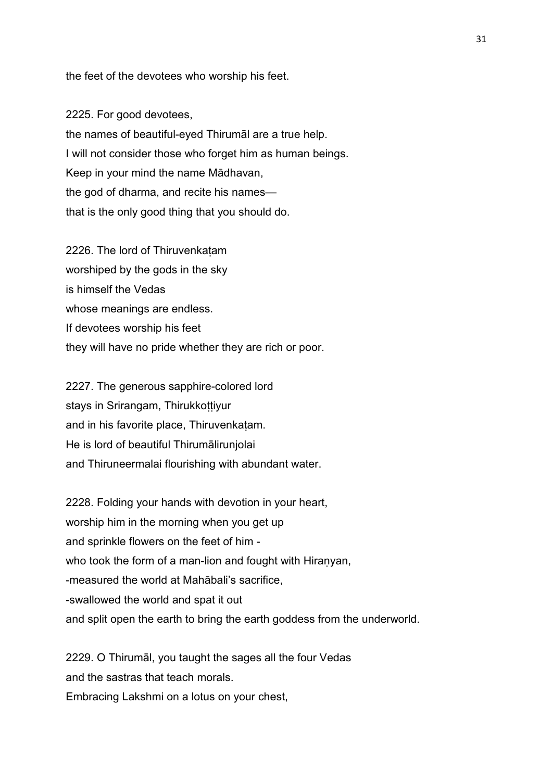the feet of the devotees who worship his feet.

2225. For good devotees, the names of beautiful-eyed Thirumāl are a true help. I will not consider those who forget him as human beings. Keep in your mind the name Mādhavan, the god of dharma, and recite his names that is the only good thing that you should do.

2226. The lord of Thiruvenkatam worshiped by the gods in the sky is himself the Vedas whose meanings are endless. If devotees worship his feet they will have no pride whether they are rich or poor.

2227. The generous sapphire-colored lord stays in Srirangam, Thirukkottiyur and in his favorite place, Thiruvenkaṭam. He is lord of beautiful Thirumālirunjolai and Thiruneermalai flourishing with abundant water.

2228. Folding your hands with devotion in your heart, worship him in the morning when you get up and sprinkle flowers on the feet of him who took the form of a man-lion and fought with Hiranyan, -measured the world at Mahābali's sacrifice, -swallowed the world and spat it out and split open the earth to bring the earth goddess from the underworld.

2229. O Thirumāl, you taught the sages all the four Vedas and the sastras that teach morals. Embracing Lakshmi on a lotus on your chest,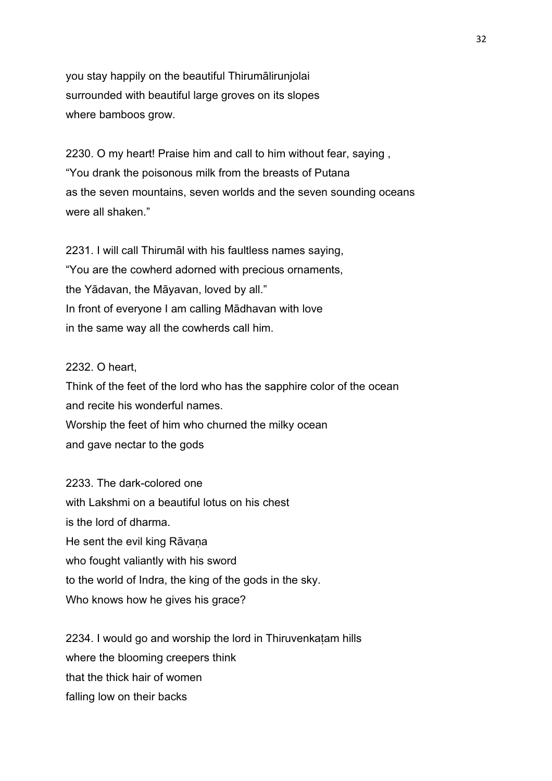you stay happily on the beautiful Thirumālirunjolai surrounded with beautiful large groves on its slopes where bamboos grow.

2230. O my heart! Praise him and call to him without fear, saying , "You drank the poisonous milk from the breasts of Putana as the seven mountains, seven worlds and the seven sounding oceans were all shaken."

2231. I will call Thirumāl with his faultless names saying, "You are the cowherd adorned with precious ornaments, the Yādavan, the Māyavan, loved by all." In front of everyone I am calling Mādhavan with love in the same way all the cowherds call him.

#### 2232. O heart,

Think of the feet of the lord who has the sapphire color of the ocean and recite his wonderful names. Worship the feet of him who churned the milky ocean and gave nectar to the gods

2233. The dark-colored one with Lakshmi on a beautiful lotus on his chest is the lord of dharma. He sent the evil king Rāvana who fought valiantly with his sword to the world of Indra, the king of the gods in the sky. Who knows how he gives his grace?

2234. I would go and worship the lord in Thiruvenkaṭam hills where the blooming creepers think that the thick hair of women falling low on their backs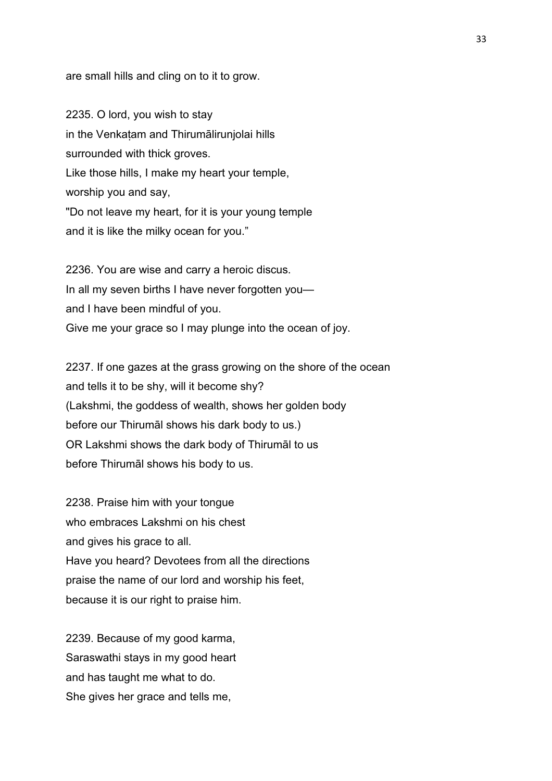are small hills and cling on to it to grow.

2235. O lord, you wish to stay in the Venkaṭam and Thirumālirunjolai hills surrounded with thick groves. Like those hills, I make my heart your temple, worship you and say, "Do not leave my heart, for it is your young temple and it is like the milky ocean for you."

2236. You are wise and carry a heroic discus. In all my seven births I have never forgotten you and I have been mindful of you. Give me your grace so I may plunge into the ocean of joy.

2237. If one gazes at the grass growing on the shore of the ocean and tells it to be shy, will it become shy? (Lakshmi, the goddess of wealth, shows her golden body before our Thirumāl shows his dark body to us.) OR Lakshmi shows the dark body of Thirumāl to us before Thirumāl shows his body to us.

2238. Praise him with your tongue who embraces Lakshmi on his chest and gives his grace to all. Have you heard? Devotees from all the directions praise the name of our lord and worship his feet, because it is our right to praise him.

2239. Because of my good karma, Saraswathi stays in my good heart and has taught me what to do. She gives her grace and tells me,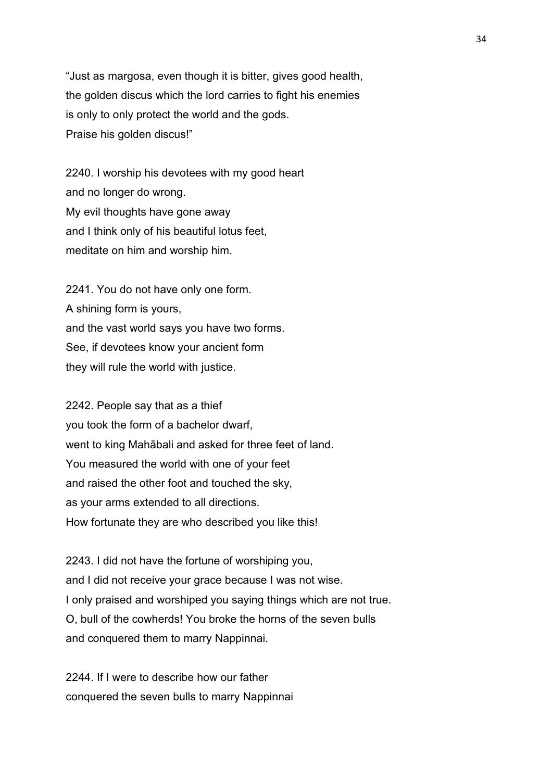"Just as margosa, even though it is bitter, gives good health, the golden discus which the lord carries to fight his enemies is only to only protect the world and the gods. Praise his golden discus!"

2240. I worship his devotees with my good heart and no longer do wrong. My evil thoughts have gone away and I think only of his beautiful lotus feet, meditate on him and worship him.

2241. You do not have only one form. A shining form is yours, and the vast world says you have two forms. See, if devotees know your ancient form they will rule the world with justice.

2242. People say that as a thief you took the form of a bachelor dwarf, went to king Mahābali and asked for three feet of land. You measured the world with one of your feet and raised the other foot and touched the sky, as your arms extended to all directions. How fortunate they are who described you like this!

2243. I did not have the fortune of worshiping you, and I did not receive your grace because I was not wise. I only praised and worshiped you saying things which are not true. O, bull of the cowherds! You broke the horns of the seven bulls and conquered them to marry Nappinnai.

2244. If I were to describe how our father conquered the seven bulls to marry Nappinnai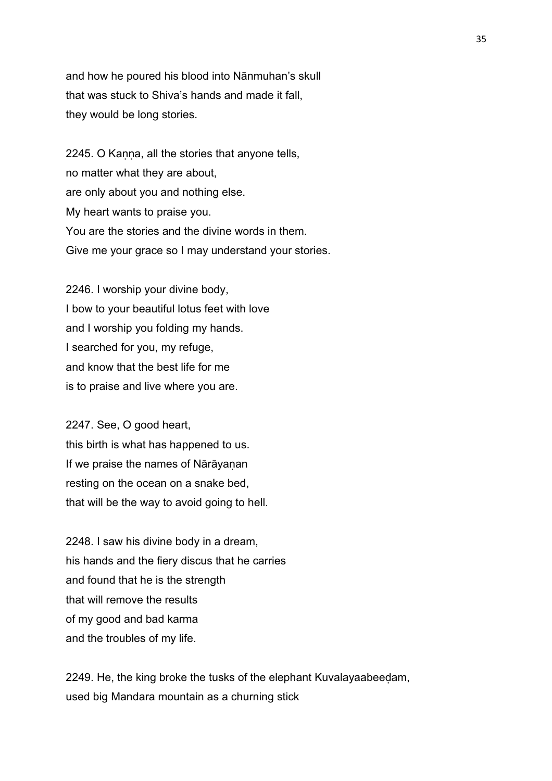and how he poured his blood into Nānmuhan's skull that was stuck to Shiva's hands and made it fall, they would be long stories.

2245. O Kanna, all the stories that anyone tells, no matter what they are about, are only about you and nothing else. My heart wants to praise you. You are the stories and the divine words in them. Give me your grace so I may understand your stories.

2246. I worship your divine body, I bow to your beautiful lotus feet with love and I worship you folding my hands. I searched for you, my refuge, and know that the best life for me is to praise and live where you are.

2247. See, O good heart, this birth is what has happened to us. If we praise the names of Nārāyaṇan resting on the ocean on a snake bed, that will be the way to avoid going to hell.

2248. I saw his divine body in a dream, his hands and the fiery discus that he carries and found that he is the strength that will remove the results of my good and bad karma and the troubles of my life.

2249. He, the king broke the tusks of the elephant Kuvalayaabeeḍam, used big Mandara mountain as a churning stick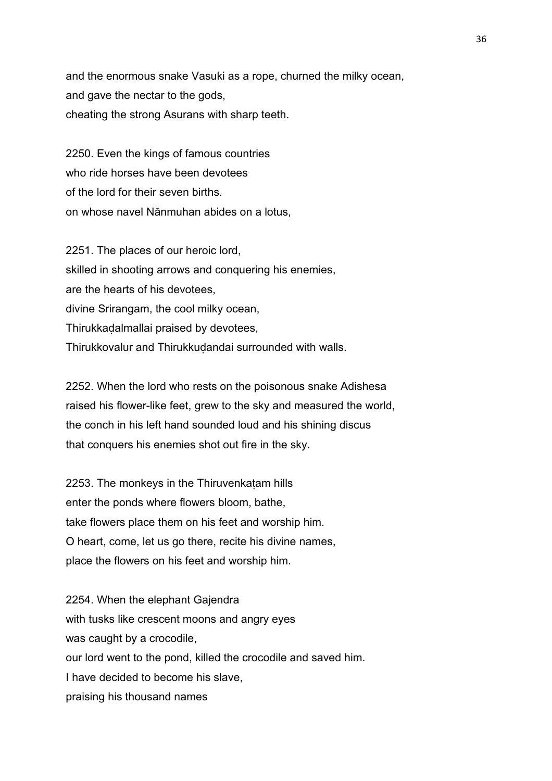and the enormous snake Vasuki as a rope, churned the milky ocean, and gave the nectar to the gods, cheating the strong Asurans with sharp teeth.

2250. Even the kings of famous countries who ride horses have been devotees of the lord for their seven births. on whose navel Nānmuhan abides on a lotus,

2251. The places of our heroic lord, skilled in shooting arrows and conquering his enemies, are the hearts of his devotees, divine Srirangam, the cool milky ocean, Thirukkaḍalmallai praised by devotees, Thirukkovalur and Thirukkuḍandai surrounded with walls.

2252. When the lord who rests on the poisonous snake Adishesa raised his flower-like feet, grew to the sky and measured the world, the conch in his left hand sounded loud and his shining discus that conquers his enemies shot out fire in the sky.

2253. The monkeys in the Thiruvenkatam hills enter the ponds where flowers bloom, bathe, take flowers place them on his feet and worship him. O heart, come, let us go there, recite his divine names, place the flowers on his feet and worship him.

2254. When the elephant Gajendra with tusks like crescent moons and angry eyes was caught by a crocodile, our lord went to the pond, killed the crocodile and saved him. I have decided to become his slave, praising his thousand names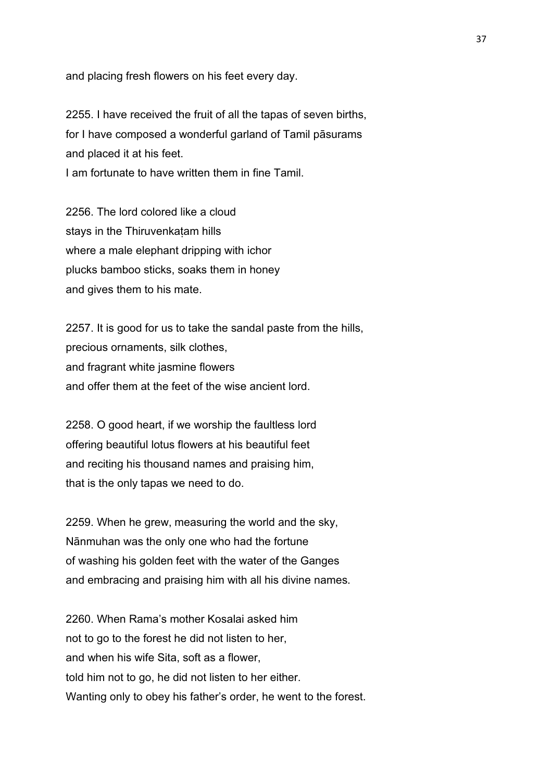and placing fresh flowers on his feet every day.

2255. I have received the fruit of all the tapas of seven births, for I have composed a wonderful garland of Tamil pāsurams and placed it at his feet. I am fortunate to have written them in fine Tamil.

2256. The lord colored like a cloud stays in the Thiruvenkatam hills where a male elephant dripping with ichor plucks bamboo sticks, soaks them in honey and gives them to his mate.

2257. It is good for us to take the sandal paste from the hills, precious ornaments, silk clothes, and fragrant white jasmine flowers and offer them at the feet of the wise ancient lord.

2258. O good heart, if we worship the faultless lord offering beautiful lotus flowers at his beautiful feet and reciting his thousand names and praising him, that is the only tapas we need to do.

2259. When he grew, measuring the world and the sky, Nānmuhan was the only one who had the fortune of washing his golden feet with the water of the Ganges and embracing and praising him with all his divine names.

2260. When Rama's mother Kosalai asked him not to go to the forest he did not listen to her, and when his wife Sita, soft as a flower, told him not to go, he did not listen to her either. Wanting only to obey his father's order, he went to the forest.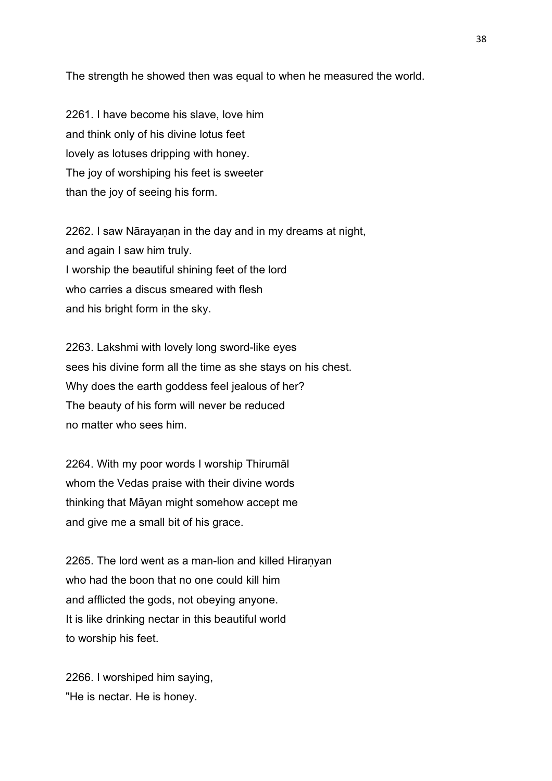The strength he showed then was equal to when he measured the world.

2261. I have become his slave, love him and think only of his divine lotus feet lovely as lotuses dripping with honey. The joy of worshiping his feet is sweeter than the joy of seeing his form.

2262. I saw Nārayanan in the day and in my dreams at night, and again I saw him truly. I worship the beautiful shining feet of the lord who carries a discus smeared with flesh and his bright form in the sky.

2263. Lakshmi with lovely long sword-like eyes sees his divine form all the time as she stays on his chest. Why does the earth goddess feel jealous of her? The beauty of his form will never be reduced no matter who sees him.

2264. With my poor words I worship Thirumāl whom the Vedas praise with their divine words thinking that Māyan might somehow accept me and give me a small bit of his grace.

2265. The lord went as a man-lion and killed Hiranyan who had the boon that no one could kill him and afflicted the gods, not obeying anyone. It is like drinking nectar in this beautiful world to worship his feet.

2266. I worshiped him saying, "He is nectar. He is honey.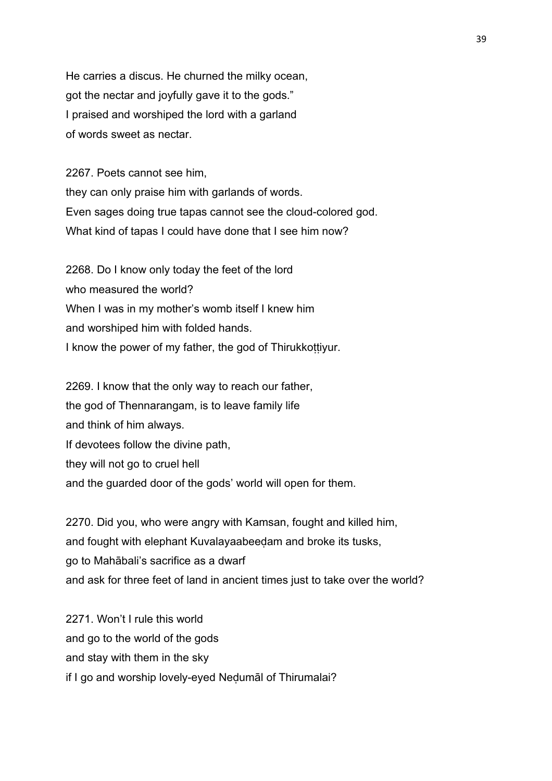He carries a discus. He churned the milky ocean, got the nectar and joyfully gave it to the gods." I praised and worshiped the lord with a garland of words sweet as nectar.

2267. Poets cannot see him, they can only praise him with garlands of words. Even sages doing true tapas cannot see the cloud-colored god. What kind of tapas I could have done that I see him now?

2268. Do I know only today the feet of the lord who measured the world? When I was in my mother's womb itself I knew him and worshiped him with folded hands. I know the power of my father, the god of Thirukkottiyur.

2269. I know that the only way to reach our father, the god of Thennarangam, is to leave family life and think of him always. If devotees follow the divine path, they will not go to cruel hell and the guarded door of the gods' world will open for them.

2270. Did you, who were angry with Kamsan, fought and killed him, and fought with elephant Kuvalayaabeeḍam and broke its tusks, go to Mahābali's sacrifice as a dwarf and ask for three feet of land in ancient times just to take over the world?

2271. Won't I rule this world and go to the world of the gods and stay with them in the sky if I go and worship lovely-eyed Neḍumāl of Thirumalai?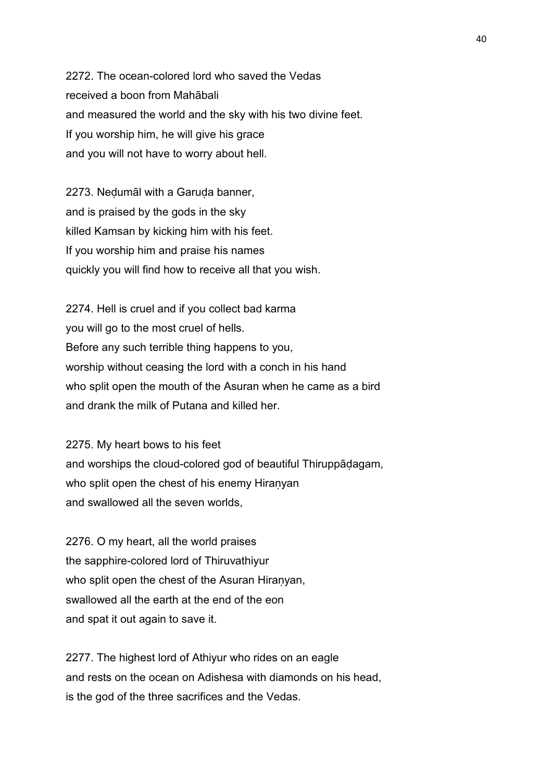2272. The ocean-colored lord who saved the Vedas received a boon from Mahābali and measured the world and the sky with his two divine feet. If you worship him, he will give his grace and you will not have to worry about hell.

2273. Neḍumāl with a Garuḍa banner, and is praised by the gods in the sky killed Kamsan by kicking him with his feet. If you worship him and praise his names quickly you will find how to receive all that you wish.

2274. Hell is cruel and if you collect bad karma you will go to the most cruel of hells. Before any such terrible thing happens to you, worship without ceasing the lord with a conch in his hand who split open the mouth of the Asuran when he came as a bird and drank the milk of Putana and killed her.

2275. My heart bows to his feet and worships the cloud-colored god of beautiful Thiruppāḍagam, who split open the chest of his enemy Hiranyan and swallowed all the seven worlds,

2276. O my heart, all the world praises the sapphire-colored lord of Thiruvathiyur who split open the chest of the Asuran Hiranyan, swallowed all the earth at the end of the eon and spat it out again to save it.

2277. The highest lord of Athiyur who rides on an eagle and rests on the ocean on Adishesa with diamonds on his head, is the god of the three sacrifices and the Vedas.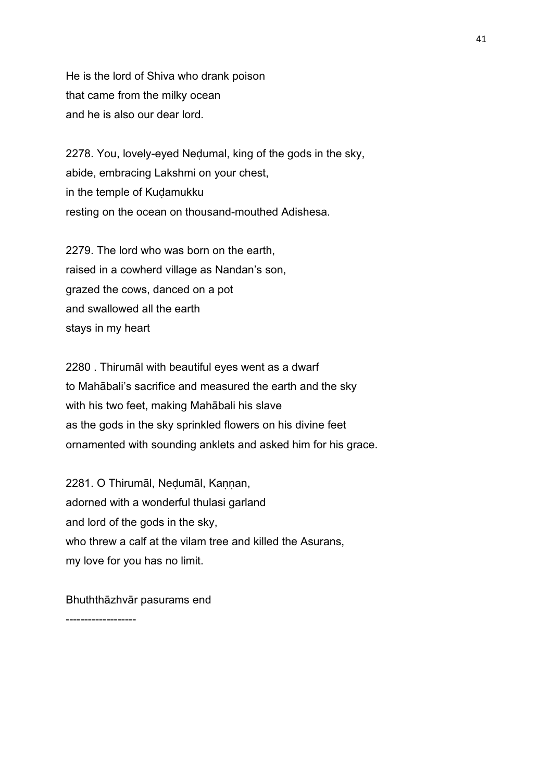He is the lord of Shiva who drank poison that came from the milky ocean and he is also our dear lord.

2278. You, lovely-eyed Neḍumal, king of the gods in the sky, abide, embracing Lakshmi on your chest, in the temple of Kuḍamukku resting on the ocean on thousand-mouthed Adishesa.

2279. The lord who was born on the earth, raised in a cowherd village as Nandan's son, grazed the cows, danced on a pot and swallowed all the earth stays in my heart

2280 . Thirumāl with beautiful eyes went as a dwarf to Mahābali's sacrifice and measured the earth and the sky with his two feet, making Mahābali his slave as the gods in the sky sprinkled flowers on his divine feet ornamented with sounding anklets and asked him for his grace.

2281. O Thirumāl, Nedumāl, Kannan, adorned with a wonderful thulasi garland and lord of the gods in the sky, who threw a calf at the vilam tree and killed the Asurans, my love for you has no limit.

Bhuththāzhvār pasurams end

-------------------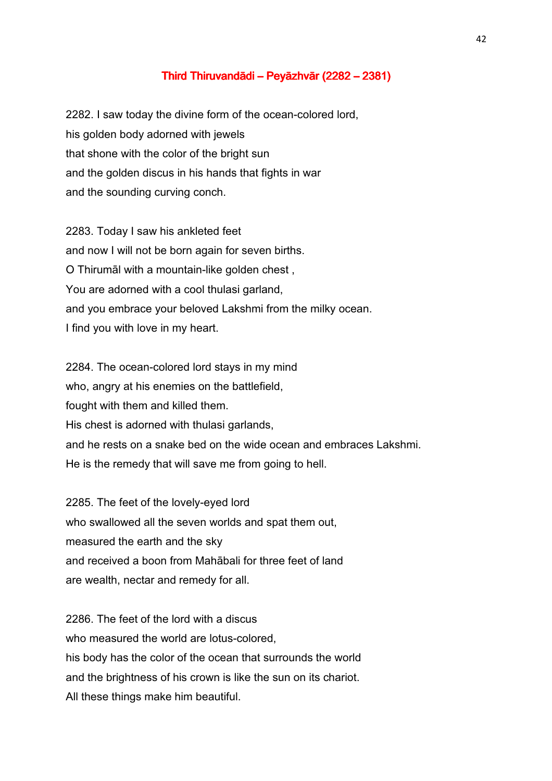## Third Thiruvandādi – Peyāzhvār (2282 – 2381)

2282. I saw today the divine form of the ocean-colored lord, his golden body adorned with jewels that shone with the color of the bright sun and the golden discus in his hands that fights in war and the sounding curving conch.

2283. Today I saw his ankleted feet and now I will not be born again for seven births. O Thirumāl with a mountain-like golden chest , You are adorned with a cool thulasi garland, and you embrace your beloved Lakshmi from the milky ocean. I find you with love in my heart.

2284. The ocean-colored lord stays in my mind who, angry at his enemies on the battlefield, fought with them and killed them. His chest is adorned with thulasi garlands, and he rests on a snake bed on the wide ocean and embraces Lakshmi. He is the remedy that will save me from going to hell.

2285. The feet of the lovely-eyed lord who swallowed all the seven worlds and spat them out, measured the earth and the sky and received a boon from Mahābali for three feet of land are wealth, nectar and remedy for all.

2286. The feet of the lord with a discus who measured the world are lotus-colored, his body has the color of the ocean that surrounds the world and the brightness of his crown is like the sun on its chariot. All these things make him beautiful.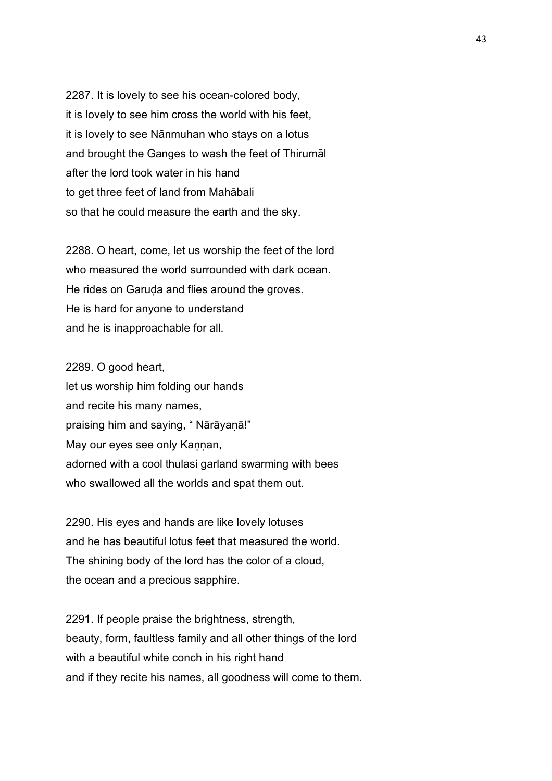2287. It is lovely to see his ocean-colored body, it is lovely to see him cross the world with his feet, it is lovely to see Nānmuhan who stays on a lotus and brought the Ganges to wash the feet of Thirumāl after the lord took water in his hand to get three feet of land from Mahābali so that he could measure the earth and the sky.

2288. O heart, come, let us worship the feet of the lord who measured the world surrounded with dark ocean. He rides on Garuda and flies around the groves. He is hard for anyone to understand and he is inapproachable for all.

2289. O good heart, let us worship him folding our hands and recite his many names, praising him and saying, " Nārāyaṇā!" May our eyes see only Kannan, adorned with a cool thulasi garland swarming with bees who swallowed all the worlds and spat them out.

2290. His eyes and hands are like lovely lotuses and he has beautiful lotus feet that measured the world. The shining body of the lord has the color of a cloud, the ocean and a precious sapphire.

2291. If people praise the brightness, strength, beauty, form, faultless family and all other things of the lord with a beautiful white conch in his right hand and if they recite his names, all goodness will come to them.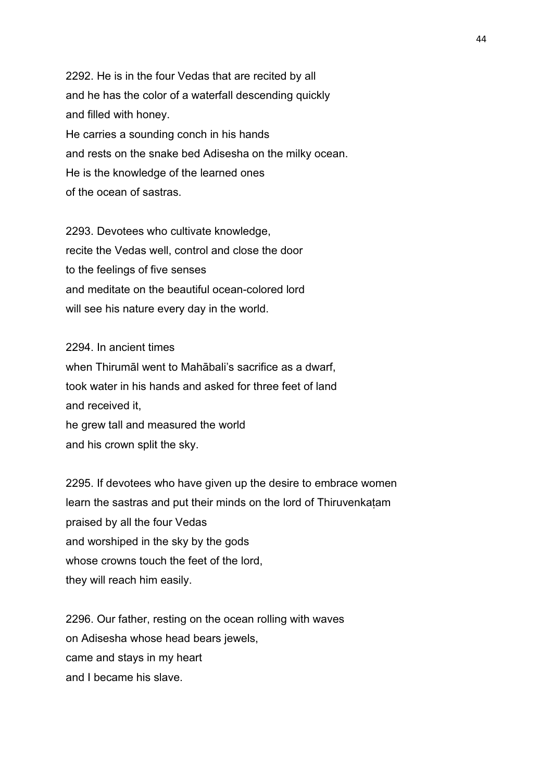2292. He is in the four Vedas that are recited by all and he has the color of a waterfall descending quickly and filled with honey. He carries a sounding conch in his hands and rests on the snake bed Adisesha on the milky ocean. He is the knowledge of the learned ones of the ocean of sastras.

2293. Devotees who cultivate knowledge, recite the Vedas well, control and close the door to the feelings of five senses and meditate on the beautiful ocean-colored lord will see his nature every day in the world.

2294. In ancient times when Thirumāl went to Mahābali's sacrifice as a dwarf, took water in his hands and asked for three feet of land and received it, he grew tall and measured the world and his crown split the sky.

2295. If devotees who have given up the desire to embrace women learn the sastras and put their minds on the lord of Thiruvenkaṭam praised by all the four Vedas and worshiped in the sky by the gods whose crowns touch the feet of the lord, they will reach him easily.

2296. Our father, resting on the ocean rolling with waves on Adisesha whose head bears jewels, came and stays in my heart and I became his slave.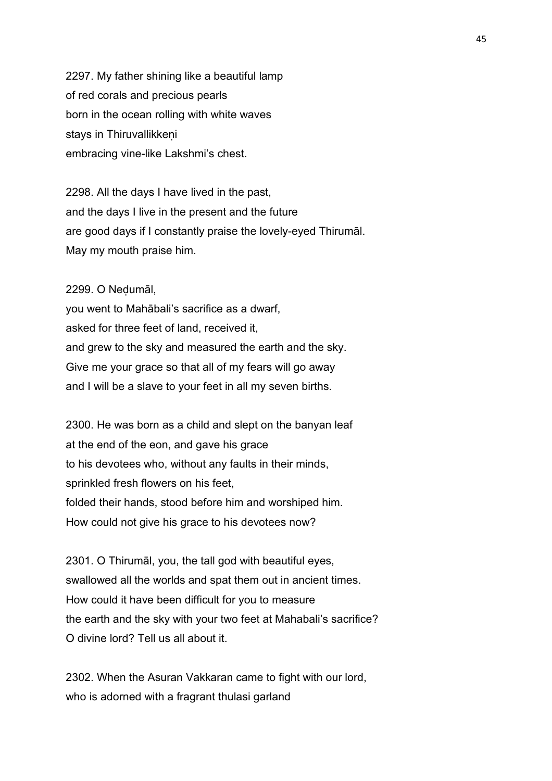2297. My father shining like a beautiful lamp of red corals and precious pearls born in the ocean rolling with white waves stays in Thiruvallikkeni embracing vine-like Lakshmi's chest.

2298. All the days I have lived in the past, and the days I live in the present and the future are good days if I constantly praise the lovely-eyed Thirumāl. May my mouth praise him.

2299. O Neḍumāl, you went to Mahābali's sacrifice as a dwarf, asked for three feet of land, received it, and grew to the sky and measured the earth and the sky. Give me your grace so that all of my fears will go away and I will be a slave to your feet in all my seven births.

2300. He was born as a child and slept on the banyan leaf at the end of the eon, and gave his grace to his devotees who, without any faults in their minds, sprinkled fresh flowers on his feet, folded their hands, stood before him and worshiped him. How could not give his grace to his devotees now?

2301. O Thirumāl, you, the tall god with beautiful eyes, swallowed all the worlds and spat them out in ancient times. How could it have been difficult for you to measure the earth and the sky with your two feet at Mahabali's sacrifice? O divine lord? Tell us all about it.

2302. When the Asuran Vakkaran came to fight with our lord, who is adorned with a fragrant thulasi garland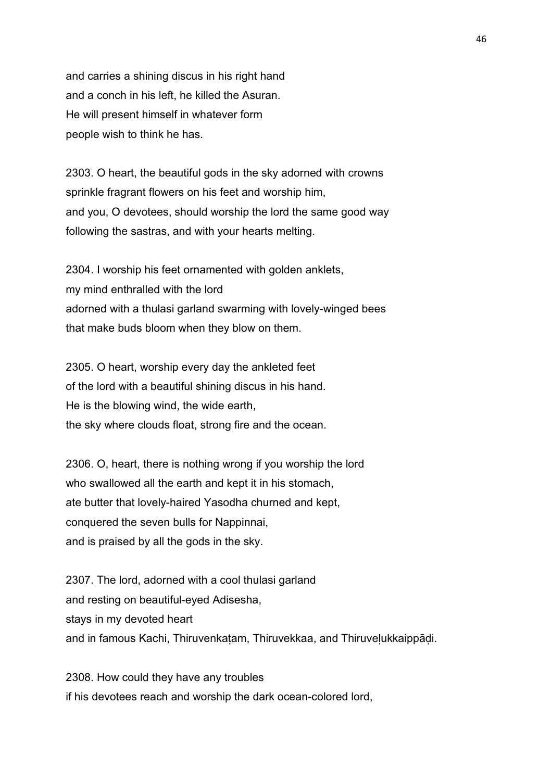and carries a shining discus in his right hand and a conch in his left, he killed the Asuran. He will present himself in whatever form people wish to think he has.

2303. O heart, the beautiful gods in the sky adorned with crowns sprinkle fragrant flowers on his feet and worship him, and you, O devotees, should worship the lord the same good way following the sastras, and with your hearts melting.

2304. I worship his feet ornamented with golden anklets, my mind enthralled with the lord adorned with a thulasi garland swarming with lovely-winged bees that make buds bloom when they blow on them.

2305. O heart, worship every day the ankleted feet of the lord with a beautiful shining discus in his hand. He is the blowing wind, the wide earth, the sky where clouds float, strong fire and the ocean.

2306. O, heart, there is nothing wrong if you worship the lord who swallowed all the earth and kept it in his stomach, ate butter that lovely-haired Yasodha churned and kept, conquered the seven bulls for Nappinnai, and is praised by all the gods in the sky.

2307. The lord, adorned with a cool thulasi garland and resting on beautiful-eyed Adisesha, stays in my devoted heart and in famous Kachi, Thiruvenkatam, Thiruvekkaa, and Thiruvelukkaippādi.

2308. How could they have any troubles if his devotees reach and worship the dark ocean-colored lord,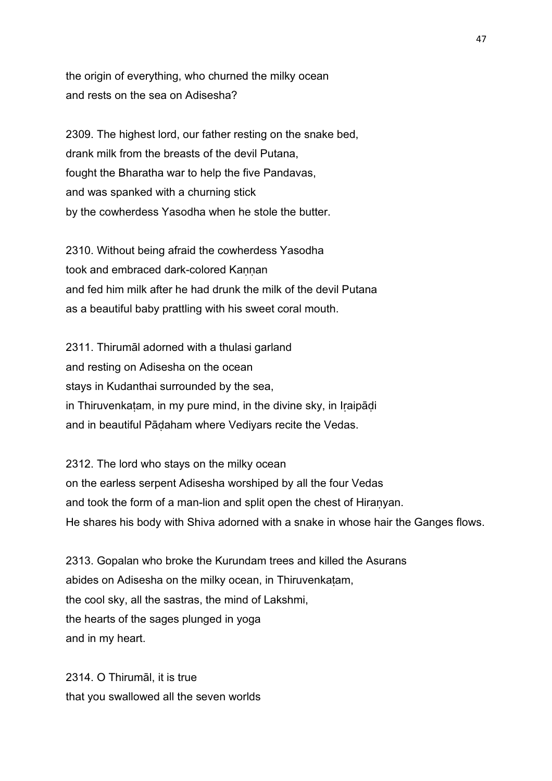the origin of everything, who churned the milky ocean and rests on the sea on Adisesha?

2309. The highest lord, our father resting on the snake bed, drank milk from the breasts of the devil Putana, fought the Bharatha war to help the five Pandavas, and was spanked with a churning stick by the cowherdess Yasodha when he stole the butter.

2310. Without being afraid the cowherdess Yasodha took and embraced dark-colored Kannan and fed him milk after he had drunk the milk of the devil Putana as a beautiful baby prattling with his sweet coral mouth.

2311. Thirumāl adorned with a thulasi garland and resting on Adisesha on the ocean stays in Kudanthai surrounded by the sea, in Thiruvenkatam, in my pure mind, in the divine sky, in Iraipādi and in beautiful Pāḍaham where Vediyars recite the Vedas.

2312. The lord who stays on the milky ocean on the earless serpent Adisesha worshiped by all the four Vedas and took the form of a man-lion and split open the chest of Hiranyan. He shares his body with Shiva adorned with a snake in whose hair the Ganges flows.

2313. Gopalan who broke the Kurundam trees and killed the Asurans abides on Adisesha on the milky ocean, in Thiruvenkaṭam, the cool sky, all the sastras, the mind of Lakshmi, the hearts of the sages plunged in yoga and in my heart.

2314. O Thirumāl, it is true that you swallowed all the seven worlds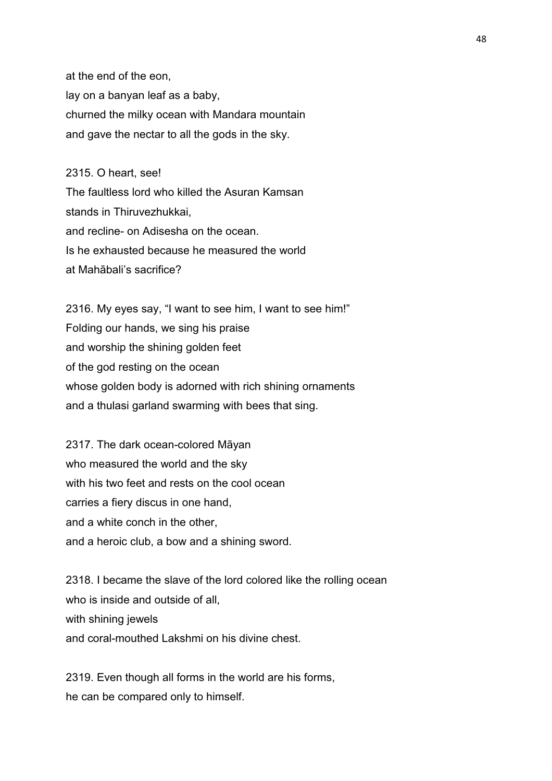at the end of the eon, lay on a banyan leaf as a baby, churned the milky ocean with Mandara mountain and gave the nectar to all the gods in the sky.

## 2315. O heart, see!

The faultless lord who killed the Asuran Kamsan stands in Thiruvezhukkai, and recline- on Adisesha on the ocean. Is he exhausted because he measured the world at Mahābali's sacrifice?

2316. My eyes say, "I want to see him, I want to see him!" Folding our hands, we sing his praise and worship the shining golden feet of the god resting on the ocean whose golden body is adorned with rich shining ornaments and a thulasi garland swarming with bees that sing.

2317. The dark ocean-colored Māyan who measured the world and the sky with his two feet and rests on the cool ocean carries a fiery discus in one hand, and a white conch in the other, and a heroic club, a bow and a shining sword.

2318. I became the slave of the lord colored like the rolling ocean who is inside and outside of all, with shining jewels and coral-mouthed Lakshmi on his divine chest.

2319. Even though all forms in the world are his forms, he can be compared only to himself.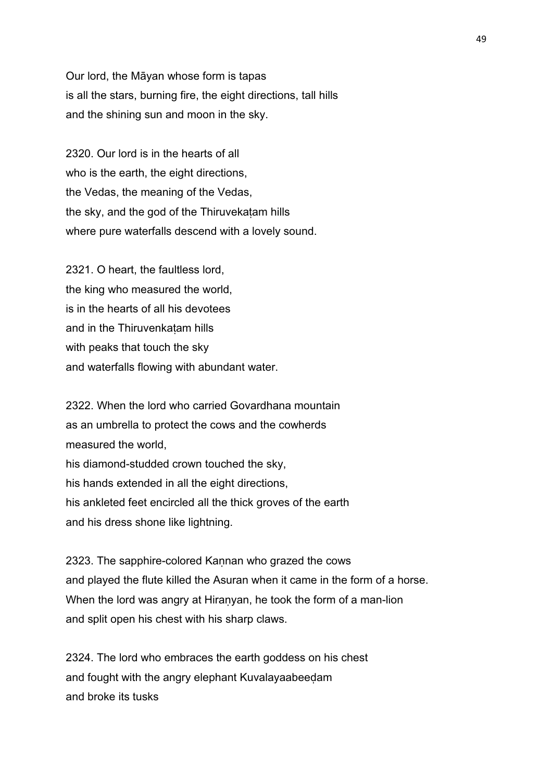Our lord, the Māyan whose form is tapas is all the stars, burning fire, the eight directions, tall hills and the shining sun and moon in the sky.

2320. Our lord is in the hearts of all who is the earth, the eight directions, the Vedas, the meaning of the Vedas, the sky, and the god of the Thiruvekaṭam hills where pure waterfalls descend with a lovely sound.

2321. O heart, the faultless lord, the king who measured the world, is in the hearts of all his devotees and in the Thiruvenkaṭam hills with peaks that touch the sky and waterfalls flowing with abundant water.

2322. When the lord who carried Govardhana mountain as an umbrella to protect the cows and the cowherds measured the world, his diamond-studded crown touched the sky, his hands extended in all the eight directions, his ankleted feet encircled all the thick groves of the earth and his dress shone like lightning.

2323. The sapphire-colored Kannan who grazed the cows and played the flute killed the Asuran when it came in the form of a horse. When the lord was angry at Hiranyan, he took the form of a man-lion and split open his chest with his sharp claws.

2324. The lord who embraces the earth goddess on his chest and fought with the angry elephant Kuvalayaabeeḍam and broke its tusks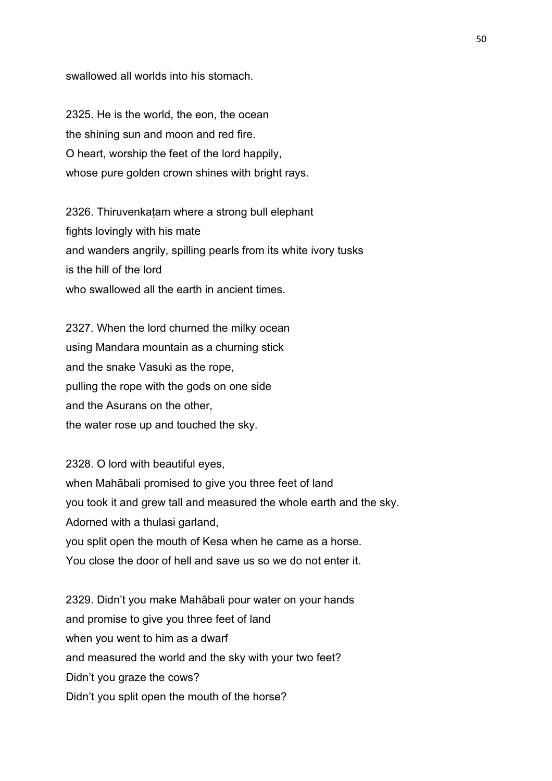swallowed all worlds into his stomach.

2325. He is the world, the eon, the ocean the shining sun and moon and red fire. O heart, worship the feet of the lord happily, whose pure golden crown shines with bright rays.

2326. Thiruvenkaṭam where a strong bull elephant fights lovingly with his mate and wanders angrily, spilling pearls from its white ivory tusks is the hill of the lord who swallowed all the earth in ancient times.

2327. When the lord churned the milky ocean using Mandara mountain as a churning stick and the snake Vasuki as the rope, pulling the rope with the gods on one side and the Asurans on the other, the water rose up and touched the sky.

2328. O lord with beautiful eyes, when Mahābali promised to give you three feet of land you took it and grew tall and measured the whole earth and the sky. Adorned with a thulasi garland, you split open the mouth of Kesa when he came as a horse. You close the door of hell and save us so we do not enter it.

2329. Didn't you make Mahābali pour water on your hands and promise to give you three feet of land when you went to him as a dwarf and measured the world and the sky with your two feet? Didn't you graze the cows? Didn't you split open the mouth of the horse?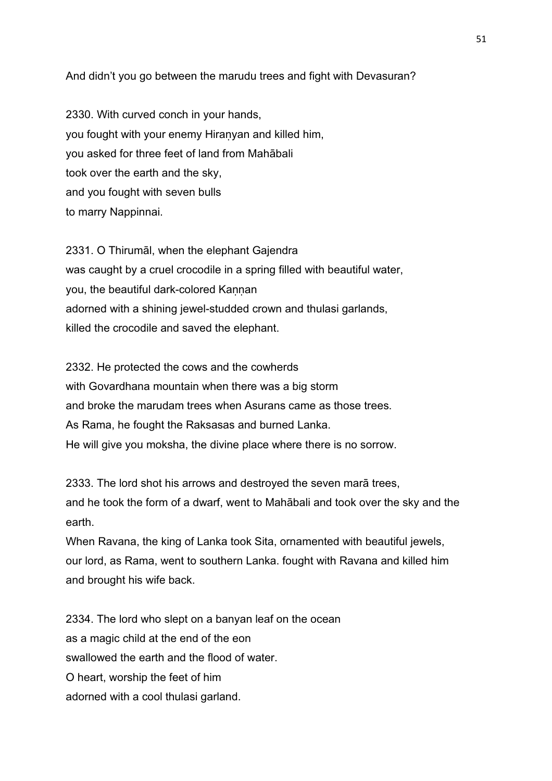And didn't you go between the marudu trees and fight with Devasuran?

2330. With curved conch in your hands, you fought with your enemy Hiranyan and killed him, you asked for three feet of land from Mahābali took over the earth and the sky, and you fought with seven bulls to marry Nappinnai.

2331. O Thirumāl, when the elephant Gajendra was caught by a cruel crocodile in a spring filled with beautiful water, you, the beautiful dark-colored Kannan adorned with a shining jewel-studded crown and thulasi garlands, killed the crocodile and saved the elephant.

2332. He protected the cows and the cowherds with Govardhana mountain when there was a big storm and broke the marudam trees when Asurans came as those trees. As Rama, he fought the Raksasas and burned Lanka. He will give you moksha, the divine place where there is no sorrow.

2333. The lord shot his arrows and destroyed the seven marā trees, and he took the form of a dwarf, went to Mahābali and took over the sky and the earth.

When Ravana, the king of Lanka took Sita, ornamented with beautiful jewels, our lord, as Rama, went to southern Lanka. fought with Ravana and killed him and brought his wife back.

2334. The lord who slept on a banyan leaf on the ocean as a magic child at the end of the eon swallowed the earth and the flood of water. O heart, worship the feet of him adorned with a cool thulasi garland.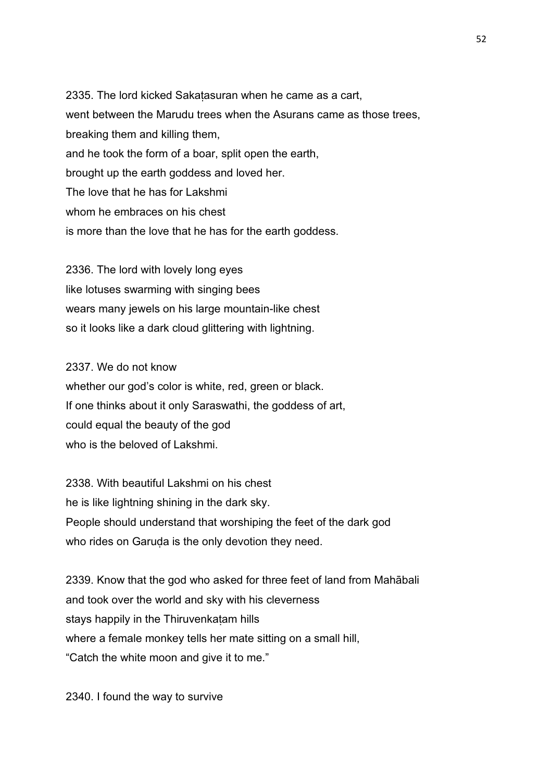2335. The lord kicked Sakaṭasuran when he came as a cart, went between the Marudu trees when the Asurans came as those trees, breaking them and killing them, and he took the form of a boar, split open the earth, brought up the earth goddess and loved her. The love that he has for Lakshmi whom he embraces on his chest is more than the love that he has for the earth goddess.

2336. The lord with lovely long eyes like lotuses swarming with singing bees wears many jewels on his large mountain-like chest so it looks like a dark cloud glittering with lightning.

2337. We do not know whether our god's color is white, red, green or black. If one thinks about it only Saraswathi, the goddess of art, could equal the beauty of the god who is the beloved of Lakshmi.

2338. With beautiful Lakshmi on his chest he is like lightning shining in the dark sky. People should understand that worshiping the feet of the dark god who rides on Garuda is the only devotion they need.

2339. Know that the god who asked for three feet of land from Mahābali and took over the world and sky with his cleverness stays happily in the Thiruvenkatam hills where a female monkey tells her mate sitting on a small hill, "Catch the white moon and give it to me."

2340. I found the way to survive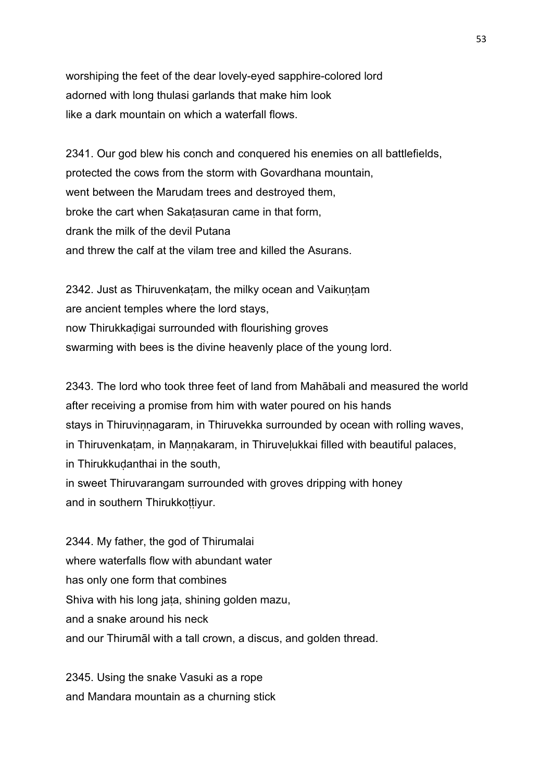worshiping the feet of the dear lovely-eyed sapphire-colored lord adorned with long thulasi garlands that make him look like a dark mountain on which a waterfall flows.

2341. Our god blew his conch and conquered his enemies on all battlefields, protected the cows from the storm with Govardhana mountain, went between the Marudam trees and destroyed them, broke the cart when Sakaṭasuran came in that form, drank the milk of the devil Putana and threw the calf at the vilam tree and killed the Asurans.

2342. Just as Thiruvenkatam, the milky ocean and Vaikuntam are ancient temples where the lord stays, now Thirukkaḍigai surrounded with flourishing groves swarming with bees is the divine heavenly place of the young lord.

2343. The lord who took three feet of land from Mahābali and measured the world after receiving a promise from him with water poured on his hands stays in Thiruvinnagaram, in Thiruvekka surrounded by ocean with rolling waves, in Thiruvenkatam, in Mannakaram, in Thiruvelukkai filled with beautiful palaces, in Thirukkudanthai in the south, in sweet Thiruvarangam surrounded with groves dripping with honey and in southern Thirukkottivur.

2344. My father, the god of Thirumalai where waterfalls flow with abundant water has only one form that combines Shiva with his long jata, shining golden mazu, and a snake around his neck and our Thirumāl with a tall crown, a discus, and golden thread.

2345. Using the snake Vasuki as a rope and Mandara mountain as a churning stick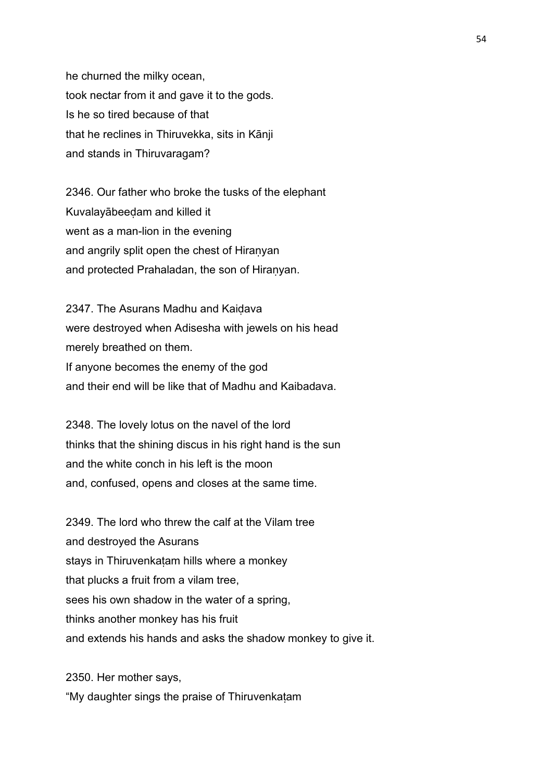he churned the milky ocean, took nectar from it and gave it to the gods. Is he so tired because of that that he reclines in Thiruvekka, sits in Kānji and stands in Thiruvaragam?

2346. Our father who broke the tusks of the elephant Kuvalayābeeḍam and killed it went as a man-lion in the evening and angrily split open the chest of Hiranyan and protected Prahaladan, the son of Hiranyan.

2347. The Asurans Madhu and Kaiḍava were destroyed when Adisesha with jewels on his head merely breathed on them. If anyone becomes the enemy of the god and their end will be like that of Madhu and Kaibadava.

2348. The lovely lotus on the navel of the lord thinks that the shining discus in his right hand is the sun and the white conch in his left is the moon and, confused, opens and closes at the same time.

2349. The lord who threw the calf at the Vilam tree and destroyed the Asurans stays in Thiruvenkatam hills where a monkey that plucks a fruit from a vilam tree, sees his own shadow in the water of a spring, thinks another monkey has his fruit and extends his hands and asks the shadow monkey to give it.

2350. Her mother says, "My daughter sings the praise of Thiruvenkaṭam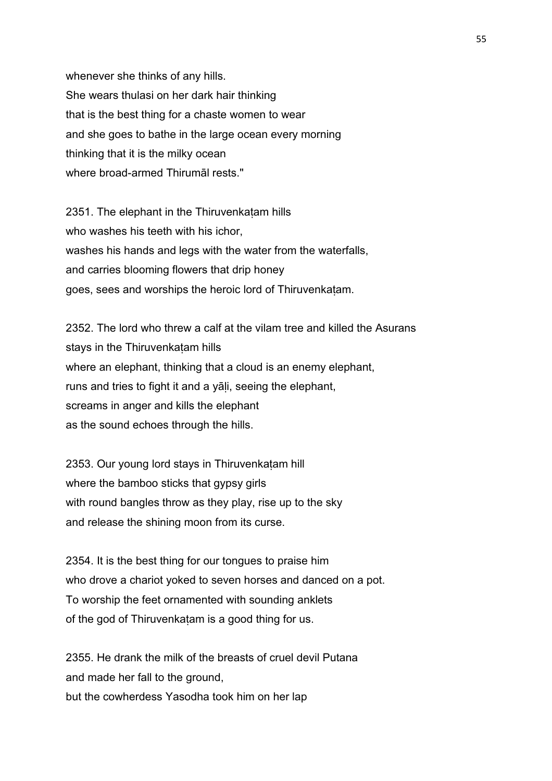whenever she thinks of any hills. She wears thulasi on her dark hair thinking that is the best thing for a chaste women to wear and she goes to bathe in the large ocean every morning thinking that it is the milky ocean where broad-armed Thirumāl rests."

2351. The elephant in the Thiruvenkaṭam hills who washes his teeth with his ichor. washes his hands and legs with the water from the waterfalls, and carries blooming flowers that drip honey goes, sees and worships the heroic lord of Thiruvenkaṭam.

2352. The lord who threw a calf at the vilam tree and killed the Asurans stays in the Thiruvenkatam hills where an elephant, thinking that a cloud is an enemy elephant, runs and tries to fight it and a yali, seeing the elephant, screams in anger and kills the elephant as the sound echoes through the hills.

2353. Our young lord stays in Thiruvenkaṭam hill where the bamboo sticks that gypsy girls with round bangles throw as they play, rise up to the sky and release the shining moon from its curse.

2354. It is the best thing for our tongues to praise him who drove a chariot yoked to seven horses and danced on a pot. To worship the feet ornamented with sounding anklets of the god of Thiruvenkaṭam is a good thing for us.

2355. He drank the milk of the breasts of cruel devil Putana and made her fall to the ground, but the cowherdess Yasodha took him on her lap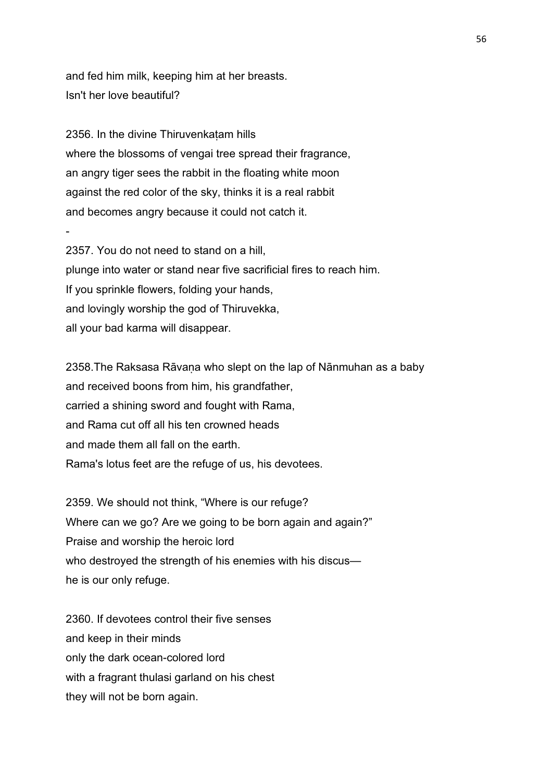and fed him milk, keeping him at her breasts. Isn't her love beautiful?

-

2356. In the divine Thiruvenkatam hills where the blossoms of vengai tree spread their fragrance, an angry tiger sees the rabbit in the floating white moon against the red color of the sky, thinks it is a real rabbit and becomes angry because it could not catch it.

2357. You do not need to stand on a hill, plunge into water or stand near five sacrificial fires to reach him. If you sprinkle flowers, folding your hands, and lovingly worship the god of Thiruvekka, all your bad karma will disappear.

2358.The Raksasa Rāvaṇa who slept on the lap of Nānmuhan as a baby and received boons from him, his grandfather, carried a shining sword and fought with Rama, and Rama cut off all his ten crowned heads and made them all fall on the earth. Rama's lotus feet are the refuge of us, his devotees.

2359. We should not think, "Where is our refuge? Where can we go? Are we going to be born again and again?" Praise and worship the heroic lord who destroyed the strength of his enemies with his discus he is our only refuge.

2360. If devotees control their five senses and keep in their minds only the dark ocean-colored lord with a fragrant thulasi garland on his chest they will not be born again.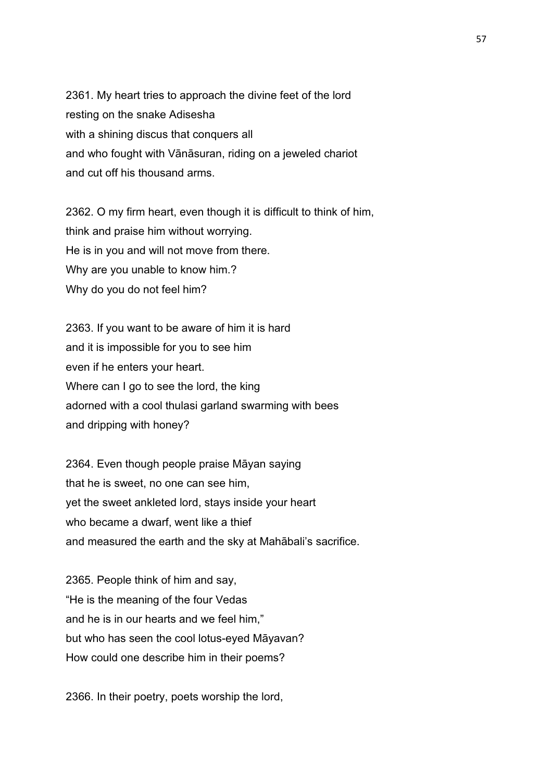2361. My heart tries to approach the divine feet of the lord resting on the snake Adisesha with a shining discus that conquers all and who fought with Vānāsuran, riding on a jeweled chariot and cut off his thousand arms.

2362. O my firm heart, even though it is difficult to think of him, think and praise him without worrying. He is in you and will not move from there. Why are you unable to know him.? Why do you do not feel him?

2363. If you want to be aware of him it is hard and it is impossible for you to see him even if he enters your heart. Where can I go to see the lord, the king adorned with a cool thulasi garland swarming with bees and dripping with honey?

2364. Even though people praise Māyan saying that he is sweet, no one can see him, yet the sweet ankleted lord, stays inside your heart who became a dwarf, went like a thief and measured the earth and the sky at Mahābali's sacrifice.

2365. People think of him and say, "He is the meaning of the four Vedas and he is in our hearts and we feel him," but who has seen the cool lotus-eyed Māyavan? How could one describe him in their poems?

2366. In their poetry, poets worship the lord,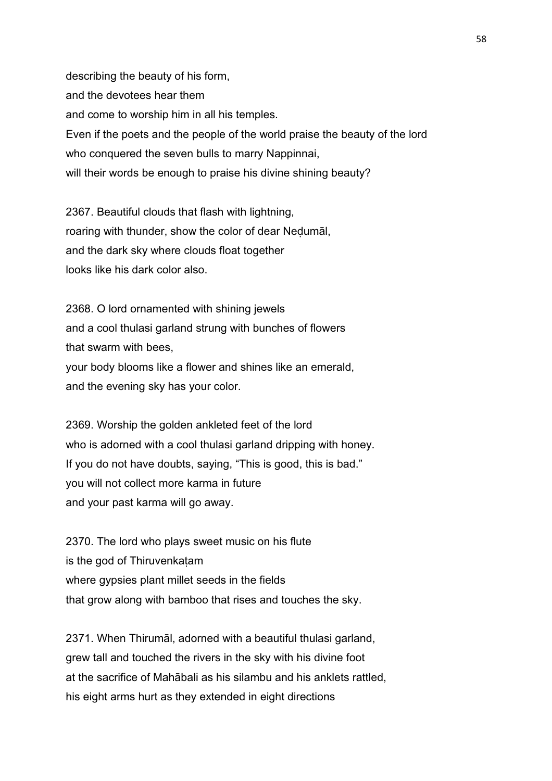describing the beauty of his form, and the devotees hear them and come to worship him in all his temples. Even if the poets and the people of the world praise the beauty of the lord who conquered the seven bulls to marry Nappinnai, will their words be enough to praise his divine shining beauty?

2367. Beautiful clouds that flash with lightning, roaring with thunder, show the color of dear Neḍumāl, and the dark sky where clouds float together looks like his dark color also.

2368. O lord ornamented with shining jewels and a cool thulasi garland strung with bunches of flowers that swarm with bees, your body blooms like a flower and shines like an emerald, and the evening sky has your color.

2369. Worship the golden ankleted feet of the lord who is adorned with a cool thulasi garland dripping with honey. If you do not have doubts, saying, "This is good, this is bad." you will not collect more karma in future and your past karma will go away.

2370. The lord who plays sweet music on his flute is the god of Thiruvenkatam where gypsies plant millet seeds in the fields that grow along with bamboo that rises and touches the sky.

2371. When Thirumāl, adorned with a beautiful thulasi garland, grew tall and touched the rivers in the sky with his divine foot at the sacrifice of Mahābali as his silambu and his anklets rattled, his eight arms hurt as they extended in eight directions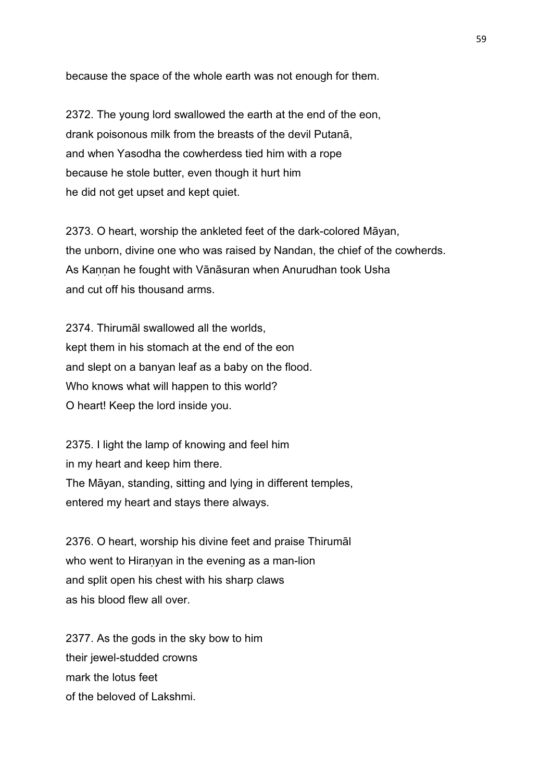because the space of the whole earth was not enough for them.

2372. The young lord swallowed the earth at the end of the eon, drank poisonous milk from the breasts of the devil Putanā, and when Yasodha the cowherdess tied him with a rope because he stole butter, even though it hurt him he did not get upset and kept quiet.

2373. O heart, worship the ankleted feet of the dark-colored Māyan, the unborn, divine one who was raised by Nandan, the chief of the cowherds. As Kannan he fought with Vānāsuran when Anurudhan took Usha and cut off his thousand arms.

2374. Thirumāl swallowed all the worlds, kept them in his stomach at the end of the eon and slept on a banyan leaf as a baby on the flood. Who knows what will happen to this world? O heart! Keep the lord inside you.

2375. I light the lamp of knowing and feel him in my heart and keep him there. The Māyan, standing, sitting and lying in different temples, entered my heart and stays there always.

2376. O heart, worship his divine feet and praise Thirumāl who went to Hiranyan in the evening as a man-lion and split open his chest with his sharp claws as his blood flew all over.

2377. As the gods in the sky bow to him their jewel-studded crowns mark the lotus feet of the beloved of Lakshmi.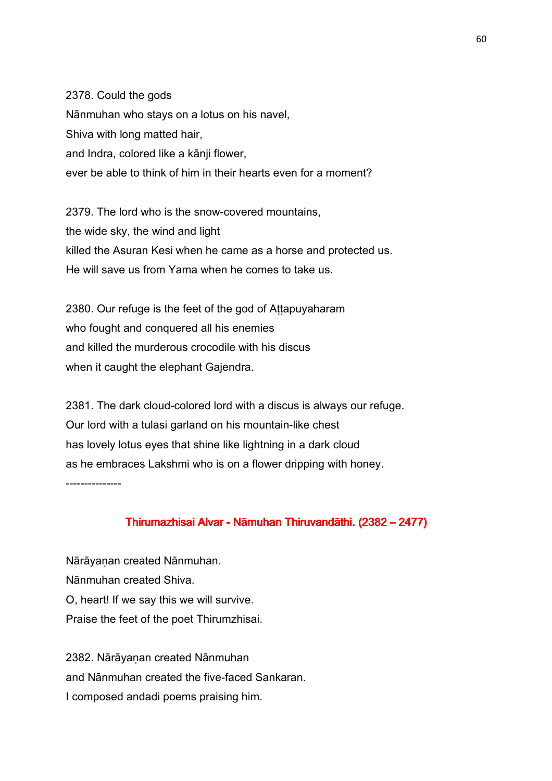2378. Could the gods Nānmuhan who stays on a lotus on his navel, Shiva with long matted hair, and Indra, colored like a kānji flower, ever be able to think of him in their hearts even for a moment?

2379. The lord who is the snow-covered mountains, the wide sky, the wind and light killed the Asuran Kesi when he came as a horse and protected us. He will save us from Yama when he comes to take us.

2380. Our refuge is the feet of the god of Attapuyaharam who fought and conquered all his enemies and killed the murderous crocodile with his discus when it caught the elephant Gajendra.

2381. The dark cloud-colored lord with a discus is always our refuge. Our lord with a tulasi garland on his mountain-like chest has lovely lotus eyes that shine like lightning in a dark cloud as he embraces Lakshmi who is on a flower dripping with honey. ---------------

## Thirumazhisai Alvar - Nāmuhan Thiruvandāthi. (2382 – 2477)

Nārāyanan created Nānmuhan. Nānmuhan created Shiva. O, heart! If we say this we will survive. Praise the feet of the poet Thirumzhisai.

2382. Nārāyanan created Nānmuhan and Nānmuhan created the five-faced Sankaran. I composed andadi poems praising him.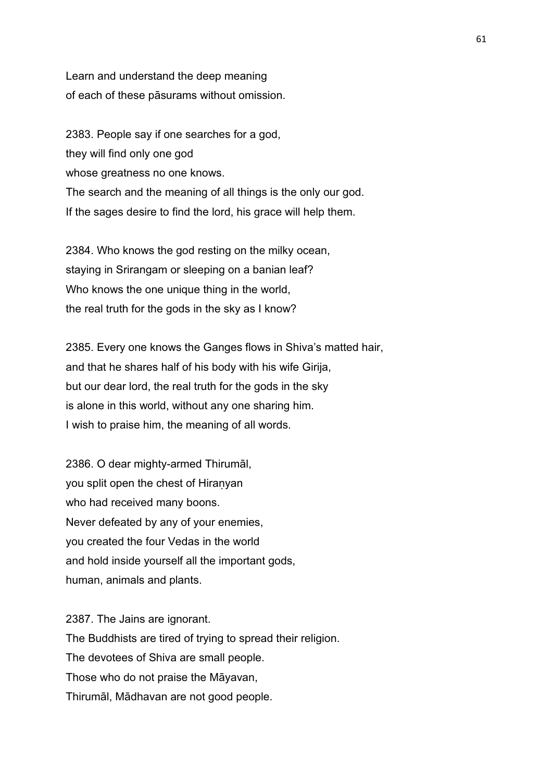Learn and understand the deep meaning of each of these pāsurams without omission.

2383. People say if one searches for a god, they will find only one god whose greatness no one knows. The search and the meaning of all things is the only our god. If the sages desire to find the lord, his grace will help them.

2384. Who knows the god resting on the milky ocean, staying in Srirangam or sleeping on a banian leaf? Who knows the one unique thing in the world, the real truth for the gods in the sky as I know?

2385. Every one knows the Ganges flows in Shiva's matted hair, and that he shares half of his body with his wife Girija, but our dear lord, the real truth for the gods in the sky is alone in this world, without any one sharing him. I wish to praise him, the meaning of all words.

2386. O dear mighty-armed Thirumāl, you split open the chest of Hiranyan who had received many boons. Never defeated by any of your enemies, you created the four Vedas in the world and hold inside yourself all the important gods, human, animals and plants.

2387. The Jains are ignorant. The Buddhists are tired of trying to spread their religion. The devotees of Shiva are small people. Those who do not praise the Māyavan, Thirumāl, Mādhavan are not good people.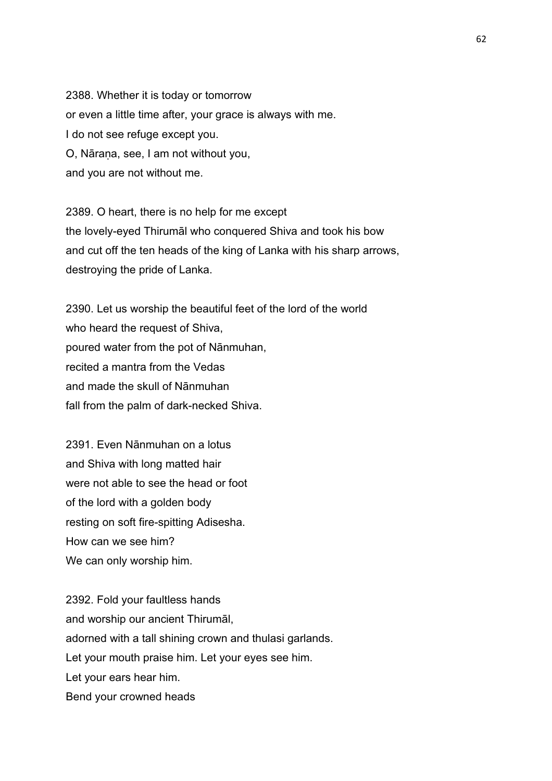2388. Whether it is today or tomorrow or even a little time after, your grace is always with me. I do not see refuge except you. O, Nāraṇa, see, I am not without you, and you are not without me.

2389. O heart, there is no help for me except the lovely-eyed Thirumāl who conquered Shiva and took his bow and cut off the ten heads of the king of Lanka with his sharp arrows, destroying the pride of Lanka.

2390. Let us worship the beautiful feet of the lord of the world who heard the request of Shiva, poured water from the pot of Nānmuhan, recited a mantra from the Vedas and made the skull of Nānmuhan fall from the palm of dark-necked Shiva.

2391. Even Nānmuhan on a lotus and Shiva with long matted hair were not able to see the head or foot of the lord with a golden body resting on soft fire-spitting Adisesha. How can we see him? We can only worship him.

2392. Fold your faultless hands and worship our ancient Thirumāl, adorned with a tall shining crown and thulasi garlands. Let your mouth praise him. Let your eyes see him. Let your ears hear him. Bend your crowned heads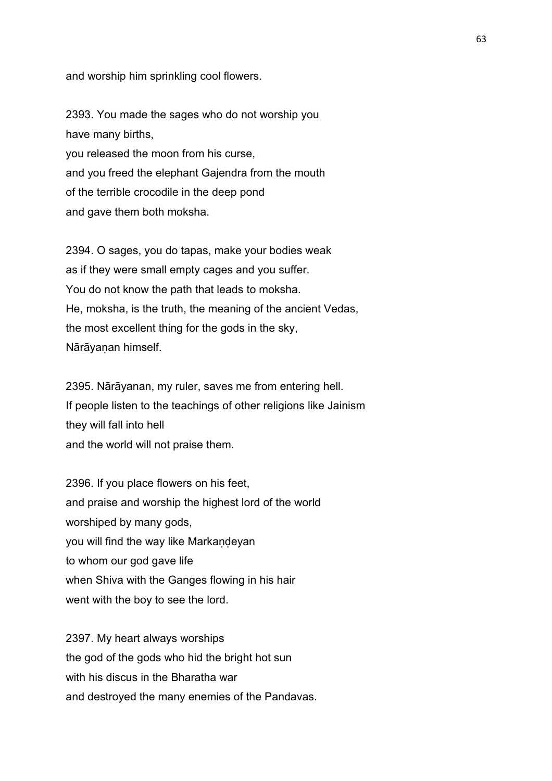and worship him sprinkling cool flowers.

2393. You made the sages who do not worship you have many births, you released the moon from his curse, and you freed the elephant Gajendra from the mouth of the terrible crocodile in the deep pond and gave them both moksha.

2394. O sages, you do tapas, make your bodies weak as if they were small empty cages and you suffer. You do not know the path that leads to moksha. He, moksha, is the truth, the meaning of the ancient Vedas, the most excellent thing for the gods in the sky, Nārāyanan himself.

2395. Nārāyanan, my ruler, saves me from entering hell. If people listen to the teachings of other religions like Jainism they will fall into hell and the world will not praise them.

2396. If you place flowers on his feet, and praise and worship the highest lord of the world worshiped by many gods, you will find the way like Markandeyan to whom our god gave life when Shiva with the Ganges flowing in his hair went with the boy to see the lord.

2397. My heart always worships the god of the gods who hid the bright hot sun with his discus in the Bharatha war and destroyed the many enemies of the Pandavas.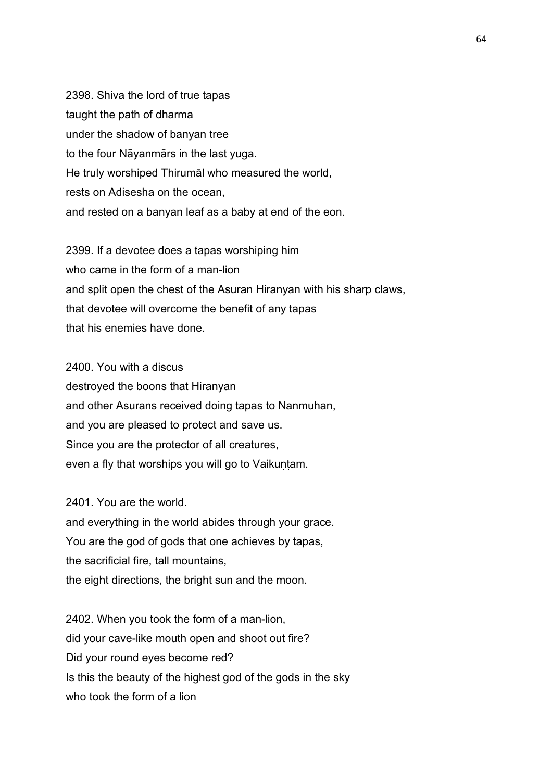2398. Shiva the lord of true tapas taught the path of dharma under the shadow of banyan tree to the four Nāyanmārs in the last yuga. He truly worshiped Thirumāl who measured the world, rests on Adisesha on the ocean, and rested on a banyan leaf as a baby at end of the eon.

2399. If a devotee does a tapas worshiping him who came in the form of a man-lion and split open the chest of the Asuran Hiranyan with his sharp claws, that devotee will overcome the benefit of any tapas that his enemies have done.

2400. You with a discus destroyed the boons that Hiranyan and other Asurans received doing tapas to Nanmuhan, and you are pleased to protect and save us. Since you are the protector of all creatures, even a fly that worships you will go to Vaikuṇṭam.

2401. You are the world.

and everything in the world abides through your grace. You are the god of gods that one achieves by tapas, the sacrificial fire, tall mountains, the eight directions, the bright sun and the moon.

2402. When you took the form of a man-lion, did your cave-like mouth open and shoot out fire? Did your round eyes become red? Is this the beauty of the highest god of the gods in the sky who took the form of a lion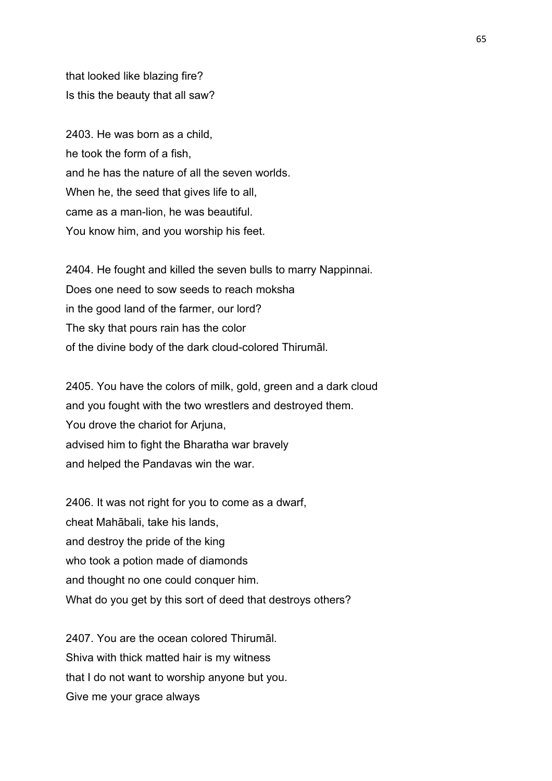that looked like blazing fire? Is this the beauty that all saw?

2403. He was born as a child, he took the form of a fish, and he has the nature of all the seven worlds. When he, the seed that gives life to all, came as a man-lion, he was beautiful. You know him, and you worship his feet.

2404. He fought and killed the seven bulls to marry Nappinnai. Does one need to sow seeds to reach moksha in the good land of the farmer, our lord? The sky that pours rain has the color of the divine body of the dark cloud-colored Thirumāl.

2405. You have the colors of milk, gold, green and a dark cloud and you fought with the two wrestlers and destroyed them. You drove the chariot for Arjuna, advised him to fight the Bharatha war bravely and helped the Pandavas win the war.

2406. It was not right for you to come as a dwarf. cheat Mahābali, take his lands, and destroy the pride of the king who took a potion made of diamonds and thought no one could conquer him. What do you get by this sort of deed that destroys others?

2407. You are the ocean colored Thirumāl. Shiva with thick matted hair is my witness that I do not want to worship anyone but you. Give me your grace always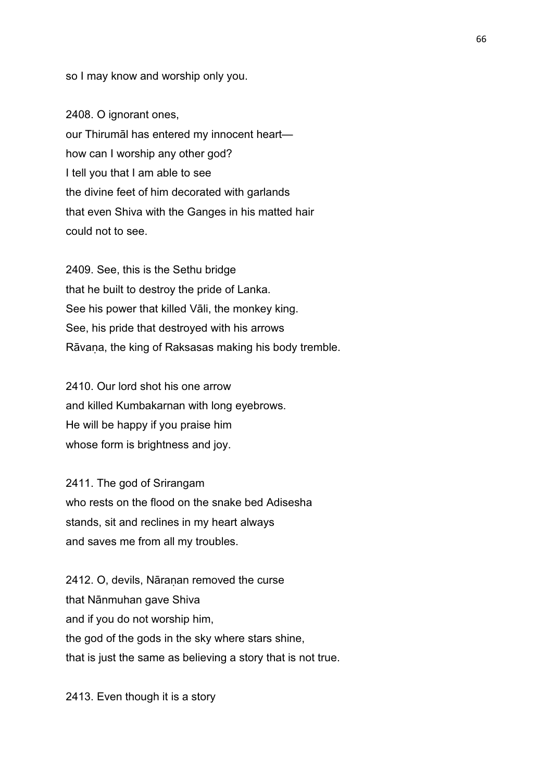so I may know and worship only you.

2408. O ignorant ones, our Thirumāl has entered my innocent heart how can I worship any other god? I tell you that I am able to see the divine feet of him decorated with garlands that even Shiva with the Ganges in his matted hair could not to see.

2409. See, this is the Sethu bridge that he built to destroy the pride of Lanka. See his power that killed Vāli, the monkey king. See, his pride that destroyed with his arrows Rāvaṇa, the king of Raksasas making his body tremble.

2410. Our lord shot his one arrow and killed Kumbakarnan with long eyebrows. He will be happy if you praise him whose form is brightness and joy.

2411. The god of Srirangam who rests on the flood on the snake bed Adisesha stands, sit and reclines in my heart always and saves me from all my troubles.

2412. O, devils, Nāraṇan removed the curse that Nānmuhan gave Shiva and if you do not worship him, the god of the gods in the sky where stars shine, that is just the same as believing a story that is not true.

2413. Even though it is a story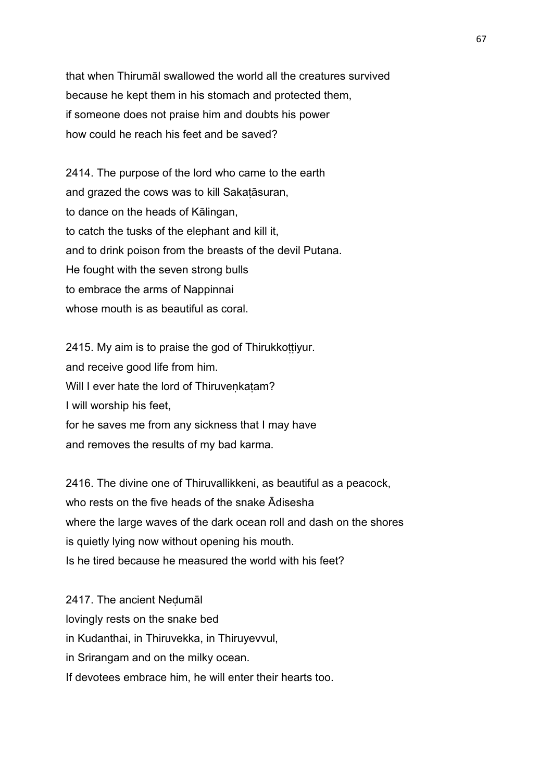that when Thirumāl swallowed the world all the creatures survived because he kept them in his stomach and protected them, if someone does not praise him and doubts his power how could he reach his feet and be saved?

2414. The purpose of the lord who came to the earth and grazed the cows was to kill Sakaṭāsuran, to dance on the heads of Kālingan, to catch the tusks of the elephant and kill it, and to drink poison from the breasts of the devil Putana. He fought with the seven strong bulls to embrace the arms of Nappinnai whose mouth is as beautiful as coral.

2415. My aim is to praise the god of Thirukkottiyur. and receive good life from him. Will I ever hate the lord of Thiruvenkatam? I will worship his feet, for he saves me from any sickness that I may have and removes the results of my bad karma.

2416. The divine one of Thiruvallikkeni, as beautiful as a peacock, who rests on the five heads of the snake Ādisesha where the large waves of the dark ocean roll and dash on the shores is quietly lying now without opening his mouth. Is he tired because he measured the world with his feet?

2417. The ancient Neḍumāl lovingly rests on the snake bed in Kudanthai, in Thiruvekka, in Thiruyevvul, in Srirangam and on the milky ocean. If devotees embrace him, he will enter their hearts too.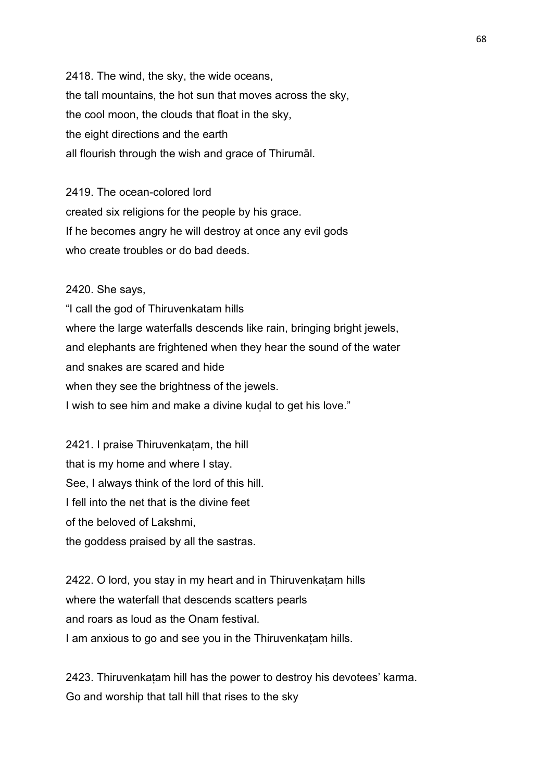2418. The wind, the sky, the wide oceans, the tall mountains, the hot sun that moves across the sky, the cool moon, the clouds that float in the sky, the eight directions and the earth all flourish through the wish and grace of Thirumāl.

2419. The ocean-colored lord created six religions for the people by his grace. If he becomes angry he will destroy at once any evil gods who create troubles or do bad deeds.

2420. She says, "I call the god of Thiruvenkatam hills where the large waterfalls descends like rain, bringing bright jewels, and elephants are frightened when they hear the sound of the water and snakes are scared and hide when they see the brightness of the jewels. I wish to see him and make a divine kudal to get his love."

2421. I praise Thiruvenkatam, the hill that is my home and where I stay. See, I always think of the lord of this hill. I fell into the net that is the divine feet of the beloved of Lakshmi, the goddess praised by all the sastras.

2422. O lord, you stay in my heart and in Thiruvenkaṭam hills where the waterfall that descends scatters pearls and roars as loud as the Onam festival. I am anxious to go and see you in the Thiruvenkatam hills.

2423. Thiruvenkatam hill has the power to destroy his devotees' karma. Go and worship that tall hill that rises to the sky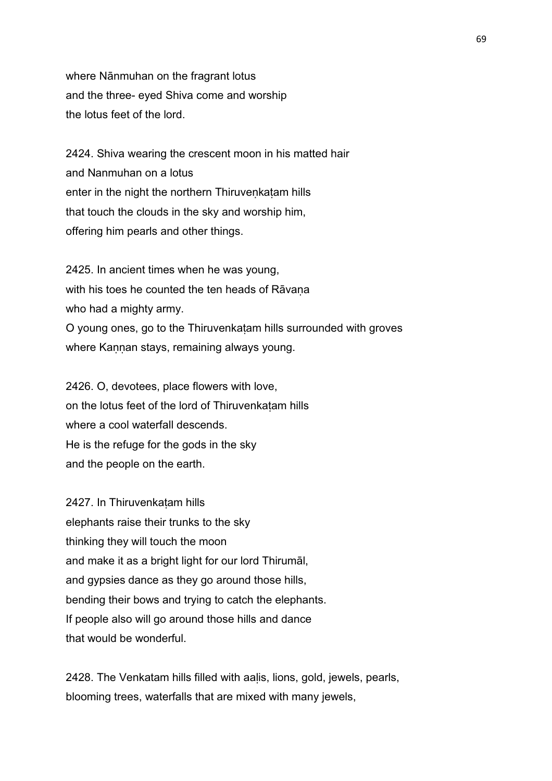where Nānmuhan on the fragrant lotus and the three- eyed Shiva come and worship the lotus feet of the lord.

2424. Shiva wearing the crescent moon in his matted hair and Nanmuhan on a lotus enter in the night the northern Thiruveṇkaṭam hills that touch the clouds in the sky and worship him, offering him pearls and other things.

2425. In ancient times when he was young, with his toes he counted the ten heads of Rāvana who had a mighty army. O young ones, go to the Thiruvenkaṭam hills surrounded with groves where Kannan stays, remaining always young.

2426. O, devotees, place flowers with love, on the lotus feet of the lord of Thiruvenkaṭam hills where a cool waterfall descends. He is the refuge for the gods in the sky and the people on the earth.

2427. In Thiruvenkaṭam hills elephants raise their trunks to the sky thinking they will touch the moon and make it as a bright light for our lord Thirumāl, and gypsies dance as they go around those hills, bending their bows and trying to catch the elephants. If people also will go around those hills and dance that would be wonderful.

2428. The Venkatam hills filled with aalis, lions, gold, jewels, pearls, blooming trees, waterfalls that are mixed with many jewels,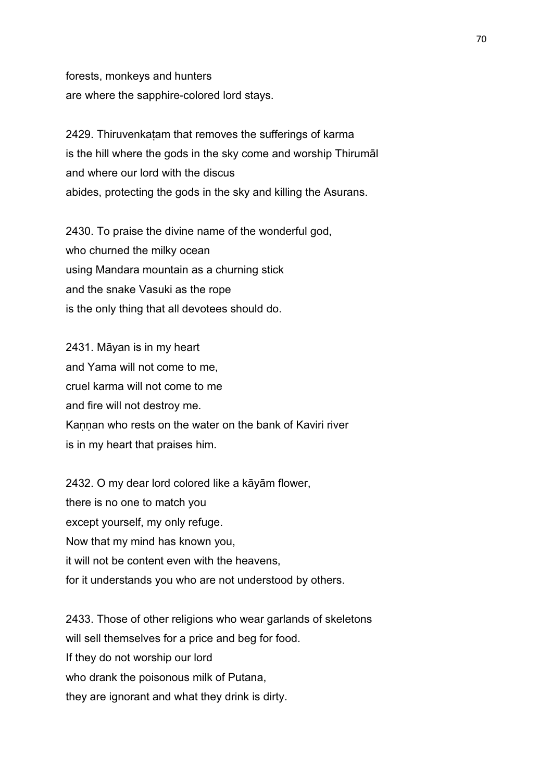forests, monkeys and hunters are where the sapphire-colored lord stays.

2429. Thiruvenkatam that removes the sufferings of karma is the hill where the gods in the sky come and worship Thirumāl and where our lord with the discus abides, protecting the gods in the sky and killing the Asurans.

2430. To praise the divine name of the wonderful god, who churned the milky ocean using Mandara mountain as a churning stick and the snake Vasuki as the rope is the only thing that all devotees should do.

2431. Māyan is in my heart and Yama will not come to me, cruel karma will not come to me and fire will not destroy me. Kannan who rests on the water on the bank of Kaviri river is in my heart that praises him.

2432. O my dear lord colored like a kāyām flower, there is no one to match you except yourself, my only refuge. Now that my mind has known you, it will not be content even with the heavens, for it understands you who are not understood by others.

2433. Those of other religions who wear garlands of skeletons will sell themselves for a price and beg for food. If they do not worship our lord who drank the poisonous milk of Putana. they are ignorant and what they drink is dirty.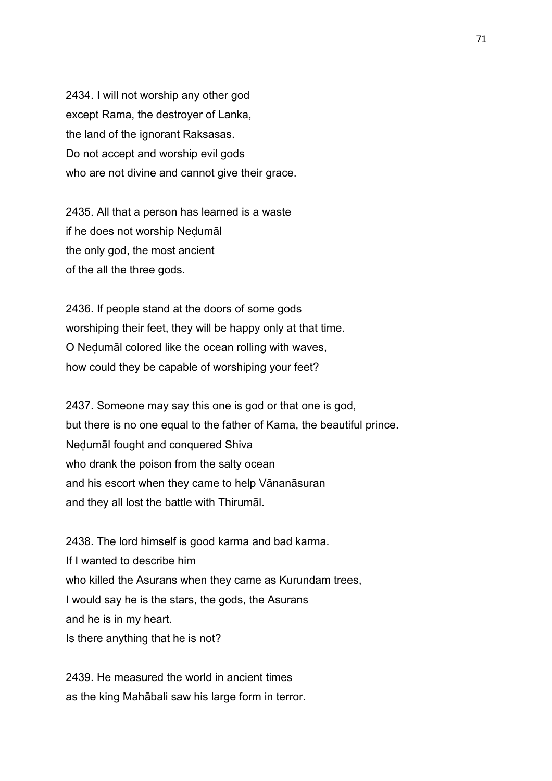2434. I will not worship any other god except Rama, the destroyer of Lanka, the land of the ignorant Raksasas. Do not accept and worship evil gods who are not divine and cannot give their grace.

2435. All that a person has learned is a waste if he does not worship Neḍumāl the only god, the most ancient of the all the three gods.

2436. If people stand at the doors of some gods worshiping their feet, they will be happy only at that time. O Neḍumāl colored like the ocean rolling with waves, how could they be capable of worshiping your feet?

2437. Someone may say this one is god or that one is god, but there is no one equal to the father of Kama, the beautiful prince. Neḍumāl fought and conquered Shiva who drank the poison from the salty ocean and his escort when they came to help Vānanāsuran and they all lost the battle with Thirumāl.

2438. The lord himself is good karma and bad karma. If I wanted to describe him who killed the Asurans when they came as Kurundam trees, I would say he is the stars, the gods, the Asurans and he is in my heart. Is there anything that he is not?

2439. He measured the world in ancient times as the king Mahābali saw his large form in terror.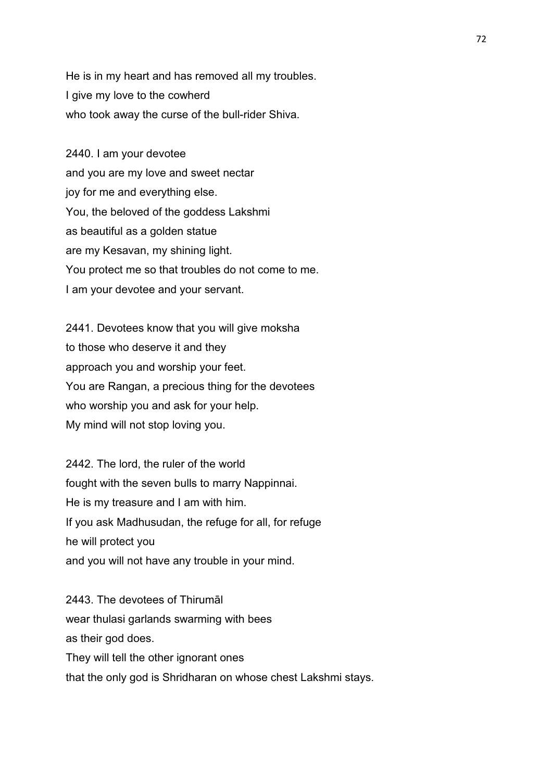He is in my heart and has removed all my troubles. I give my love to the cowherd who took away the curse of the bull-rider Shiva.

2440. I am your devotee and you are my love and sweet nectar joy for me and everything else. You, the beloved of the goddess Lakshmi as beautiful as a golden statue are my Kesavan, my shining light. You protect me so that troubles do not come to me. I am your devotee and your servant.

2441. Devotees know that you will give moksha to those who deserve it and they approach you and worship your feet. You are Rangan, a precious thing for the devotees who worship you and ask for your help. My mind will not stop loving you.

2442. The lord, the ruler of the world fought with the seven bulls to marry Nappinnai. He is my treasure and I am with him. If you ask Madhusudan, the refuge for all, for refuge he will protect you and you will not have any trouble in your mind.

2443. The devotees of Thirumāl wear thulasi garlands swarming with bees as their god does. They will tell the other ignorant ones that the only god is Shridharan on whose chest Lakshmi stays.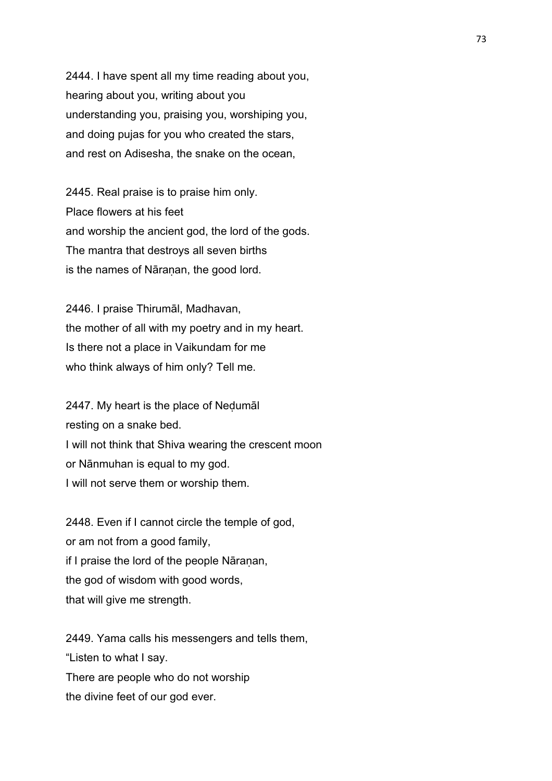2444. I have spent all my time reading about you, hearing about you, writing about you understanding you, praising you, worshiping you, and doing pujas for you who created the stars, and rest on Adisesha, the snake on the ocean,

2445. Real praise is to praise him only. Place flowers at his feet and worship the ancient god, the lord of the gods. The mantra that destroys all seven births is the names of Nāranan, the good lord.

2446. I praise Thirumāl, Madhavan, the mother of all with my poetry and in my heart. Is there not a place in Vaikundam for me who think always of him only? Tell me.

2447. My heart is the place of Neḍumāl resting on a snake bed. I will not think that Shiva wearing the crescent moon or Nānmuhan is equal to my god. I will not serve them or worship them.

2448. Even if I cannot circle the temple of god, or am not from a good family, if I praise the lord of the people Nāranan, the god of wisdom with good words, that will give me strength.

2449. Yama calls his messengers and tells them, "Listen to what I say. There are people who do not worship the divine feet of our god ever.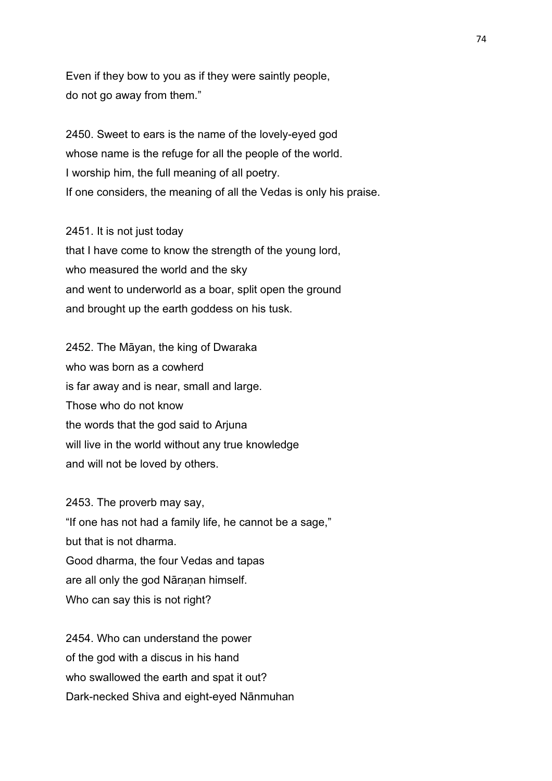Even if they bow to you as if they were saintly people, do not go away from them."

2450. Sweet to ears is the name of the lovely-eyed god whose name is the refuge for all the people of the world. I worship him, the full meaning of all poetry. If one considers, the meaning of all the Vedas is only his praise.

2451. It is not just today that I have come to know the strength of the young lord, who measured the world and the sky and went to underworld as a boar, split open the ground and brought up the earth goddess on his tusk.

2452. The Māyan, the king of Dwaraka who was born as a cowherd is far away and is near, small and large. Those who do not know the words that the god said to Arjuna will live in the world without any true knowledge and will not be loved by others.

2453. The proverb may say, "If one has not had a family life, he cannot be a sage," but that is not dharma. Good dharma, the four Vedas and tapas are all only the god Nāranan himself. Who can say this is not right?

2454. Who can understand the power of the god with a discus in his hand who swallowed the earth and spat it out? Dark-necked Shiva and eight-eyed Nānmuhan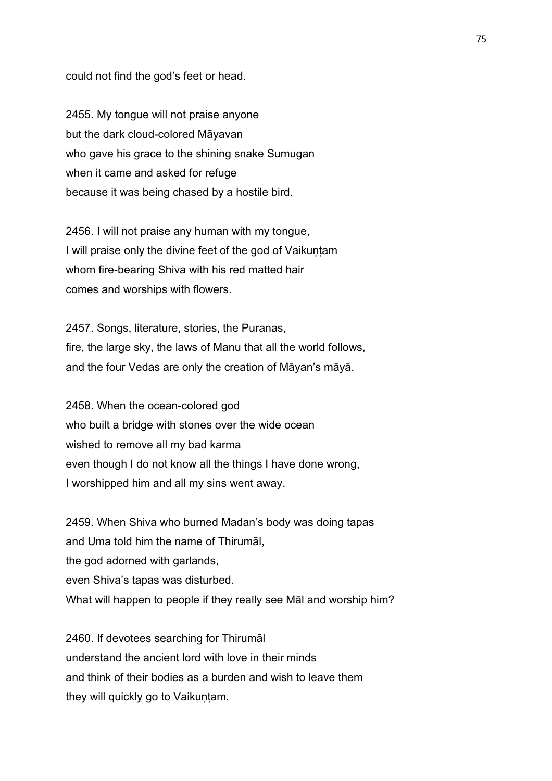could not find the god's feet or head.

2455. My tongue will not praise anyone but the dark cloud-colored Māyavan who gave his grace to the shining snake Sumugan when it came and asked for refuge because it was being chased by a hostile bird.

2456. I will not praise any human with my tongue, I will praise only the divine feet of the god of Vaikuntam whom fire-bearing Shiva with his red matted hair comes and worships with flowers.

2457. Songs, literature, stories, the Puranas, fire, the large sky, the laws of Manu that all the world follows, and the four Vedas are only the creation of Māyan's māyā.

2458. When the ocean-colored god who built a bridge with stones over the wide ocean wished to remove all my bad karma even though I do not know all the things I have done wrong, I worshipped him and all my sins went away.

2459. When Shiva who burned Madan's body was doing tapas and Uma told him the name of Thirumāl, the god adorned with garlands, even Shiva's tapas was disturbed. What will happen to people if they really see Māl and worship him?

2460. If devotees searching for Thirumāl understand the ancient lord with love in their minds and think of their bodies as a burden and wish to leave them they will quickly go to Vaikuntam.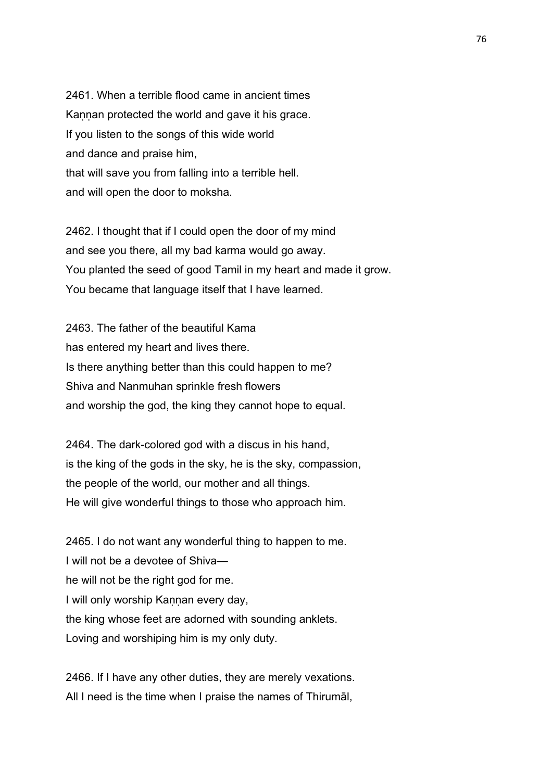2461. When a terrible flood came in ancient times Kaṇṇan protected the world and gave it his grace. If you listen to the songs of this wide world and dance and praise him, that will save you from falling into a terrible hell. and will open the door to moksha.

2462. I thought that if I could open the door of my mind and see you there, all my bad karma would go away. You planted the seed of good Tamil in my heart and made it grow. You became that language itself that I have learned.

2463. The father of the beautiful Kama has entered my heart and lives there. Is there anything better than this could happen to me? Shiva and Nanmuhan sprinkle fresh flowers and worship the god, the king they cannot hope to equal.

2464. The dark-colored god with a discus in his hand, is the king of the gods in the sky, he is the sky, compassion, the people of the world, our mother and all things. He will give wonderful things to those who approach him.

2465. I do not want any wonderful thing to happen to me. I will not be a devotee of Shiva he will not be the right god for me. I will only worship Kannan every day, the king whose feet are adorned with sounding anklets. Loving and worshiping him is my only duty.

2466. If I have any other duties, they are merely vexations. All I need is the time when I praise the names of Thirumāl,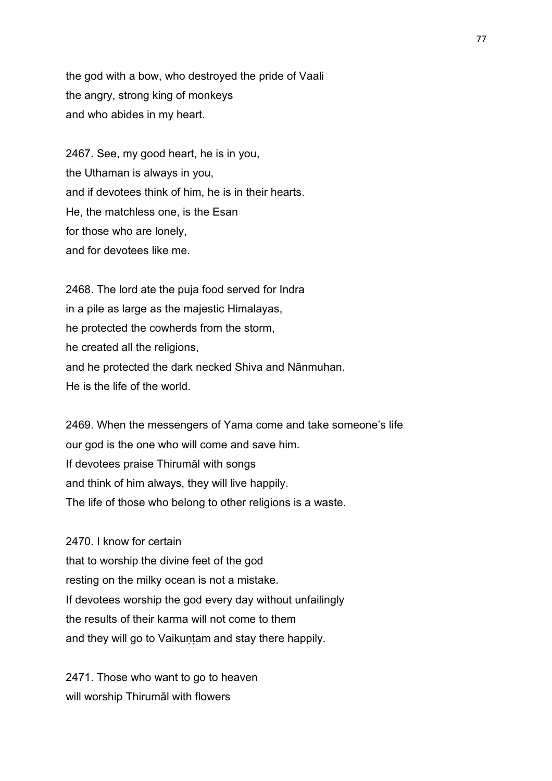the god with a bow, who destroyed the pride of Vaali the angry, strong king of monkeys and who abides in my heart.

2467. See, my good heart, he is in you, the Uthaman is always in you, and if devotees think of him, he is in their hearts. He, the matchless one, is the Esan for those who are lonely, and for devotees like me.

2468. The lord ate the puja food served for Indra in a pile as large as the majestic Himalayas, he protected the cowherds from the storm, he created all the religions, and he protected the dark necked Shiva and Nānmuhan. He is the life of the world.

2469. When the messengers of Yama come and take someone's life our god is the one who will come and save him. If devotees praise Thirumāl with songs and think of him always, they will live happily. The life of those who belong to other religions is a waste.

2470. I know for certain that to worship the divine feet of the god resting on the milky ocean is not a mistake. If devotees worship the god every day without unfailingly the results of their karma will not come to them and they will go to Vaikuntam and stay there happily.

2471. Those who want to go to heaven will worship Thirumāl with flowers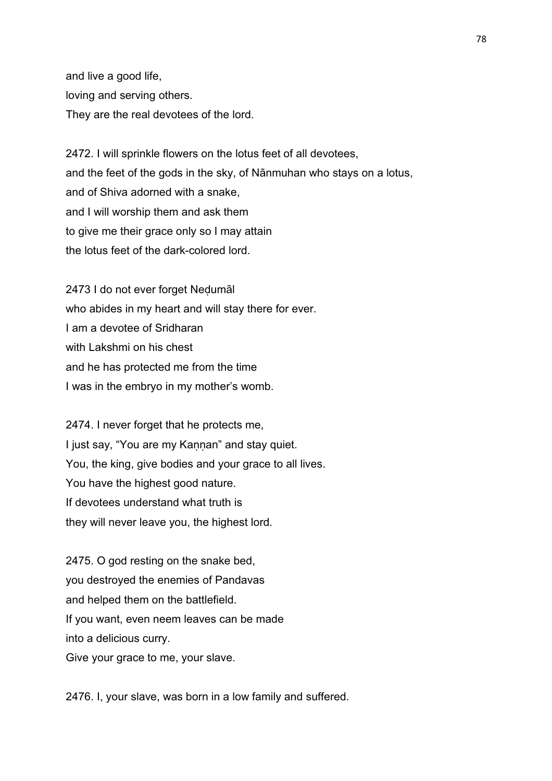and live a good life, loving and serving others. They are the real devotees of the lord.

2472. I will sprinkle flowers on the lotus feet of all devotees, and the feet of the gods in the sky, of Nānmuhan who stays on a lotus, and of Shiva adorned with a snake, and I will worship them and ask them to give me their grace only so I may attain the lotus feet of the dark-colored lord.

2473 I do not ever forget Neḍumāl who abides in my heart and will stay there for ever. I am a devotee of Sridharan with Lakshmi on his chest and he has protected me from the time I was in the embryo in my mother's womb.

2474. I never forget that he protects me, I just say, "You are my Kaṇṇan" and stay quiet. You, the king, give bodies and your grace to all lives. You have the highest good nature. If devotees understand what truth is they will never leave you, the highest lord.

2475. O god resting on the snake bed, you destroyed the enemies of Pandavas and helped them on the battlefield. If you want, even neem leaves can be made into a delicious curry. Give your grace to me, your slave.

2476. I, your slave, was born in a low family and suffered.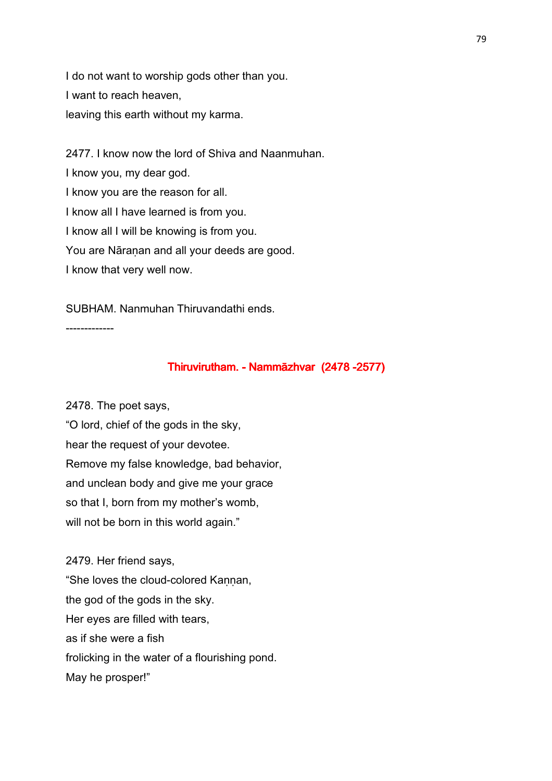I do not want to worship gods other than you. I want to reach heaven, leaving this earth without my karma.

2477. I know now the lord of Shiva and Naanmuhan. I know you, my dear god. I know you are the reason for all. I know all I have learned is from you. I know all I will be knowing is from you. You are Nāranan and all your deeds are good. I know that very well now.

SUBHAM. Nanmuhan Thiruvandathi ends.

-------------

## Thiruvirutham. - Nammāzhvar (2478 -2577)

2478. The poet says,

"O lord, chief of the gods in the sky, hear the request of your devotee. Remove my false knowledge, bad behavior, and unclean body and give me your grace so that I, born from my mother's womb, will not be born in this world again."

2479. Her friend says, "She loves the cloud-colored Kannan, the god of the gods in the sky. Her eyes are filled with tears, as if she were a fish frolicking in the water of a flourishing pond. May he prosper!"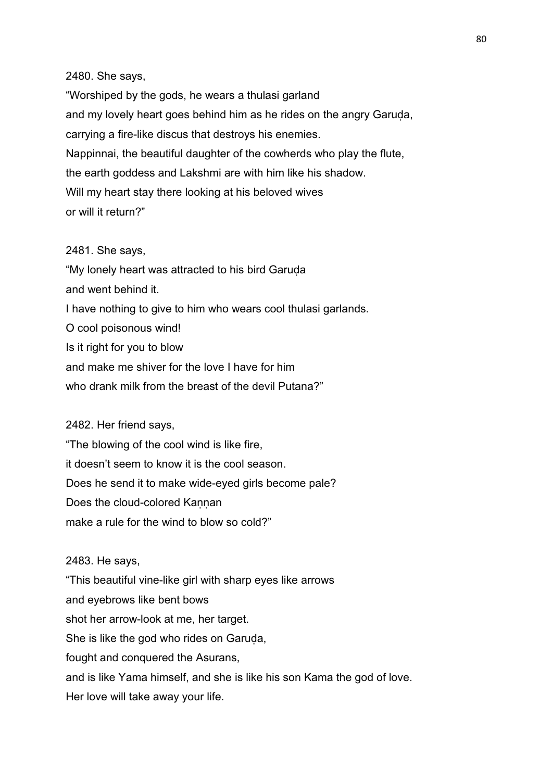### 2480. She says,

"Worshiped by the gods, he wears a thulasi garland and my lovely heart goes behind him as he rides on the angry Garuda, carrying a fire-like discus that destroys his enemies. Nappinnai, the beautiful daughter of the cowherds who play the flute, the earth goddess and Lakshmi are with him like his shadow. Will my heart stay there looking at his beloved wives or will it return?"

# 2481. She says,

"My lonely heart was attracted to his bird Garuḍa and went behind it. I have nothing to give to him who wears cool thulasi garlands. O cool poisonous wind! Is it right for you to blow and make me shiver for the love I have for him who drank milk from the breast of the devil Putana?"

### 2482. Her friend says,

"The blowing of the cool wind is like fire, it doesn't seem to know it is the cool season. Does he send it to make wide-eyed girls become pale? Does the cloud-colored Kannan make a rule for the wind to blow so cold?"

### 2483. He says,

"This beautiful vine-like girl with sharp eyes like arrows and eyebrows like bent bows shot her arrow-look at me, her target. She is like the god who rides on Garuda, fought and conquered the Asurans, and is like Yama himself, and she is like his son Kama the god of love. Her love will take away your life.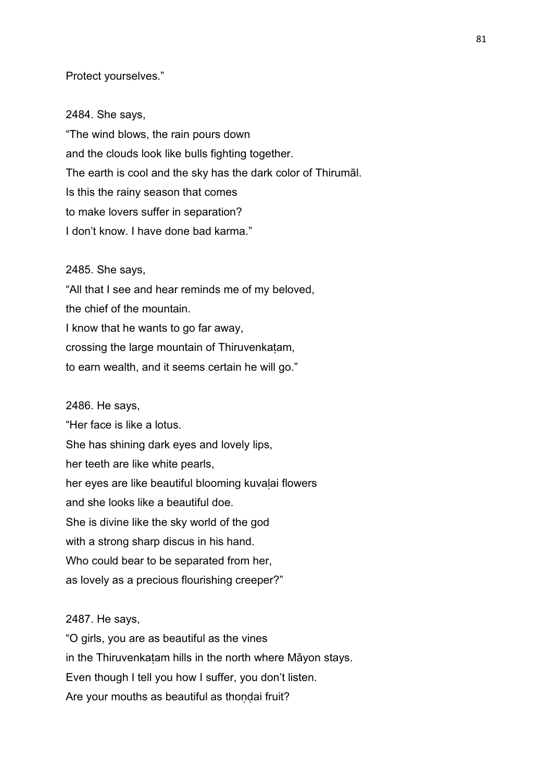### Protect yourselves."

#### 2484. She says,

"The wind blows, the rain pours down and the clouds look like bulls fighting together. The earth is cool and the sky has the dark color of Thirumāl. Is this the rainy season that comes to make lovers suffer in separation? I don't know. I have done bad karma."

#### 2485. She says,

"All that I see and hear reminds me of my beloved, the chief of the mountain. I know that he wants to go far away, crossing the large mountain of Thiruvenkaṭam, to earn wealth, and it seems certain he will go."

#### 2486. He says,

"Her face is like a lotus. She has shining dark eyes and lovely lips, her teeth are like white pearls, her eyes are like beautiful blooming kuvalai flowers and she looks like a beautiful doe. She is divine like the sky world of the god with a strong sharp discus in his hand. Who could bear to be separated from her, as lovely as a precious flourishing creeper?"

### 2487. He says,

"O girls, you are as beautiful as the vines in the Thiruvenkatam hills in the north where Māyon stays. Even though I tell you how I suffer, you don't listen. Are your mouths as beautiful as thondai fruit?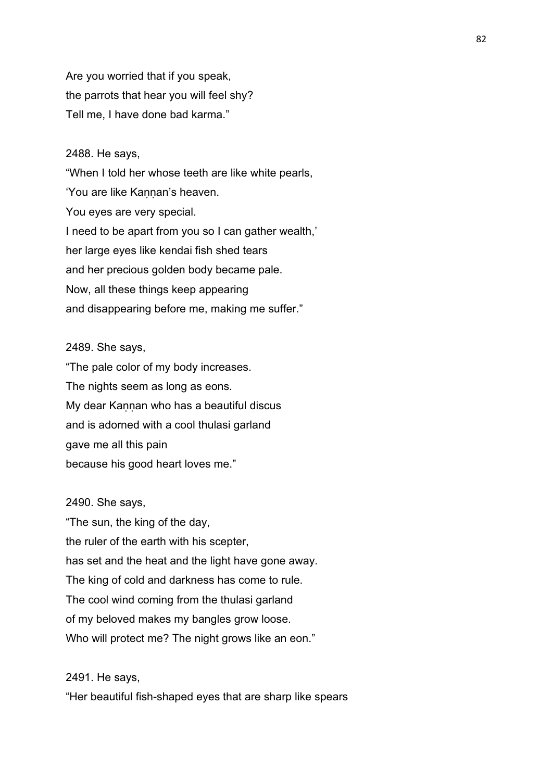Are you worried that if you speak, the parrots that hear you will feel shy? Tell me, I have done bad karma."

### 2488. He says,

"When I told her whose teeth are like white pearls, 'You are like Kannan's heaven. You eyes are very special. I need to be apart from you so I can gather wealth,' her large eyes like kendai fish shed tears and her precious golden body became pale. Now, all these things keep appearing and disappearing before me, making me suffer."

### 2489. She says,

"The pale color of my body increases. The nights seem as long as eons. My dear Kannan who has a beautiful discus and is adorned with a cool thulasi garland gave me all this pain because his good heart loves me."

### 2490. She says,

"The sun, the king of the day, the ruler of the earth with his scepter, has set and the heat and the light have gone away. The king of cold and darkness has come to rule. The cool wind coming from the thulasi garland of my beloved makes my bangles grow loose. Who will protect me? The night grows like an eon."

2491. He says,

"Her beautiful fish-shaped eyes that are sharp like spears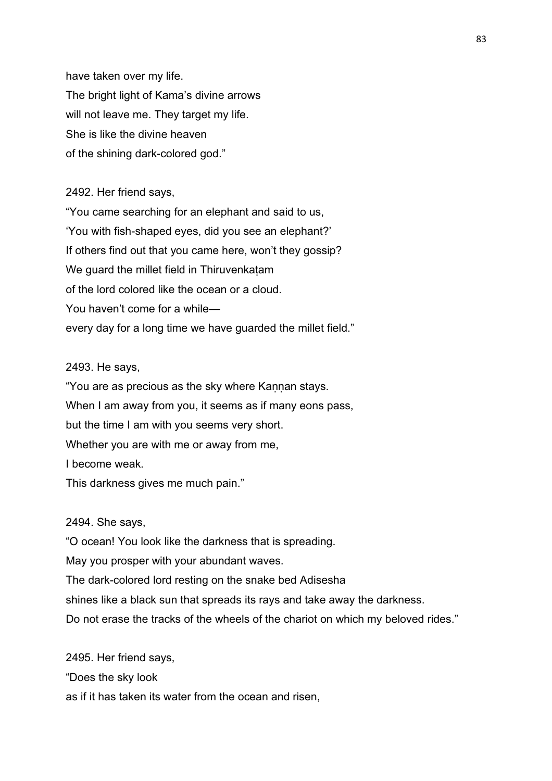have taken over my life. The bright light of Kama's divine arrows will not leave me. They target my life. She is like the divine heaven of the shining dark-colored god."

### 2492. Her friend says,

"You came searching for an elephant and said to us, 'You with fish-shaped eyes, did you see an elephant?' If others find out that you came here, won't they gossip? We guard the millet field in Thiruvenkatam of the lord colored like the ocean or a cloud. You haven't come for a while every day for a long time we have guarded the millet field."

### 2493. He says,

"You are as precious as the sky where Kannan stays. When I am away from you, it seems as if many eons pass, but the time I am with you seems very short. Whether you are with me or away from me, I become weak.

This darkness gives me much pain."

### 2494. She says,

"O ocean! You look like the darkness that is spreading.

May you prosper with your abundant waves.

The dark-colored lord resting on the snake bed Adisesha

shines like a black sun that spreads its rays and take away the darkness.

Do not erase the tracks of the wheels of the chariot on which my beloved rides."

2495. Her friend says, "Does the sky look as if it has taken its water from the ocean and risen,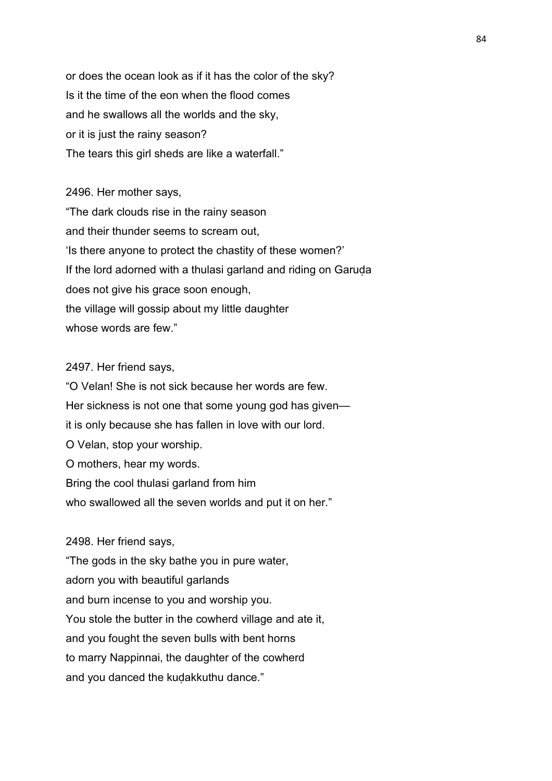or does the ocean look as if it has the color of the sky? Is it the time of the eon when the flood comes and he swallows all the worlds and the sky, or it is just the rainy season? The tears this girl sheds are like a waterfall."

2496. Her mother says, "The dark clouds rise in the rainy season and their thunder seems to scream out, 'Is there anyone to protect the chastity of these women?' If the lord adorned with a thulasi garland and riding on Garuda does not give his grace soon enough, the village will gossip about my little daughter whose words are few."

### 2497. Her friend says,

"O Velan! She is not sick because her words are few. Her sickness is not one that some young god has given it is only because she has fallen in love with our lord. O Velan, stop your worship. O mothers, hear my words. Bring the cool thulasi garland from him who swallowed all the seven worlds and put it on her."

### 2498. Her friend says,

"The gods in the sky bathe you in pure water, adorn you with beautiful garlands and burn incense to you and worship you. You stole the butter in the cowherd village and ate it, and you fought the seven bulls with bent horns to marry Nappinnai, the daughter of the cowherd and you danced the kuḍakkuthu dance."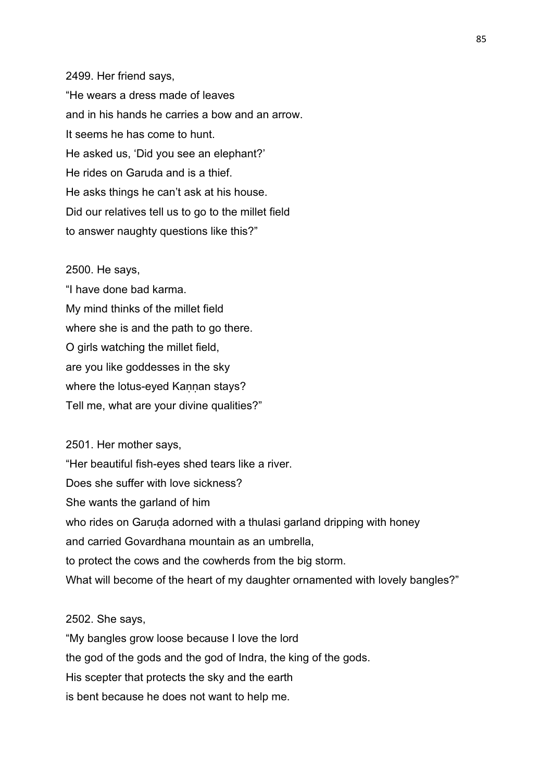2499. Her friend says, "He wears a dress made of leaves and in his hands he carries a bow and an arrow. It seems he has come to hunt. He asked us, 'Did you see an elephant?' He rides on Garuda and is a thief. He asks things he can't ask at his house. Did our relatives tell us to go to the millet field to answer naughty questions like this?"

#### 2500. He says,

"I have done bad karma. My mind thinks of the millet field where she is and the path to go there. O girls watching the millet field, are you like goddesses in the sky where the lotus-eyed Kannan stays? Tell me, what are your divine qualities?"

2501. Her mother says, "Her beautiful fish-eyes shed tears like a river. Does she suffer with love sickness? She wants the garland of him who rides on Garuda adorned with a thulasi garland dripping with honey and carried Govardhana mountain as an umbrella, to protect the cows and the cowherds from the big storm. What will become of the heart of my daughter ornamented with lovely bangles?"

### 2502. She says,

"My bangles grow loose because I love the lord the god of the gods and the god of Indra, the king of the gods. His scepter that protects the sky and the earth is bent because he does not want to help me.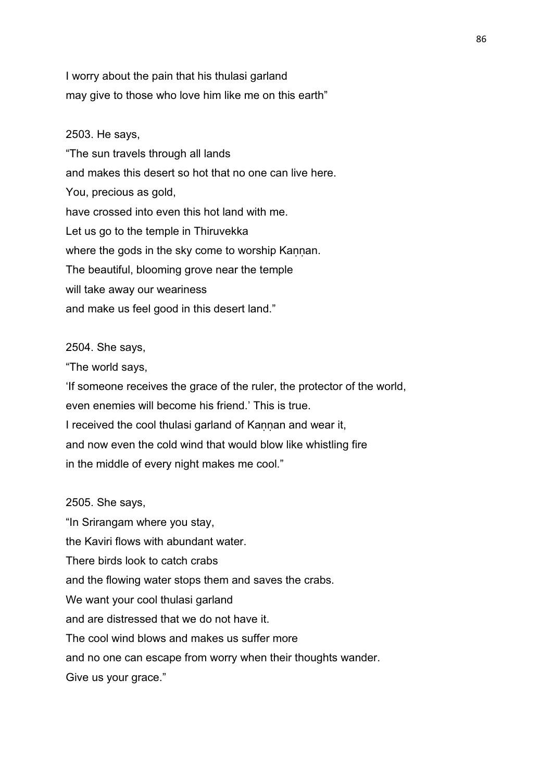I worry about the pain that his thulasi garland may give to those who love him like me on this earth"

2503. He says, "The sun travels through all lands and makes this desert so hot that no one can live here. You, precious as gold, have crossed into even this hot land with me. Let us go to the temple in Thiruvekka where the gods in the sky come to worship Kannan. The beautiful, blooming grove near the temple will take away our weariness and make us feel good in this desert land."

### 2504. She says,

"The world says,

'If someone receives the grace of the ruler, the protector of the world, even enemies will become his friend.' This is true. I received the cool thulasi garland of Kannan and wear it, and now even the cold wind that would blow like whistling fire in the middle of every night makes me cool."

2505. She says, "In Srirangam where you stay, the Kaviri flows with abundant water. There birds look to catch crabs and the flowing water stops them and saves the crabs. We want your cool thulasi garland and are distressed that we do not have it. The cool wind blows and makes us suffer more and no one can escape from worry when their thoughts wander.

Give us your grace."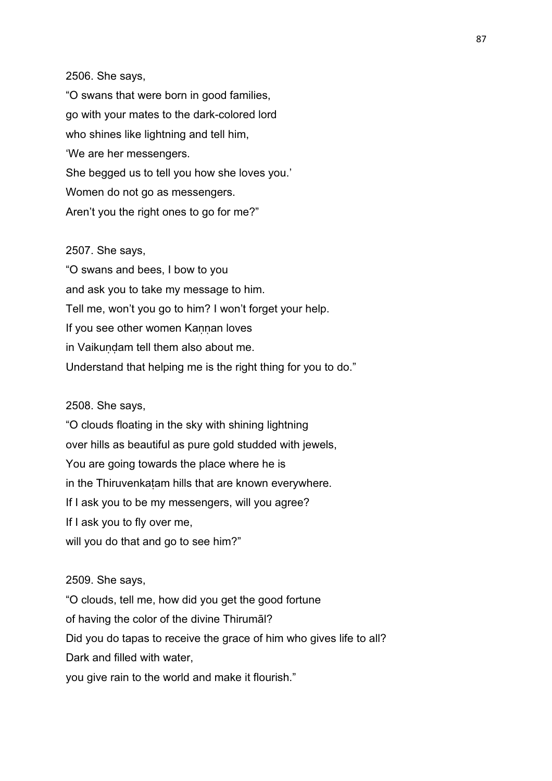### 2506. She says,

"O swans that were born in good families, go with your mates to the dark-colored lord who shines like lightning and tell him, 'We are her messengers. She begged us to tell you how she loves you.' Women do not go as messengers. Aren't you the right ones to go for me?"

## 2507. She says,

"O swans and bees, I bow to you and ask you to take my message to him. Tell me, won't you go to him? I won't forget your help. If you see other women Kannan loves in Vaikundam tell them also about me. Understand that helping me is the right thing for you to do."

### 2508. She says,

"O clouds floating in the sky with shining lightning over hills as beautiful as pure gold studded with jewels, You are going towards the place where he is in the Thiruvenkatam hills that are known everywhere. If I ask you to be my messengers, will you agree? If I ask you to fly over me, will you do that and go to see him?"

#### 2509. She says,

"O clouds, tell me, how did you get the good fortune

of having the color of the divine Thirumāl?

Did you do tapas to receive the grace of him who gives life to all?

Dark and filled with water,

you give rain to the world and make it flourish."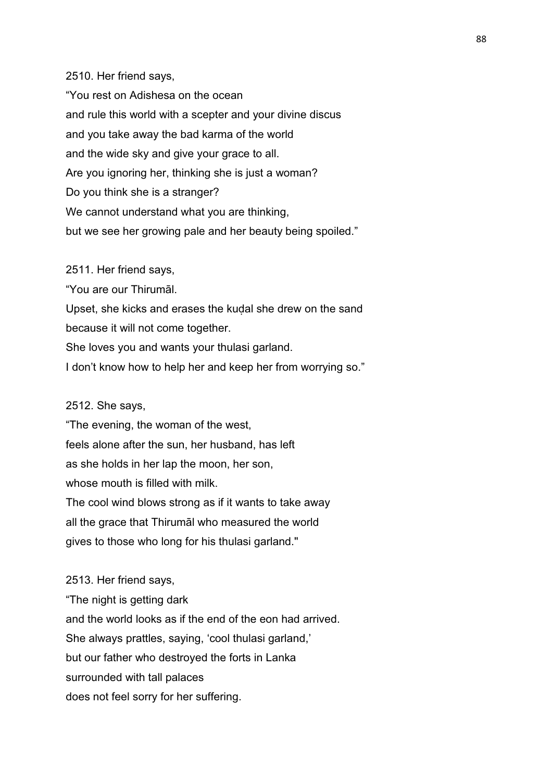## 2510. Her friend says,

"You rest on Adishesa on the ocean and rule this world with a scepter and your divine discus and you take away the bad karma of the world and the wide sky and give your grace to all. Are you ignoring her, thinking she is just a woman? Do you think she is a stranger? We cannot understand what you are thinking, but we see her growing pale and her beauty being spoiled."

2511. Her friend says,

"You are our Thirumāl.

Upset, she kicks and erases the kudal she drew on the sand because it will not come together.

She loves you and wants your thulasi garland.

I don't know how to help her and keep her from worrying so."

#### 2512. She says,

"The evening, the woman of the west, feels alone after the sun, her husband, has left as she holds in her lap the moon, her son, whose mouth is filled with milk. The cool wind blows strong as if it wants to take away all the grace that Thirumāl who measured the world gives to those who long for his thulasi garland."

2513. Her friend says, "The night is getting dark and the world looks as if the end of the eon had arrived. She always prattles, saying, 'cool thulasi garland,' but our father who destroyed the forts in Lanka surrounded with tall palaces does not feel sorry for her suffering.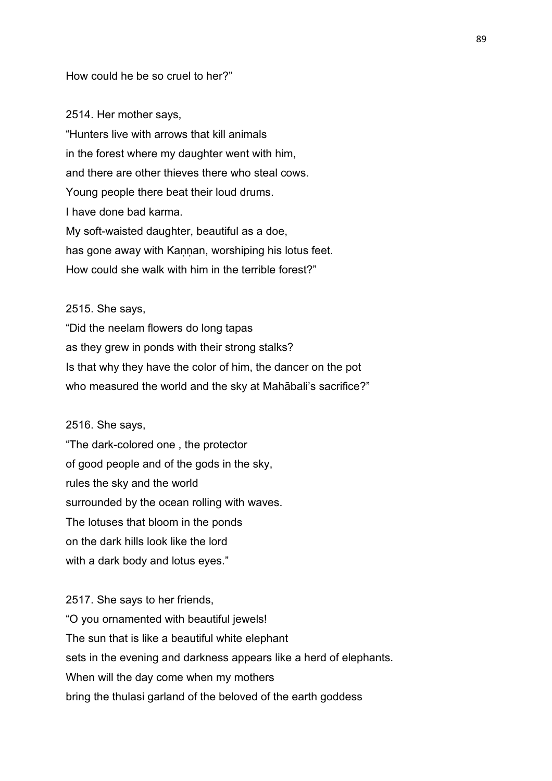### How could he be so cruel to her?"

2514. Her mother says, "Hunters live with arrows that kill animals in the forest where my daughter went with him, and there are other thieves there who steal cows. Young people there beat their loud drums. I have done bad karma. My soft-waisted daughter, beautiful as a doe, has gone away with Kannan, worshiping his lotus feet. How could she walk with him in the terrible forest?"

### 2515. She says,

"Did the neelam flowers do long tapas as they grew in ponds with their strong stalks? Is that why they have the color of him, the dancer on the pot who measured the world and the sky at Mahābali's sacrifice?"

### 2516. She says,

"The dark-colored one , the protector of good people and of the gods in the sky, rules the sky and the world surrounded by the ocean rolling with waves. The lotuses that bloom in the ponds on the dark hills look like the lord with a dark body and lotus eyes."

2517. She says to her friends, "O you ornamented with beautiful jewels! The sun that is like a beautiful white elephant sets in the evening and darkness appears like a herd of elephants. When will the day come when my mothers bring the thulasi garland of the beloved of the earth goddess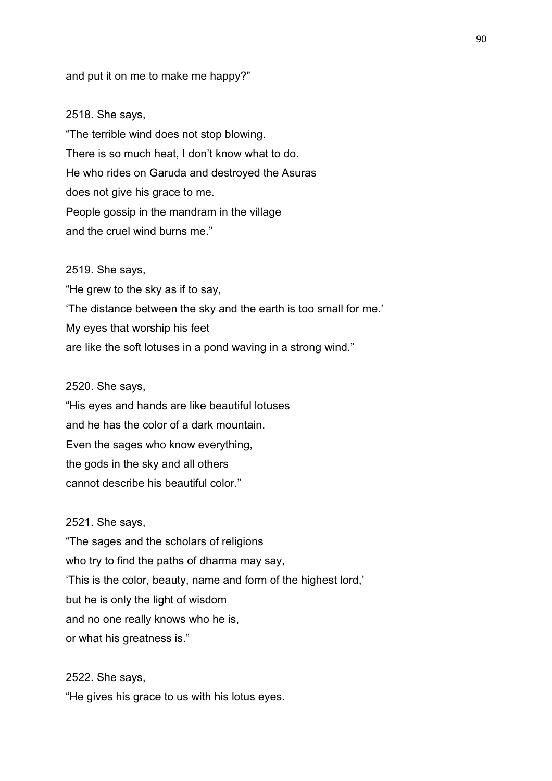and put it on me to make me happy?"

#### 2518. She says,

"The terrible wind does not stop blowing. There is so much heat, I don't know what to do. He who rides on Garuda and destroyed the Asuras does not give his grace to me. People gossip in the mandram in the village and the cruel wind burns me."

#### 2519. She says,

"He grew to the sky as if to say, 'The distance between the sky and the earth is too small for me.' My eyes that worship his feet are like the soft lotuses in a pond waving in a strong wind."

### 2520. She says,

"His eyes and hands are like beautiful lotuses and he has the color of a dark mountain. Even the sages who know everything, the gods in the sky and all others cannot describe his beautiful color."

### 2521. She says,

"The sages and the scholars of religions who try to find the paths of dharma may say, 'This is the color, beauty, name and form of the highest lord,' but he is only the light of wisdom and no one really knows who he is, or what his greatness is."

# 2522. She says, "He gives his grace to us with his lotus eyes.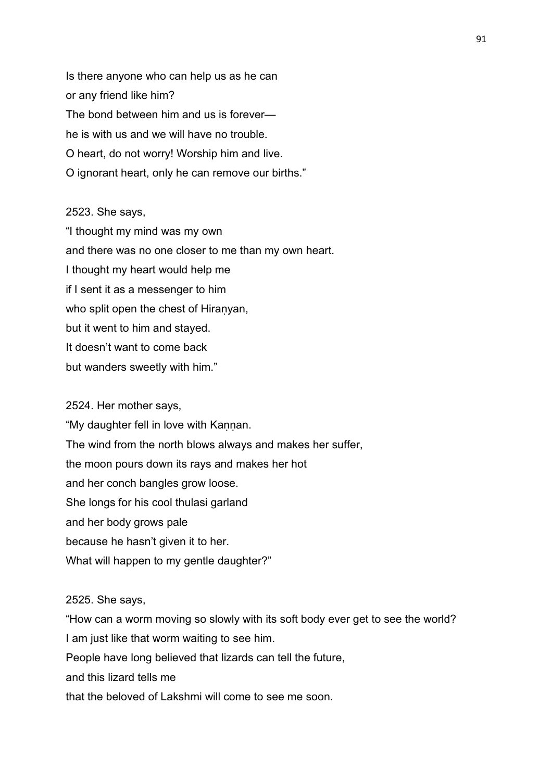Is there anyone who can help us as he can or any friend like him? The bond between him and us is forever he is with us and we will have no trouble. O heart, do not worry! Worship him and live. O ignorant heart, only he can remove our births."

### 2523. She says,

"I thought my mind was my own and there was no one closer to me than my own heart. I thought my heart would help me if I sent it as a messenger to him who split open the chest of Hiranyan, but it went to him and stayed. It doesn't want to come back but wanders sweetly with him."

### 2524. Her mother says,

"My daughter fell in love with Kannan. The wind from the north blows always and makes her suffer, the moon pours down its rays and makes her hot and her conch bangles grow loose. She longs for his cool thulasi garland and her body grows pale because he hasn't given it to her. What will happen to my gentle daughter?"

### 2525. She says,

"How can a worm moving so slowly with its soft body ever get to see the world? I am just like that worm waiting to see him. People have long believed that lizards can tell the future, and this lizard tells me that the beloved of Lakshmi will come to see me soon.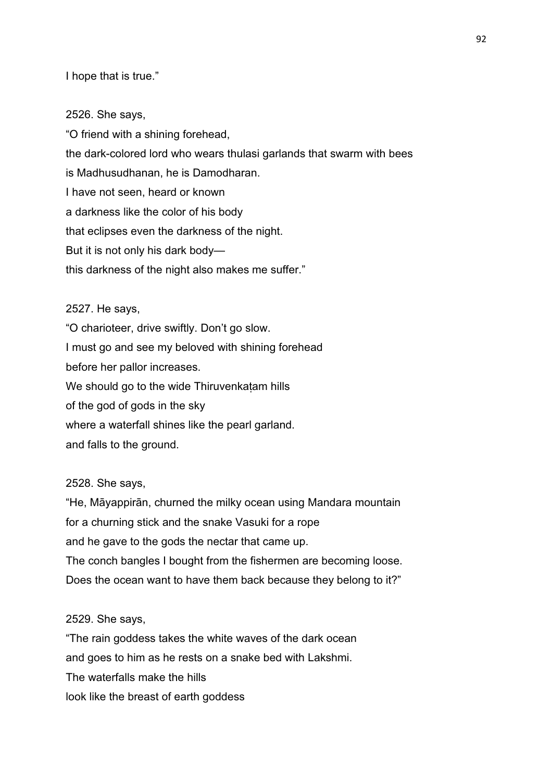I hope that is true."

2526. She says, "O friend with a shining forehead, the dark-colored lord who wears thulasi garlands that swarm with bees is Madhusudhanan, he is Damodharan. I have not seen, heard or known a darkness like the color of his body that eclipses even the darkness of the night. But it is not only his dark body this darkness of the night also makes me suffer."

### 2527. He says,

"O charioteer, drive swiftly. Don't go slow. I must go and see my beloved with shining forehead before her pallor increases. We should go to the wide Thiruvenkatam hills of the god of gods in the sky where a waterfall shines like the pearl garland. and falls to the ground.

### 2528. She says,

"He, Māyappirān, churned the milky ocean using Mandara mountain for a churning stick and the snake Vasuki for a rope and he gave to the gods the nectar that came up. The conch bangles I bought from the fishermen are becoming loose. Does the ocean want to have them back because they belong to it?"

### 2529. She says,

"The rain goddess takes the white waves of the dark ocean and goes to him as he rests on a snake bed with Lakshmi. The waterfalls make the hills look like the breast of earth goddess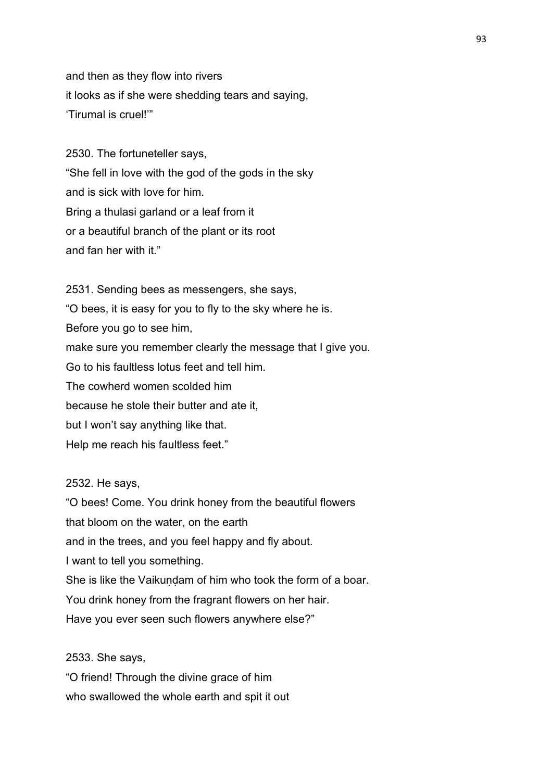and then as they flow into rivers it looks as if she were shedding tears and saying, 'Tirumal is cruel!'"

2530. The fortuneteller says, "She fell in love with the god of the gods in the sky and is sick with love for him. Bring a thulasi garland or a leaf from it or a beautiful branch of the plant or its root and fan her with it."

2531. Sending bees as messengers, she says, "O bees, it is easy for you to fly to the sky where he is. Before you go to see him, make sure you remember clearly the message that I give you. Go to his faultless lotus feet and tell him. The cowherd women scolded him because he stole their butter and ate it, but I won't say anything like that. Help me reach his faultless feet."

2532. He says,

"O bees! Come. You drink honey from the beautiful flowers that bloom on the water, on the earth and in the trees, and you feel happy and fly about. I want to tell you something. She is like the Vaikundam of him who took the form of a boar. You drink honey from the fragrant flowers on her hair. Have you ever seen such flowers anywhere else?"

2533. She says,

"O friend! Through the divine grace of him who swallowed the whole earth and spit it out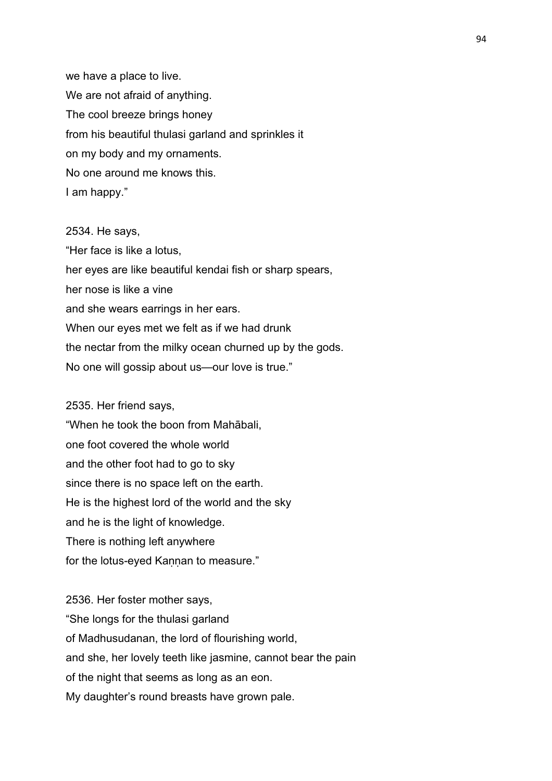we have a place to live. We are not afraid of anything. The cool breeze brings honey from his beautiful thulasi garland and sprinkles it on my body and my ornaments. No one around me knows this. I am happy."

2534. He says, "Her face is like a lotus, her eyes are like beautiful kendai fish or sharp spears, her nose is like a vine and she wears earrings in her ears. When our eyes met we felt as if we had drunk the nectar from the milky ocean churned up by the gods. No one will gossip about us—our love is true."

#### 2535. Her friend says,

"When he took the boon from Mahābali, one foot covered the whole world and the other foot had to go to sky since there is no space left on the earth. He is the highest lord of the world and the sky and he is the light of knowledge. There is nothing left anywhere for the lotus-eyed Kannan to measure."

2536. Her foster mother says, "She longs for the thulasi garland of Madhusudanan, the lord of flourishing world, and she, her lovely teeth like jasmine, cannot bear the pain of the night that seems as long as an eon. My daughter's round breasts have grown pale.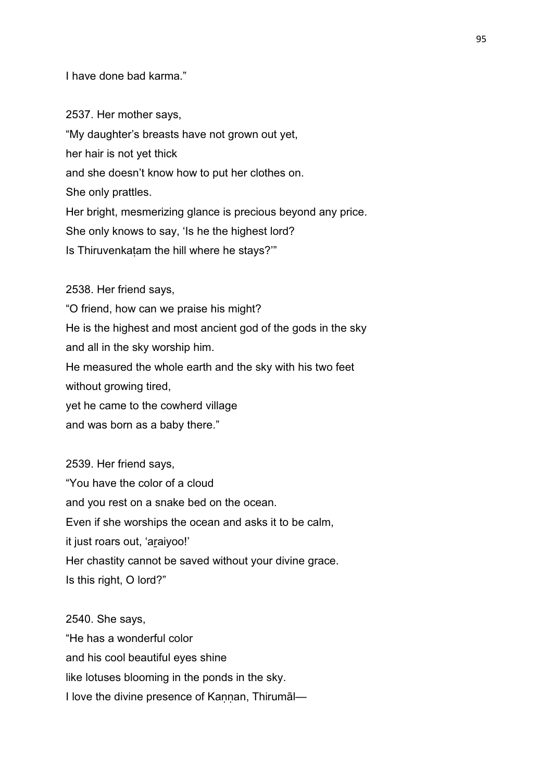I have done bad karma."

2537. Her mother says,

"My daughter's breasts have not grown out yet,

her hair is not yet thick

and she doesn't know how to put her clothes on.

She only prattles.

Her bright, mesmerizing glance is precious beyond any price.

She only knows to say, 'Is he the highest lord?

Is Thiruvenkatam the hill where he stays?"

2538. Her friend says, "O friend, how can we praise his might? He is the highest and most ancient god of the gods in the sky and all in the sky worship him. He measured the whole earth and the sky with his two feet without growing tired, yet he came to the cowherd village and was born as a baby there."

2539. Her friend says, "You have the color of a cloud and you rest on a snake bed on the ocean. Even if she worships the ocean and asks it to be calm, it just roars out, 'aṟaiyoo!' Her chastity cannot be saved without your divine grace. Is this right, O lord?"

2540. She says, "He has a wonderful color and his cool beautiful eyes shine like lotuses blooming in the ponds in the sky. I love the divine presence of Kannan, Thirumāl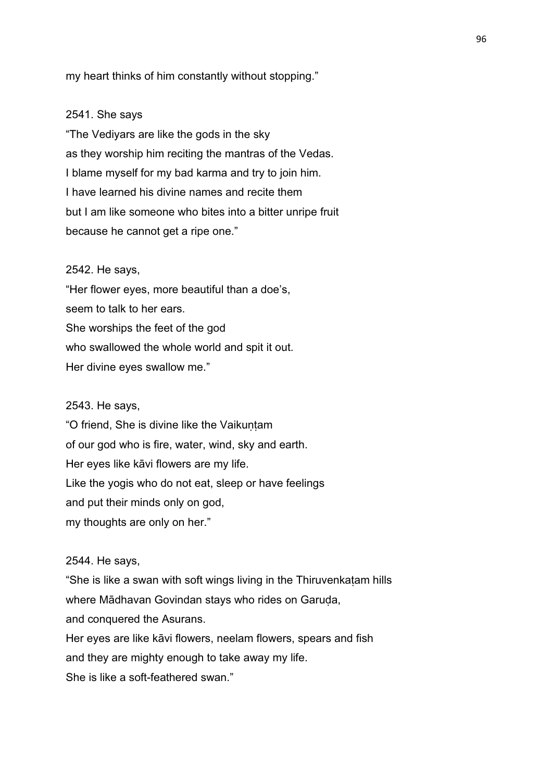my heart thinks of him constantly without stopping."

### 2541. She says

"The Vediyars are like the gods in the sky as they worship him reciting the mantras of the Vedas. I blame myself for my bad karma and try to join him. I have learned his divine names and recite them but I am like someone who bites into a bitter unripe fruit because he cannot get a ripe one."

### 2542. He says,

"Her flower eyes, more beautiful than a doe's, seem to talk to her ears. She worships the feet of the god who swallowed the whole world and spit it out. Her divine eyes swallow me."

#### 2543. He says,

"O friend, She is divine like the Vaikuntam of our god who is fire, water, wind, sky and earth. Her eyes like kāvi flowers are my life. Like the yogis who do not eat, sleep or have feelings and put their minds only on god, my thoughts are only on her."

### 2544. He says,

"She is like a swan with soft wings living in the Thiruvenkaṭam hills where Mādhavan Govindan stays who rides on Garuda, and conquered the Asurans. Her eyes are like kāvi flowers, neelam flowers, spears and fish and they are mighty enough to take away my life. She is like a soft-feathered swan."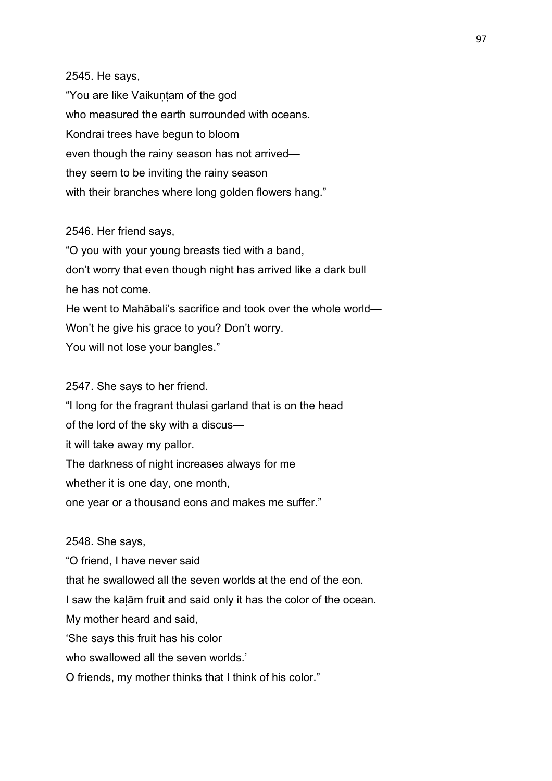# 2545. He says,

"You are like Vaikuṇṭam of the god who measured the earth surrounded with oceans. Kondrai trees have begun to bloom even though the rainy season has not arrived they seem to be inviting the rainy season with their branches where long golden flowers hang."

### 2546. Her friend says,

"O you with your young breasts tied with a band, don't worry that even though night has arrived like a dark bull he has not come. He went to Mahābali's sacrifice and took over the whole world— Won't he give his grace to you? Don't worry. You will not lose your bangles."

### 2547. She says to her friend.

"I long for the fragrant thulasi garland that is on the head of the lord of the sky with a discus it will take away my pallor. The darkness of night increases always for me whether it is one day, one month, one year or a thousand eons and makes me suffer."

2548. She says,

"O friend, I have never said that he swallowed all the seven worlds at the end of the eon. I saw the kaḷām fruit and said only it has the color of the ocean. My mother heard and said, 'She says this fruit has his color who swallowed all the seven worlds.' O friends, my mother thinks that I think of his color."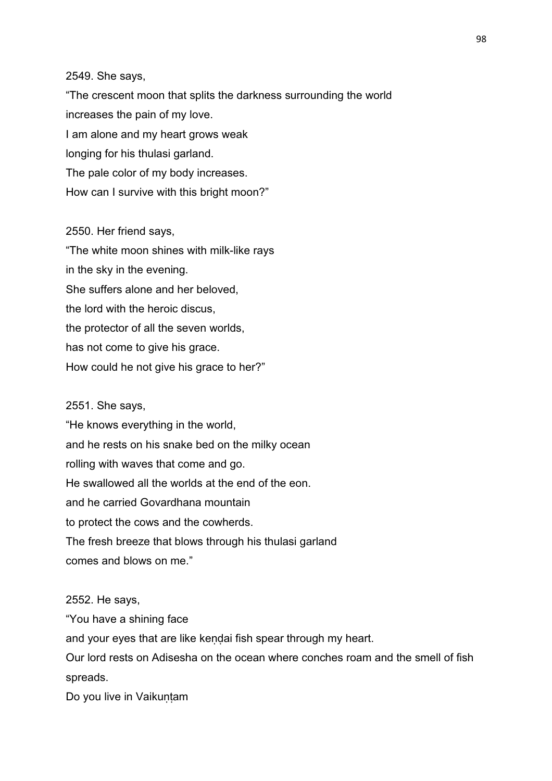### 2549. She says,

"The crescent moon that splits the darkness surrounding the world increases the pain of my love. I am alone and my heart grows weak longing for his thulasi garland. The pale color of my body increases. How can I survive with this bright moon?"

### 2550. Her friend says,

"The white moon shines with milk-like rays in the sky in the evening. She suffers alone and her beloved, the lord with the heroic discus, the protector of all the seven worlds, has not come to give his grace. How could he not give his grace to her?"

#### 2551. She says,

"He knows everything in the world, and he rests on his snake bed on the milky ocean rolling with waves that come and go. He swallowed all the worlds at the end of the eon. and he carried Govardhana mountain to protect the cows and the cowherds. The fresh breeze that blows through his thulasi garland comes and blows on me."

### 2552. He says,

"You have a shining face

and your eyes that are like kendai fish spear through my heart.

Our lord rests on Adisesha on the ocean where conches roam and the smell of fish spreads.

Do you live in Vaikuntam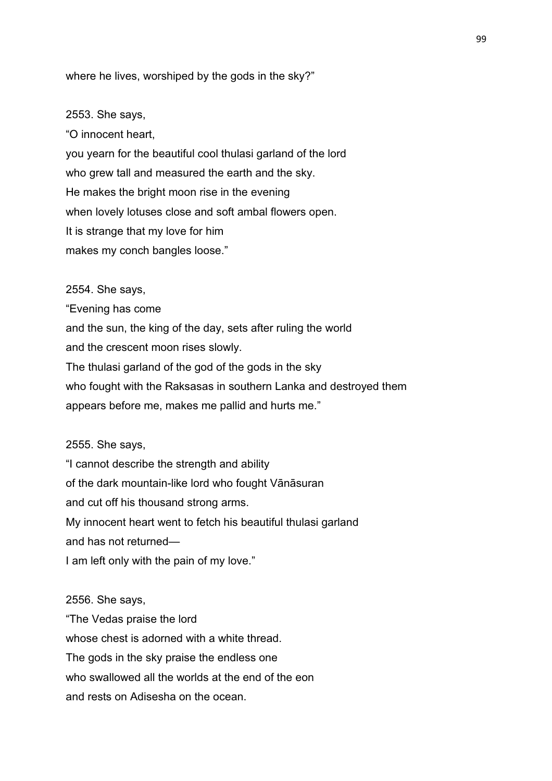where he lives, worshiped by the gods in the sky?"

#### 2553. She says,

"O innocent heart, you yearn for the beautiful cool thulasi garland of the lord who grew tall and measured the earth and the sky. He makes the bright moon rise in the evening when lovely lotuses close and soft ambal flowers open. It is strange that my love for him makes my conch bangles loose."

2554. She says, "Evening has come and the sun, the king of the day, sets after ruling the world and the crescent moon rises slowly. The thulasi garland of the god of the gods in the sky who fought with the Raksasas in southern Lanka and destroyed them appears before me, makes me pallid and hurts me."

#### 2555. She says,

"I cannot describe the strength and ability of the dark mountain-like lord who fought Vānāsuran and cut off his thousand strong arms. My innocent heart went to fetch his beautiful thulasi garland and has not returned—

I am left only with the pain of my love."

2556. She says, "The Vedas praise the lord whose chest is adorned with a white thread. The gods in the sky praise the endless one who swallowed all the worlds at the end of the eon and rests on Adisesha on the ocean.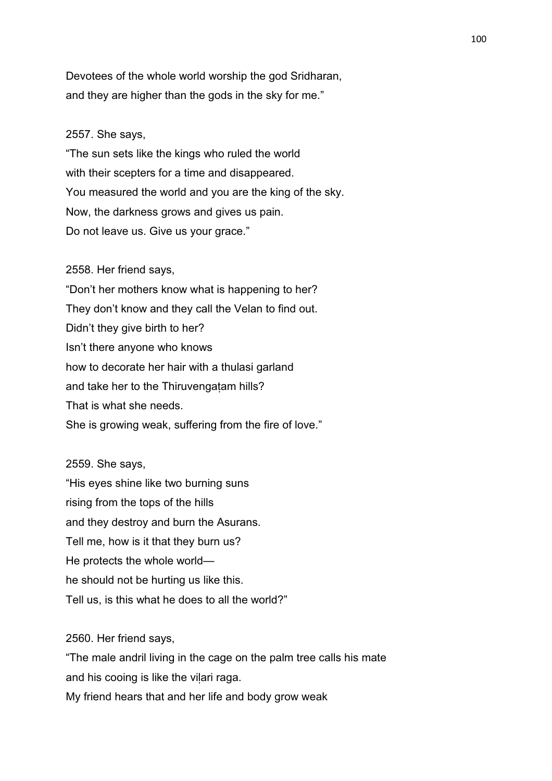Devotees of the whole world worship the god Sridharan, and they are higher than the gods in the sky for me."

### 2557. She says,

"The sun sets like the kings who ruled the world with their scepters for a time and disappeared. You measured the world and you are the king of the sky. Now, the darkness grows and gives us pain. Do not leave us. Give us your grace."

2558. Her friend says,

"Don't her mothers know what is happening to her? They don't know and they call the Velan to find out. Didn't they give birth to her? Isn't there anyone who knows how to decorate her hair with a thulasi garland and take her to the Thiruvengatam hills? That is what she needs. She is growing weak, suffering from the fire of love."

2559. She says, "His eyes shine like two burning suns rising from the tops of the hills and they destroy and burn the Asurans. Tell me, how is it that they burn us? He protects the whole world he should not be hurting us like this. Tell us, is this what he does to all the world?"

2560. Her friend says,

"The male andril living in the cage on the palm tree calls his mate and his cooing is like the vilari raga. My friend hears that and her life and body grow weak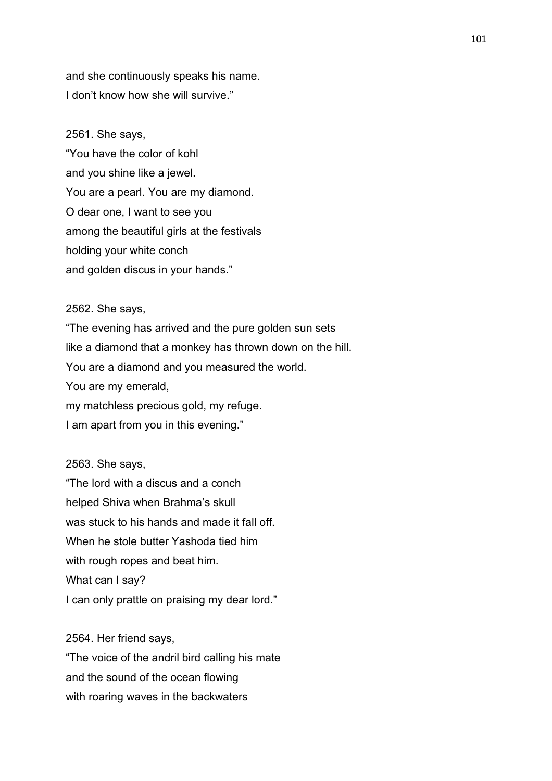and she continuously speaks his name. I don't know how she will survive."

2561. She says, "You have the color of kohl and you shine like a jewel. You are a pearl. You are my diamond. O dear one, I want to see you among the beautiful girls at the festivals holding your white conch and golden discus in your hands."

#### 2562. She says,

"The evening has arrived and the pure golden sun sets like a diamond that a monkey has thrown down on the hill. You are a diamond and you measured the world. You are my emerald, my matchless precious gold, my refuge. I am apart from you in this evening."

2563. She says,

"The lord with a discus and a conch helped Shiva when Brahma's skull was stuck to his hands and made it fall off. When he stole butter Yashoda tied him with rough ropes and beat him. What can I say? I can only prattle on praising my dear lord."

2564. Her friend says,

"The voice of the andril bird calling his mate and the sound of the ocean flowing with roaring waves in the backwaters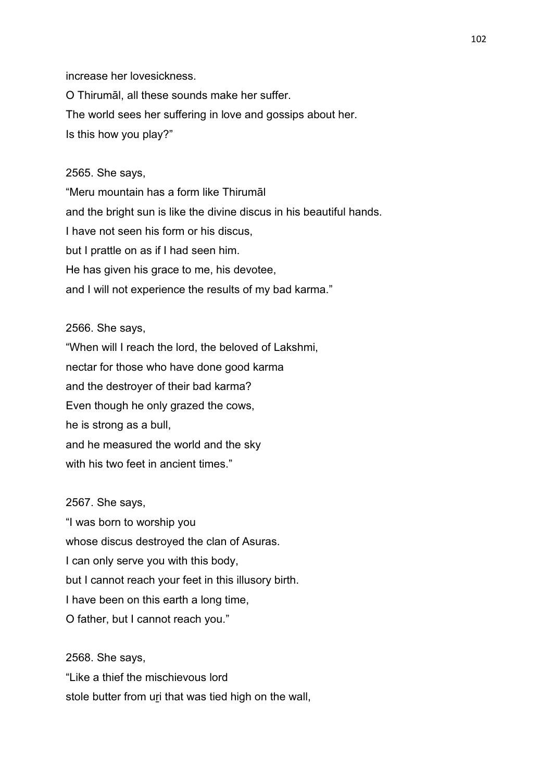increase her lovesickness.

O Thirumāl, all these sounds make her suffer. The world sees her suffering in love and gossips about her. Is this how you play?"

### 2565. She says,

"Meru mountain has a form like Thirumāl and the bright sun is like the divine discus in his beautiful hands. I have not seen his form or his discus, but I prattle on as if I had seen him. He has given his grace to me, his devotee, and I will not experience the results of my bad karma."

#### 2566. She says,

"When will I reach the lord, the beloved of Lakshmi, nectar for those who have done good karma and the destroyer of their bad karma? Even though he only grazed the cows, he is strong as a bull, and he measured the world and the sky with his two feet in ancient times."

#### 2567. She says,

"I was born to worship you whose discus destroyed the clan of Asuras. I can only serve you with this body, but I cannot reach your feet in this illusory birth. I have been on this earth a long time, O father, but I cannot reach you."

2568. She says, "Like a thief the mischievous lord stole butter from uri that was tied high on the wall,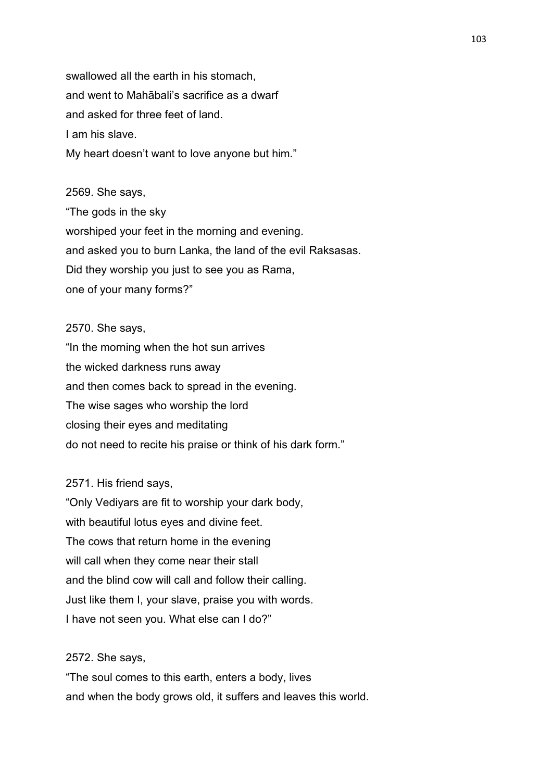swallowed all the earth in his stomach, and went to Mahābali's sacrifice as a dwarf and asked for three feet of land. I am his slave. My heart doesn't want to love anyone but him."

2569. She says, "The gods in the sky worshiped your feet in the morning and evening. and asked you to burn Lanka, the land of the evil Raksasas. Did they worship you just to see you as Rama, one of your many forms?"

#### 2570. She says,

"In the morning when the hot sun arrives the wicked darkness runs away and then comes back to spread in the evening. The wise sages who worship the lord closing their eyes and meditating do not need to recite his praise or think of his dark form."

### 2571. His friend says,

"Only Vediyars are fit to worship your dark body, with beautiful lotus eyes and divine feet. The cows that return home in the evening will call when they come near their stall and the blind cow will call and follow their calling. Just like them I, your slave, praise you with words. I have not seen you. What else can I do?"

### 2572. She says,

"The soul comes to this earth, enters a body, lives and when the body grows old, it suffers and leaves this world.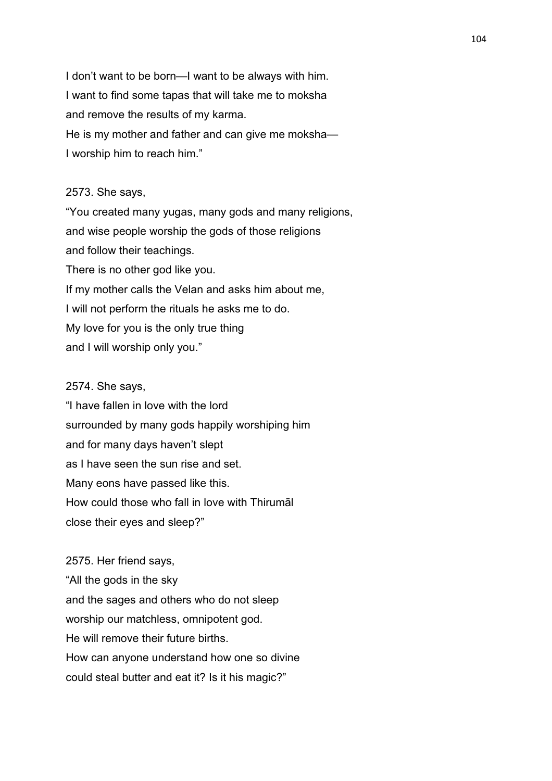I don't want to be born—I want to be always with him. I want to find some tapas that will take me to moksha and remove the results of my karma. He is my mother and father and can give me moksha— I worship him to reach him."

### 2573. She says,

"You created many yugas, many gods and many religions, and wise people worship the gods of those religions and follow their teachings. There is no other god like you. If my mother calls the Velan and asks him about me, I will not perform the rituals he asks me to do. My love for you is the only true thing and I will worship only you."

### 2574. She says,

"I have fallen in love with the lord surrounded by many gods happily worshiping him and for many days haven't slept as I have seen the sun rise and set. Many eons have passed like this. How could those who fall in love with Thirumāl close their eyes and sleep?"

2575. Her friend says, "All the gods in the sky and the sages and others who do not sleep worship our matchless, omnipotent god. He will remove their future births. How can anyone understand how one so divine could steal butter and eat it? Is it his magic?"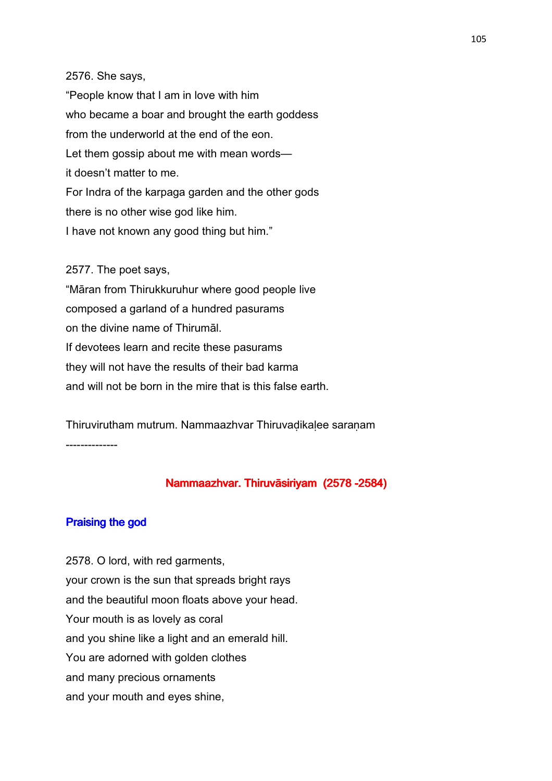#### 2576. She says,

"People know that I am in love with him who became a boar and brought the earth goddess from the underworld at the end of the eon. Let them gossip about me with mean words it doesn't matter to me. For Indra of the karpaga garden and the other gods there is no other wise god like him. I have not known any good thing but him."

### 2577. The poet says,

"Māran from Thirukkuruhur where good people live composed a garland of a hundred pasurams on the divine name of Thirumāl. If devotees learn and recite these pasurams they will not have the results of their bad karma and will not be born in the mire that is this false earth.

Thiruvirutham mutrum. Nammaazhvar Thiruvaḍikaḷee saraṇam --------------

# Nammaazhvar. Thiruvāsiriyam (2578 -2584)

## Praising the god

2578. O lord, with red garments, your crown is the sun that spreads bright rays and the beautiful moon floats above your head. Your mouth is as lovely as coral and you shine like a light and an emerald hill. You are adorned with golden clothes and many precious ornaments and your mouth and eyes shine,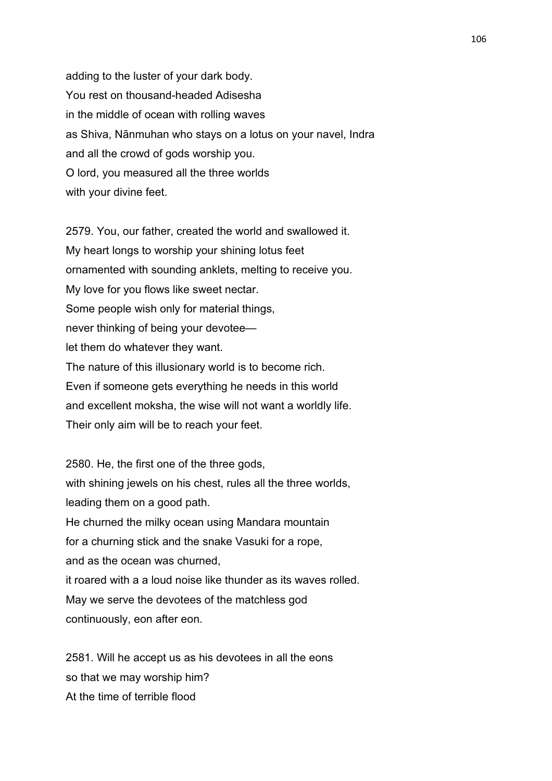adding to the luster of your dark body. You rest on thousand-headed Adisesha in the middle of ocean with rolling waves as Shiva, Nānmuhan who stays on a lotus on your navel, Indra and all the crowd of gods worship you. O lord, you measured all the three worlds with your divine feet.

2579. You, our father, created the world and swallowed it. My heart longs to worship your shining lotus feet ornamented with sounding anklets, melting to receive you. My love for you flows like sweet nectar. Some people wish only for material things, never thinking of being your devotee let them do whatever they want. The nature of this illusionary world is to become rich. Even if someone gets everything he needs in this world and excellent moksha, the wise will not want a worldly life. Their only aim will be to reach your feet.

2580. He, the first one of the three gods, with shining jewels on his chest, rules all the three worlds, leading them on a good path. He churned the milky ocean using Mandara mountain for a churning stick and the snake Vasuki for a rope, and as the ocean was churned, it roared with a a loud noise like thunder as its waves rolled. May we serve the devotees of the matchless god continuously, eon after eon.

2581. Will he accept us as his devotees in all the eons so that we may worship him? At the time of terrible flood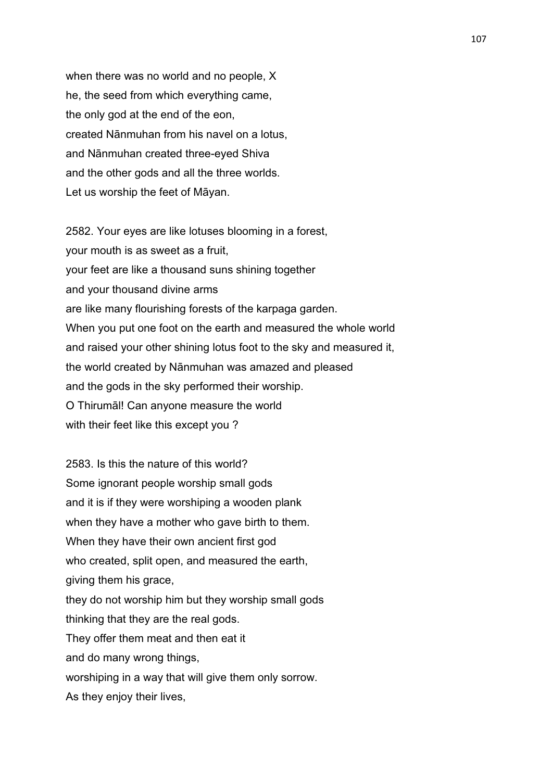when there was no world and no people, X he, the seed from which everything came, the only god at the end of the eon, created Nānmuhan from his navel on a lotus, and Nānmuhan created three-eyed Shiva and the other gods and all the three worlds. Let us worship the feet of Māyan.

2582. Your eyes are like lotuses blooming in a forest, your mouth is as sweet as a fruit, your feet are like a thousand suns shining together and your thousand divine arms are like many flourishing forests of the karpaga garden. When you put one foot on the earth and measured the whole world and raised your other shining lotus foot to the sky and measured it, the world created by Nānmuhan was amazed and pleased and the gods in the sky performed their worship. O Thirumāl! Can anyone measure the world with their feet like this except you ?

2583. Is this the nature of this world? Some ignorant people worship small gods and it is if they were worshiping a wooden plank when they have a mother who gave birth to them. When they have their own ancient first god who created, split open, and measured the earth, giving them his grace, they do not worship him but they worship small gods thinking that they are the real gods. They offer them meat and then eat it and do many wrong things, worshiping in a way that will give them only sorrow. As they enjoy their lives,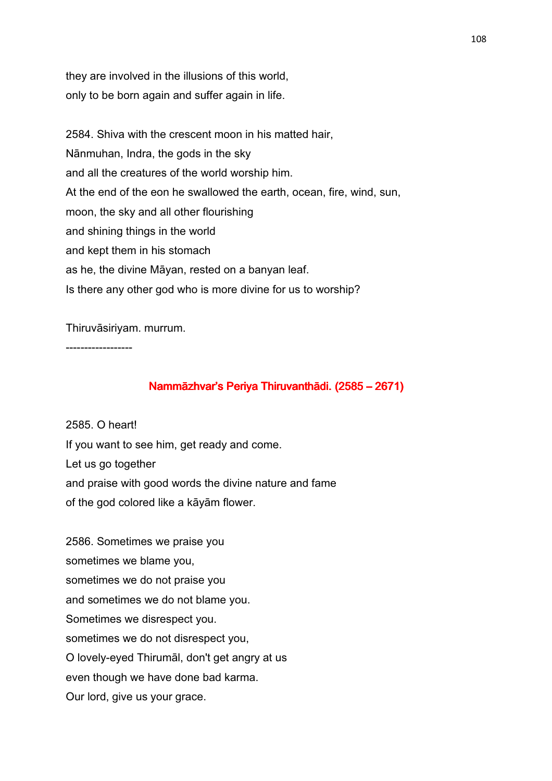they are involved in the illusions of this world, only to be born again and suffer again in life.

2584. Shiva with the crescent moon in his matted hair, Nānmuhan, Indra, the gods in the sky and all the creatures of the world worship him. At the end of the eon he swallowed the earth, ocean, fire, wind, sun, moon, the sky and all other flourishing and shining things in the world and kept them in his stomach as he, the divine Māyan, rested on a banyan leaf. Is there any other god who is more divine for us to worship?

Thiruvāsiriyam. murrum.

------------------

# Nammāzhvar's Periya Thiruvanthādi. (2585 - 2671)

2585. O heart! If you want to see him, get ready and come. Let us go together and praise with good words the divine nature and fame of the god colored like a kāyām flower.

2586. Sometimes we praise you sometimes we blame you, sometimes we do not praise you and sometimes we do not blame you. Sometimes we disrespect you. sometimes we do not disrespect you, O lovely-eyed Thirumāl, don't get angry at us even though we have done bad karma. Our lord, give us your grace.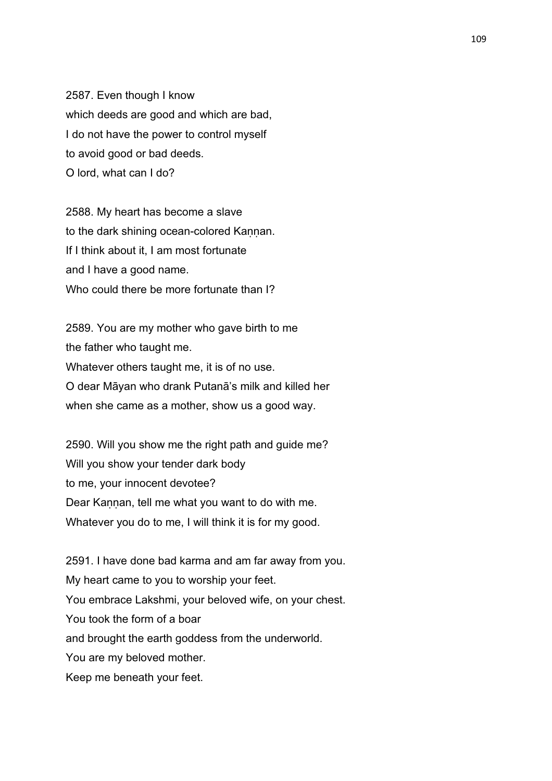2587. Even though I know which deeds are good and which are bad, I do not have the power to control myself to avoid good or bad deeds. O lord, what can I do?

2588. My heart has become a slave to the dark shining ocean-colored Kannan. If I think about it, I am most fortunate and I have a good name. Who could there be more fortunate than I?

2589. You are my mother who gave birth to me the father who taught me. Whatever others taught me, it is of no use. O dear Māyan who drank Putanā's milk and killed her when she came as a mother, show us a good way.

2590. Will you show me the right path and guide me? Will you show your tender dark body to me, your innocent devotee? Dear Kannan, tell me what you want to do with me. Whatever you do to me, I will think it is for my good.

2591. I have done bad karma and am far away from you. My heart came to you to worship your feet. You embrace Lakshmi, your beloved wife, on your chest. You took the form of a boar and brought the earth goddess from the underworld. You are my beloved mother. Keep me beneath your feet.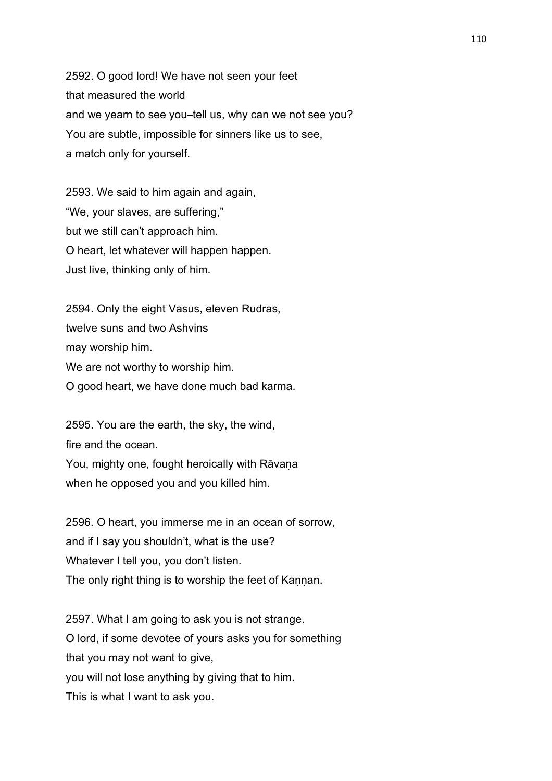2592. O good lord! We have not seen your feet that measured the world and we yearn to see you–tell us, why can we not see you? You are subtle, impossible for sinners like us to see, a match only for yourself.

2593. We said to him again and again, "We, your slaves, are suffering," but we still can't approach him. O heart, let whatever will happen happen. Just live, thinking only of him.

2594. Only the eight Vasus, eleven Rudras, twelve suns and two Ashvins may worship him. We are not worthy to worship him. O good heart, we have done much bad karma.

2595. You are the earth, the sky, the wind, fire and the ocean. You, mighty one, fought heroically with Rāvana

when he opposed you and you killed him.

2596. O heart, you immerse me in an ocean of sorrow, and if I say you shouldn't, what is the use? Whatever I tell you, you don't listen. The only right thing is to worship the feet of Kannan.

2597. What I am going to ask you is not strange. O lord, if some devotee of yours asks you for something that you may not want to give, you will not lose anything by giving that to him. This is what I want to ask you.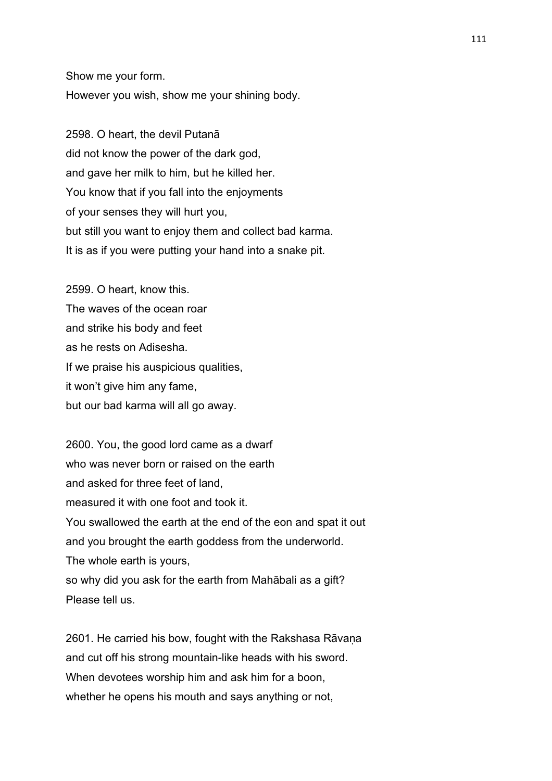Show me your form. However you wish, show me your shining body.

2598. O heart, the devil Putanā did not know the power of the dark god, and gave her milk to him, but he killed her. You know that if you fall into the enjoyments of your senses they will hurt you, but still you want to enjoy them and collect bad karma. It is as if you were putting your hand into a snake pit.

2599. O heart, know this. The waves of the ocean roar and strike his body and feet as he rests on Adisesha. If we praise his auspicious qualities, it won't give him any fame, but our bad karma will all go away.

2600. You, the good lord came as a dwarf who was never born or raised on the earth and asked for three feet of land, measured it with one foot and took it. You swallowed the earth at the end of the eon and spat it out and you brought the earth goddess from the underworld. The whole earth is yours, so why did you ask for the earth from Mahābali as a gift? Please tell us.

2601. He carried his bow, fought with the Rakshasa Rāvaṇa and cut off his strong mountain-like heads with his sword. When devotees worship him and ask him for a boon. whether he opens his mouth and says anything or not,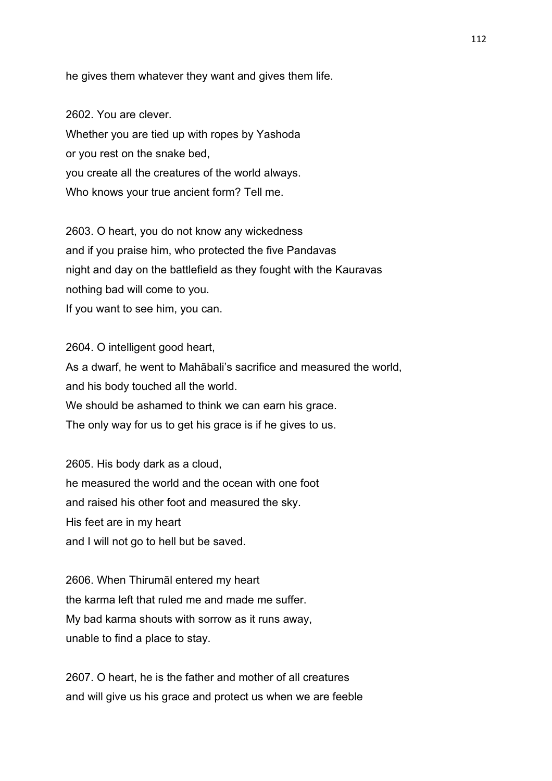he gives them whatever they want and gives them life.

2602. You are clever. Whether you are tied up with ropes by Yashoda or you rest on the snake bed, you create all the creatures of the world always. Who knows your true ancient form? Tell me.

2603. O heart, you do not know any wickedness and if you praise him, who protected the five Pandavas night and day on the battlefield as they fought with the Kauravas nothing bad will come to you. If you want to see him, you can.

2604. O intelligent good heart, As a dwarf, he went to Mahābali's sacrifice and measured the world, and his body touched all the world. We should be ashamed to think we can earn his grace. The only way for us to get his grace is if he gives to us.

2605. His body dark as a cloud, he measured the world and the ocean with one foot and raised his other foot and measured the sky. His feet are in my heart and I will not go to hell but be saved.

2606. When Thirumāl entered my heart the karma left that ruled me and made me suffer. My bad karma shouts with sorrow as it runs away, unable to find a place to stay.

2607. O heart, he is the father and mother of all creatures and will give us his grace and protect us when we are feeble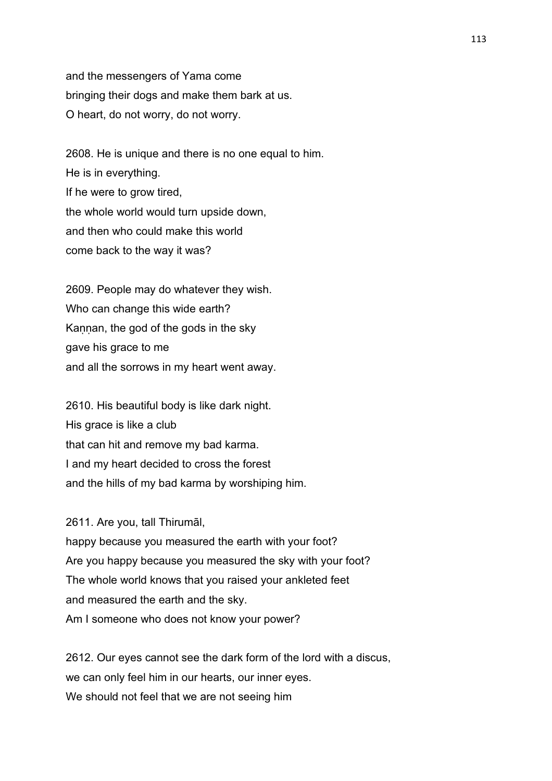and the messengers of Yama come bringing their dogs and make them bark at us. O heart, do not worry, do not worry.

2608. He is unique and there is no one equal to him. He is in everything. If he were to grow tired, the whole world would turn upside down, and then who could make this world come back to the way it was?

2609. People may do whatever they wish. Who can change this wide earth? Kaṇṇan, the god of the gods in the sky gave his grace to me and all the sorrows in my heart went away.

2610. His beautiful body is like dark night. His grace is like a club that can hit and remove my bad karma. I and my heart decided to cross the forest and the hills of my bad karma by worshiping him.

2611. Are you, tall Thirumāl,

happy because you measured the earth with your foot? Are you happy because you measured the sky with your foot? The whole world knows that you raised your ankleted feet and measured the earth and the sky. Am I someone who does not know your power?

2612. Our eyes cannot see the dark form of the lord with a discus, we can only feel him in our hearts, our inner eyes. We should not feel that we are not seeing him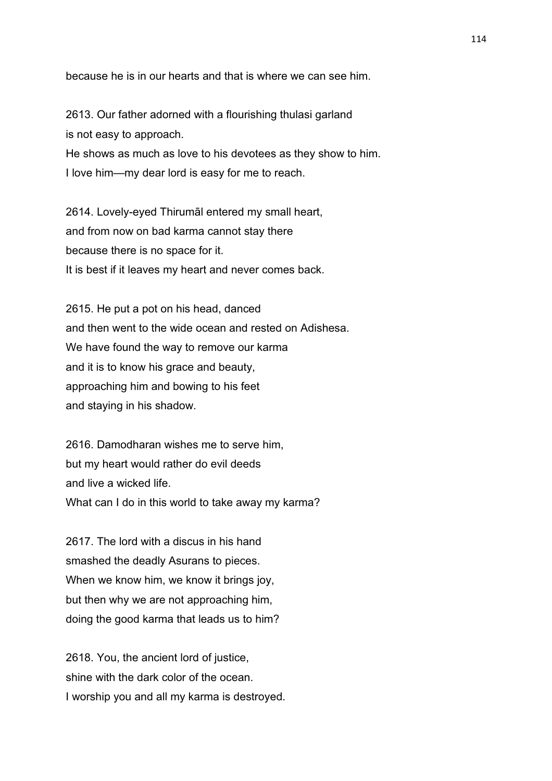because he is in our hearts and that is where we can see him.

2613. Our father adorned with a flourishing thulasi garland is not easy to approach. He shows as much as love to his devotees as they show to him. I love him—my dear lord is easy for me to reach.

2614. Lovely-eyed Thirumāl entered my small heart, and from now on bad karma cannot stay there because there is no space for it. It is best if it leaves my heart and never comes back.

2615. He put a pot on his head, danced and then went to the wide ocean and rested on Adishesa. We have found the way to remove our karma and it is to know his grace and beauty, approaching him and bowing to his feet and staying in his shadow.

2616. Damodharan wishes me to serve him, but my heart would rather do evil deeds and live a wicked life. What can I do in this world to take away my karma?

2617. The lord with a discus in his hand smashed the deadly Asurans to pieces. When we know him, we know it brings joy, but then why we are not approaching him, doing the good karma that leads us to him?

2618. You, the ancient lord of justice, shine with the dark color of the ocean. I worship you and all my karma is destroyed.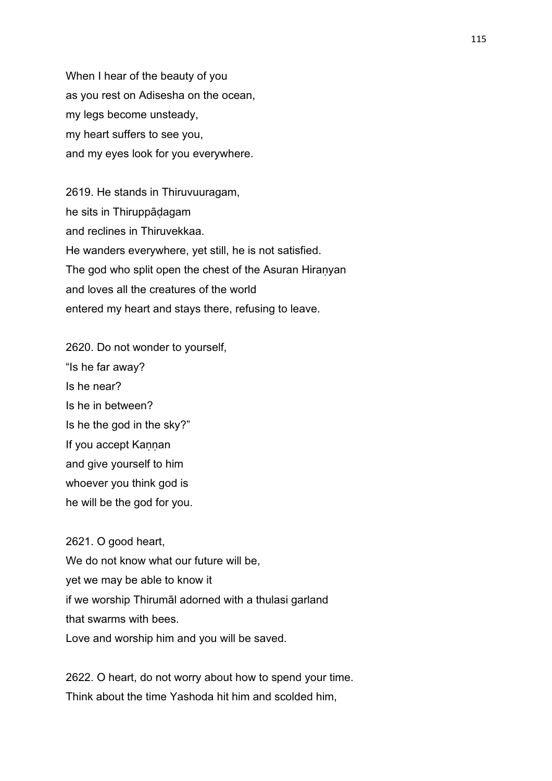When I hear of the beauty of you as you rest on Adisesha on the ocean, my legs become unsteady, my heart suffers to see you, and my eyes look for you everywhere.

2619. He stands in Thiruvuuragam, he sits in Thiruppāḍagam and reclines in Thiruvekkaa. He wanders everywhere, yet still, he is not satisfied. The god who split open the chest of the Asuran Hiraṇyan and loves all the creatures of the world entered my heart and stays there, refusing to leave.

2620. Do not wonder to yourself, "Is he far away? Is he near? Is he in between? Is he the god in the sky?" If you accept Kaṇṇan and give yourself to him whoever you think god is he will be the god for you.

2621. O good heart, We do not know what our future will be, yet we may be able to know it if we worship Thirumāl adorned with a thulasi garland that swarms with bees. Love and worship him and you will be saved.

2622. O heart, do not worry about how to spend your time. Think about the time Yashoda hit him and scolded him,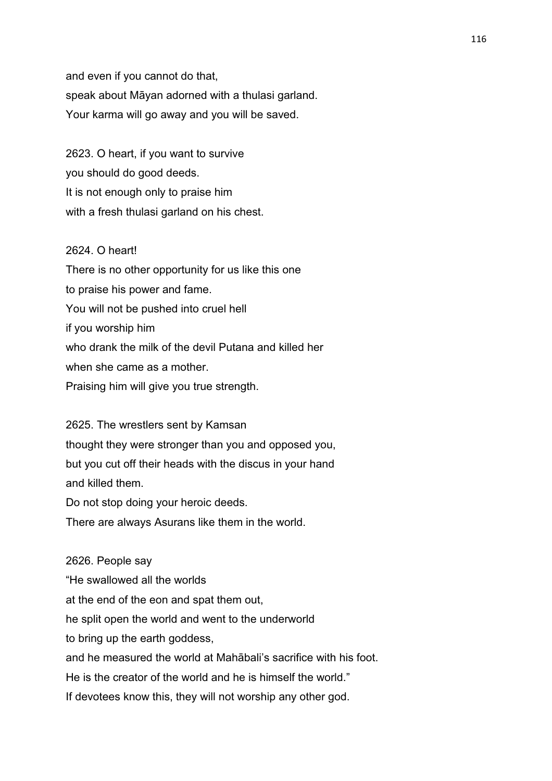and even if you cannot do that, speak about Māyan adorned with a thulasi garland. Your karma will go away and you will be saved.

2623. O heart, if you want to survive you should do good deeds. It is not enough only to praise him with a fresh thulasi garland on his chest.

## 2624. O heart!

There is no other opportunity for us like this one to praise his power and fame. You will not be pushed into cruel hell if you worship him who drank the milk of the devil Putana and killed her when she came as a mother. Praising him will give you true strength.

2625. The wrestlers sent by Kamsan thought they were stronger than you and opposed you, but you cut off their heads with the discus in your hand and killed them.

Do not stop doing your heroic deeds.

There are always Asurans like them in the world.

2626. People say "He swallowed all the worlds at the end of the eon and spat them out, he split open the world and went to the underworld to bring up the earth goddess, and he measured the world at Mahābali's sacrifice with his foot. He is the creator of the world and he is himself the world." If devotees know this, they will not worship any other god.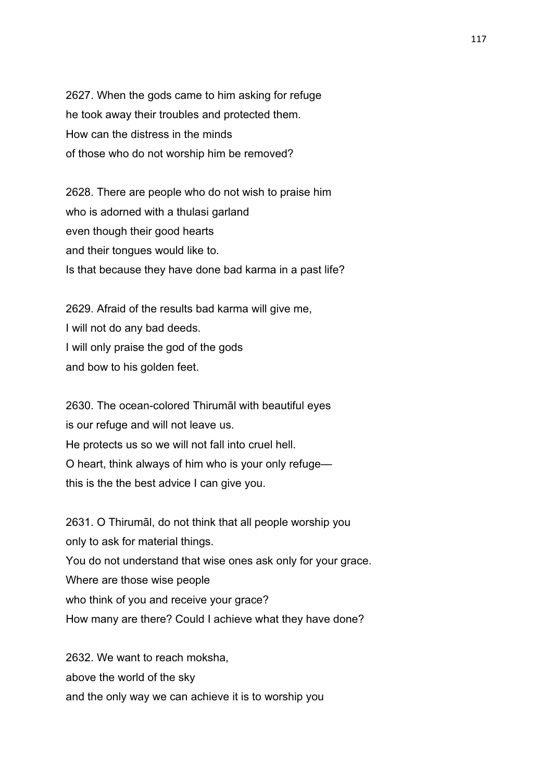2627. When the gods came to him asking for refuge he took away their troubles and protected them. How can the distress in the minds of those who do not worship him be removed?

2628. There are people who do not wish to praise him who is adorned with a thulasi garland even though their good hearts and their tongues would like to. Is that because they have done bad karma in a past life?

2629. Afraid of the results bad karma will give me, I will not do any bad deeds. I will only praise the god of the gods and bow to his golden feet.

2630. The ocean-colored Thirumāl with beautiful eyes is our refuge and will not leave us. He protects us so we will not fall into cruel hell. O heart, think always of him who is your only refuge this is the the best advice I can give you.

2631. O Thirumāl, do not think that all people worship you only to ask for material things. You do not understand that wise ones ask only for your grace. Where are those wise people who think of you and receive your grace? How many are there? Could I achieve what they have done?

2632. We want to reach moksha, above the world of the sky and the only way we can achieve it is to worship you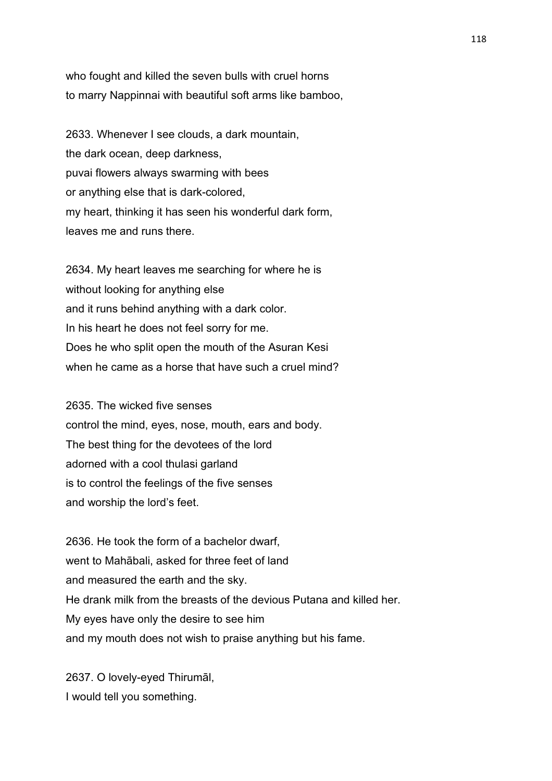who fought and killed the seven bulls with cruel horns to marry Nappinnai with beautiful soft arms like bamboo,

2633. Whenever I see clouds, a dark mountain, the dark ocean, deep darkness, puvai flowers always swarming with bees or anything else that is dark-colored, my heart, thinking it has seen his wonderful dark form, leaves me and runs there.

2634. My heart leaves me searching for where he is without looking for anything else and it runs behind anything with a dark color. In his heart he does not feel sorry for me. Does he who split open the mouth of the Asuran Kesi when he came as a horse that have such a cruel mind?

2635. The wicked five senses control the mind, eyes, nose, mouth, ears and body. The best thing for the devotees of the lord adorned with a cool thulasi garland is to control the feelings of the five senses and worship the lord's feet.

2636. He took the form of a bachelor dwarf, went to Mahābali, asked for three feet of land and measured the earth and the sky. He drank milk from the breasts of the devious Putana and killed her. My eyes have only the desire to see him and my mouth does not wish to praise anything but his fame.

2637. O lovely-eyed Thirumāl, I would tell you something.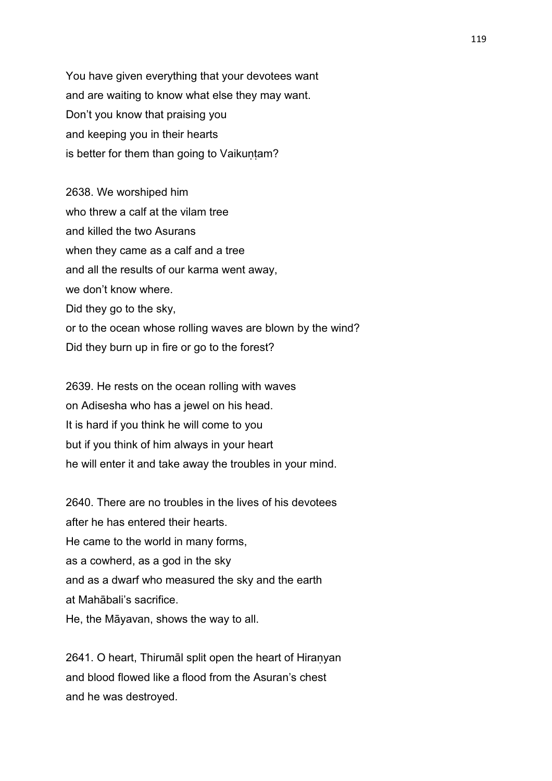You have given everything that your devotees want and are waiting to know what else they may want. Don't you know that praising you and keeping you in their hearts is better for them than going to Vaikuntam?

2638. We worshiped him who threw a calf at the vilam tree and killed the two Asurans when they came as a calf and a tree and all the results of our karma went away, we don't know where. Did they go to the sky, or to the ocean whose rolling waves are blown by the wind? Did they burn up in fire or go to the forest?

2639. He rests on the ocean rolling with waves on Adisesha who has a jewel on his head. It is hard if you think he will come to you but if you think of him always in your heart he will enter it and take away the troubles in your mind.

2640. There are no troubles in the lives of his devotees after he has entered their hearts. He came to the world in many forms, as a cowherd, as a god in the sky and as a dwarf who measured the sky and the earth at Mahābali's sacrifice. He, the Māyavan, shows the way to all.

2641. O heart, Thirumāl split open the heart of Hiraṇyan and blood flowed like a flood from the Asuran's chest and he was destroyed.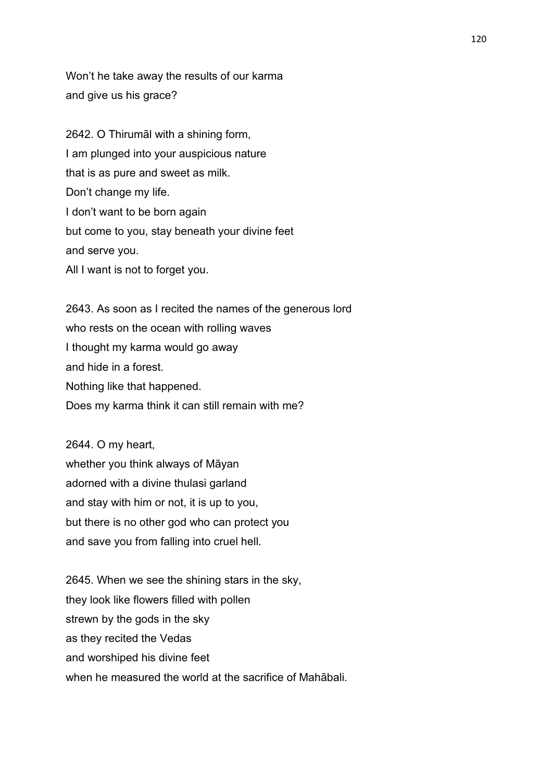Won't he take away the results of our karma and give us his grace?

2642. O Thirumāl with a shining form, I am plunged into your auspicious nature that is as pure and sweet as milk. Don't change my life. I don't want to be born again but come to you, stay beneath your divine feet and serve you. All I want is not to forget you.

2643. As soon as I recited the names of the generous lord who rests on the ocean with rolling waves I thought my karma would go away and hide in a forest. Nothing like that happened. Does my karma think it can still remain with me?

2644. O my heart, whether you think always of Māyan adorned with a divine thulasi garland and stay with him or not, it is up to you, but there is no other god who can protect you and save you from falling into cruel hell.

2645. When we see the shining stars in the sky, they look like flowers filled with pollen strewn by the gods in the sky as they recited the Vedas and worshiped his divine feet when he measured the world at the sacrifice of Mahābali.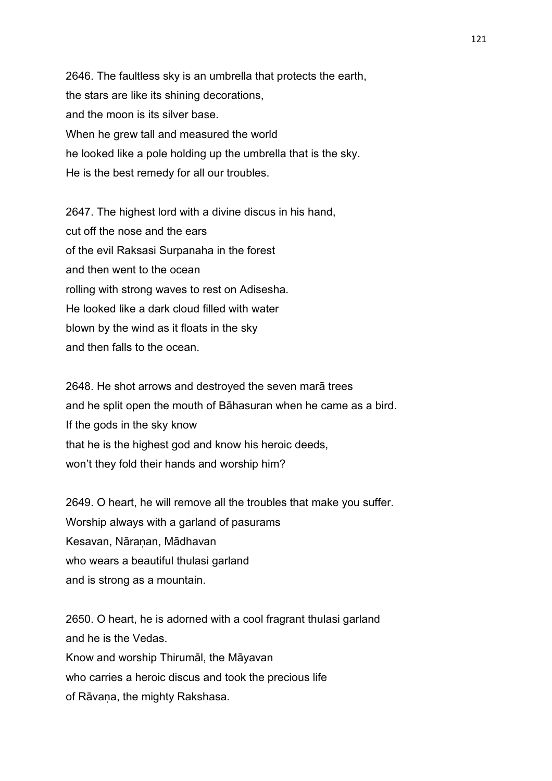2646. The faultless sky is an umbrella that protects the earth, the stars are like its shining decorations, and the moon is its silver base. When he grew tall and measured the world he looked like a pole holding up the umbrella that is the sky. He is the best remedy for all our troubles.

2647. The highest lord with a divine discus in his hand, cut off the nose and the ears of the evil Raksasi Surpanaha in the forest and then went to the ocean rolling with strong waves to rest on Adisesha. He looked like a dark cloud filled with water blown by the wind as it floats in the sky and then falls to the ocean.

2648. He shot arrows and destroyed the seven marā trees and he split open the mouth of Bāhasuran when he came as a bird. If the gods in the sky know that he is the highest god and know his heroic deeds, won't they fold their hands and worship him?

2649. O heart, he will remove all the troubles that make you suffer. Worship always with a garland of pasurams Kesavan, Nāraṇan, Mādhavan who wears a beautiful thulasi garland and is strong as a mountain.

2650. O heart, he is adorned with a cool fragrant thulasi garland and he is the Vedas. Know and worship Thirumāl, the Māyavan who carries a heroic discus and took the precious life of Rāvana, the mighty Rakshasa.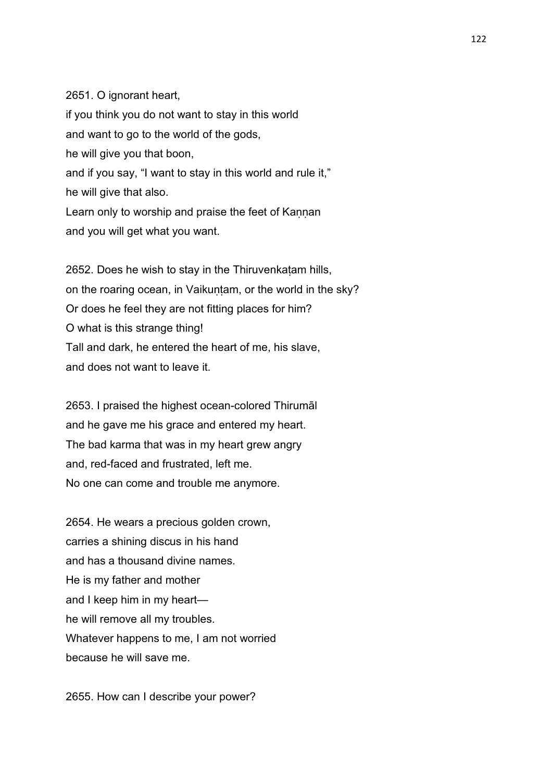### 2651. O ignorant heart,

if you think you do not want to stay in this world and want to go to the world of the gods, he will give you that boon, and if you say, "I want to stay in this world and rule it," he will give that also. Learn only to worship and praise the feet of Kannan and you will get what you want.

2652. Does he wish to stay in the Thiruvenkaṭam hills, on the roaring ocean, in Vaikuntam, or the world in the sky? Or does he feel they are not fitting places for him? O what is this strange thing! Tall and dark, he entered the heart of me, his slave, and does not want to leave it.

2653. I praised the highest ocean-colored Thirumāl and he gave me his grace and entered my heart. The bad karma that was in my heart grew angry and, red-faced and frustrated, left me. No one can come and trouble me anymore.

2654. He wears a precious golden crown, carries a shining discus in his hand and has a thousand divine names. He is my father and mother and I keep him in my heart he will remove all my troubles. Whatever happens to me, I am not worried because he will save me.

2655. How can I describe your power?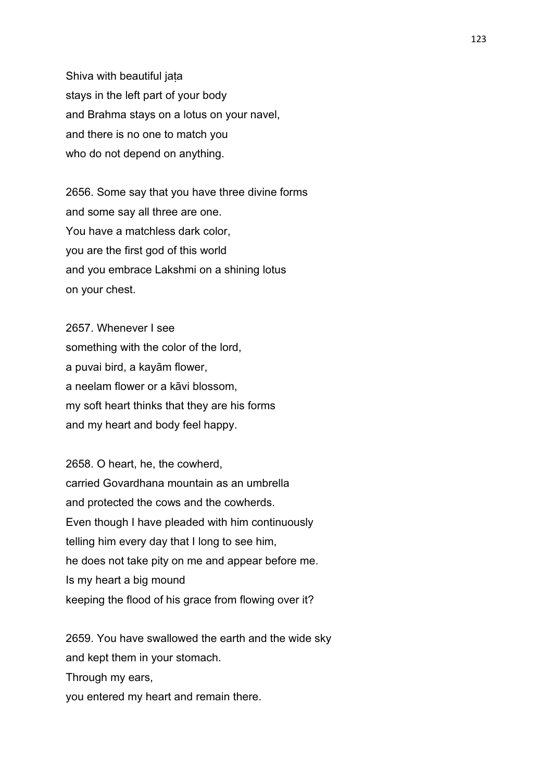Shiva with beautiful jaṭa stays in the left part of your body and Brahma stays on a lotus on your navel, and there is no one to match you who do not depend on anything.

2656. Some say that you have three divine forms and some say all three are one. You have a matchless dark color, you are the first god of this world and you embrace Lakshmi on a shining lotus on your chest.

2657. Whenever I see something with the color of the lord, a puvai bird, a kayām flower, a neelam flower or a kāvi blossom, my soft heart thinks that they are his forms and my heart and body feel happy.

2658. O heart, he, the cowherd, carried Govardhana mountain as an umbrella and protected the cows and the cowherds. Even though I have pleaded with him continuously telling him every day that I long to see him, he does not take pity on me and appear before me. Is my heart a big mound keeping the flood of his grace from flowing over it?

2659. You have swallowed the earth and the wide sky and kept them in your stomach. Through my ears, you entered my heart and remain there.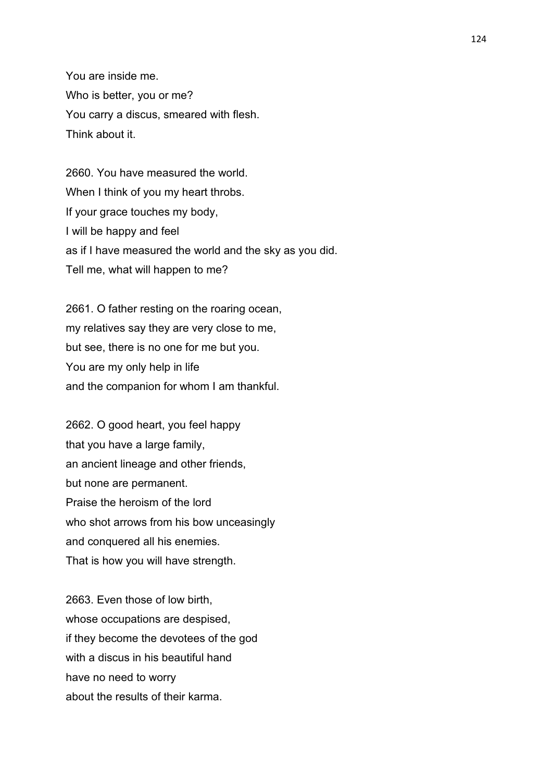You are inside me. Who is better, you or me? You carry a discus, smeared with flesh. Think about it.

2660. You have measured the world. When I think of you my heart throbs. If your grace touches my body, I will be happy and feel as if I have measured the world and the sky as you did. Tell me, what will happen to me?

2661. O father resting on the roaring ocean, my relatives say they are very close to me, but see, there is no one for me but you. You are my only help in life and the companion for whom I am thankful.

2662. O good heart, you feel happy that you have a large family, an ancient lineage and other friends, but none are permanent. Praise the heroism of the lord who shot arrows from his bow unceasingly and conquered all his enemies. That is how you will have strength.

2663. Even those of low birth, whose occupations are despised, if they become the devotees of the god with a discus in his beautiful hand have no need to worry about the results of their karma.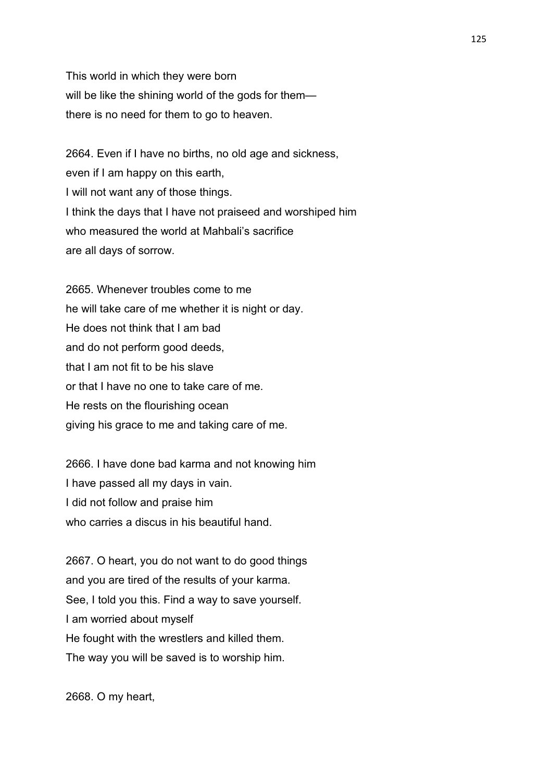This world in which they were born will be like the shining world of the gods for them there is no need for them to go to heaven.

2664. Even if I have no births, no old age and sickness, even if I am happy on this earth, I will not want any of those things. I think the days that I have not praiseed and worshiped him who measured the world at Mahbali's sacrifice are all days of sorrow.

2665. Whenever troubles come to me he will take care of me whether it is night or day. He does not think that I am bad and do not perform good deeds, that I am not fit to be his slave or that I have no one to take care of me. He rests on the flourishing ocean giving his grace to me and taking care of me.

2666. I have done bad karma and not knowing him I have passed all my days in vain. I did not follow and praise him who carries a discus in his beautiful hand.

2667. O heart, you do not want to do good things and you are tired of the results of your karma. See, I told you this. Find a way to save yourself. I am worried about myself He fought with the wrestlers and killed them. The way you will be saved is to worship him.

2668. O my heart,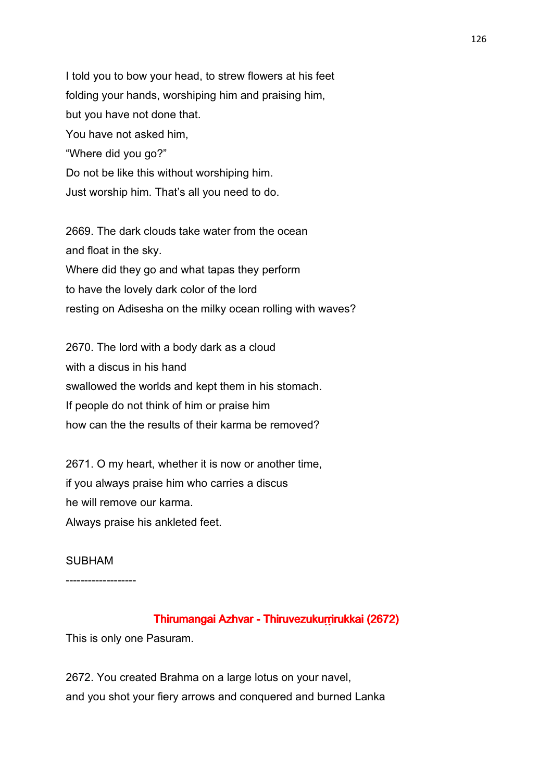I told you to bow your head, to strew flowers at his feet folding your hands, worshiping him and praising him, but you have not done that. You have not asked him, "Where did you go?" Do not be like this without worshiping him. Just worship him. That's all you need to do.

2669. The dark clouds take water from the ocean and float in the sky. Where did they go and what tapas they perform to have the lovely dark color of the lord resting on Adisesha on the milky ocean rolling with waves?

2670. The lord with a body dark as a cloud with a discus in his hand swallowed the worlds and kept them in his stomach. If people do not think of him or praise him how can the the results of their karma be removed?

2671. O my heart, whether it is now or another time, if you always praise him who carries a discus he will remove our karma. Always praise his ankleted feet.

#### SUBHAM

-------------------

## Thirumangai Azhvar - Thiruvezukurrirukkai (2672)

This is only one Pasuram.

2672. You created Brahma on a large lotus on your navel, and you shot your fiery arrows and conquered and burned Lanka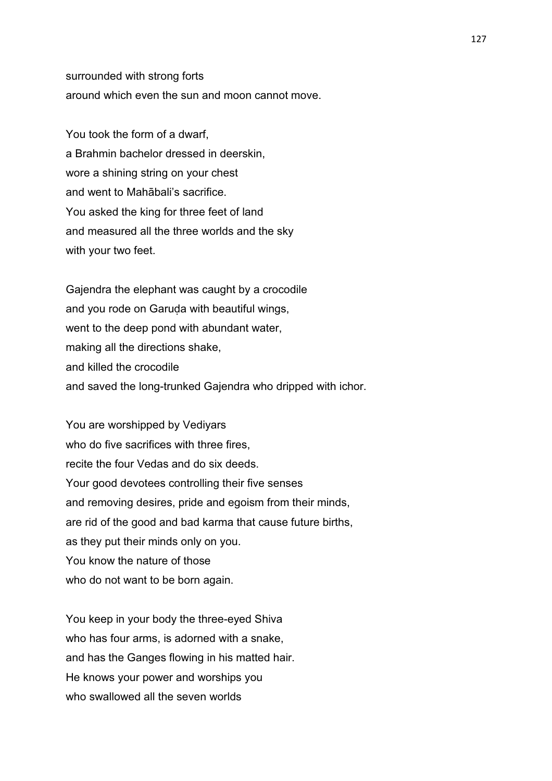surrounded with strong forts around which even the sun and moon cannot move.

You took the form of a dwarf, a Brahmin bachelor dressed in deerskin, wore a shining string on your chest and went to Mahābali's sacrifice. You asked the king for three feet of land and measured all the three worlds and the sky with your two feet.

Gajendra the elephant was caught by a crocodile and you rode on Garuḍa with beautiful wings, went to the deep pond with abundant water, making all the directions shake, and killed the crocodile and saved the long-trunked Gajendra who dripped with ichor.

You are worshipped by Vediyars who do five sacrifices with three fires, recite the four Vedas and do six deeds. Your good devotees controlling their five senses and removing desires, pride and egoism from their minds, are rid of the good and bad karma that cause future births, as they put their minds only on you. You know the nature of those who do not want to be born again.

You keep in your body the three-eyed Shiva who has four arms, is adorned with a snake, and has the Ganges flowing in his matted hair. He knows your power and worships you who swallowed all the seven worlds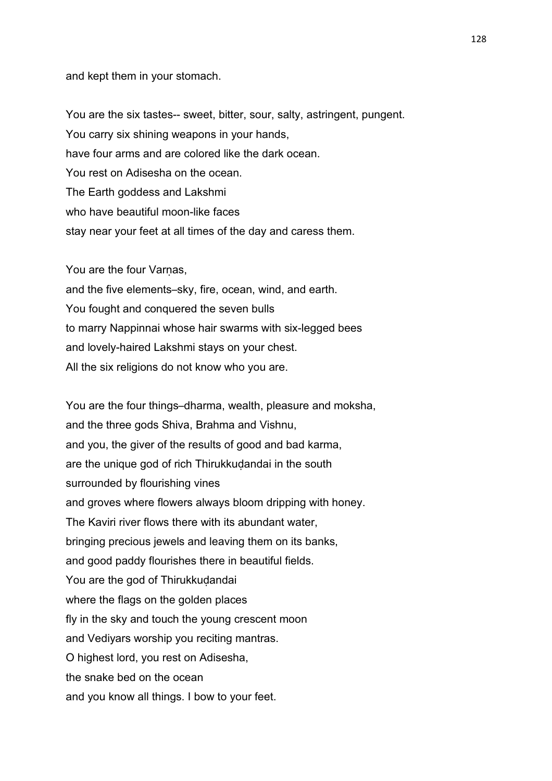#### and kept them in your stomach.

You are the six tastes-- sweet, bitter, sour, salty, astringent, pungent. You carry six shining weapons in your hands, have four arms and are colored like the dark ocean. You rest on Adisesha on the ocean. The Earth goddess and Lakshmi who have beautiful moon-like faces stay near your feet at all times of the day and caress them.

You are the four Varnas,

and the five elements–sky, fire, ocean, wind, and earth. You fought and conquered the seven bulls to marry Nappinnai whose hair swarms with six-legged bees and lovely-haired Lakshmi stays on your chest. All the six religions do not know who you are.

You are the four things–dharma, wealth, pleasure and moksha, and the three gods Shiva, Brahma and Vishnu, and you, the giver of the results of good and bad karma, are the unique god of rich Thirukkuḍandai in the south surrounded by flourishing vines and groves where flowers always bloom dripping with honey. The Kaviri river flows there with its abundant water, bringing precious jewels and leaving them on its banks, and good paddy flourishes there in beautiful fields. You are the god of Thirukkudandai where the flags on the golden places fly in the sky and touch the young crescent moon and Vediyars worship you reciting mantras. O highest lord, you rest on Adisesha, the snake bed on the ocean and you know all things. I bow to your feet.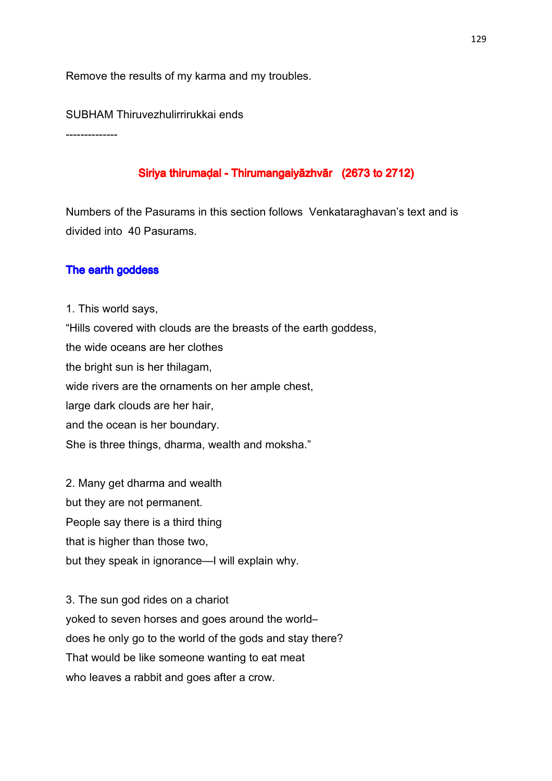Remove the results of my karma and my troubles.

SUBHAM Thiruvezhulirrirukkai ends

--------------

# Siriya thirumaḍal - Thirumangaiyāzhvār (2673 to 2712)

Numbers of the Pasurams in this section follows Venkataraghavan's text and is divided into 40 Pasurams.

# The earth goddess

1. This world says, "Hills covered with clouds are the breasts of the earth goddess, the wide oceans are her clothes the bright sun is her thilagam, wide rivers are the ornaments on her ample chest, large dark clouds are her hair, and the ocean is her boundary. She is three things, dharma, wealth and moksha."

2. Many get dharma and wealth but they are not permanent. People say there is a third thing that is higher than those two, but they speak in ignorance—I will explain why.

3. The sun god rides on a chariot yoked to seven horses and goes around the world– does he only go to the world of the gods and stay there? That would be like someone wanting to eat meat who leaves a rabbit and goes after a crow.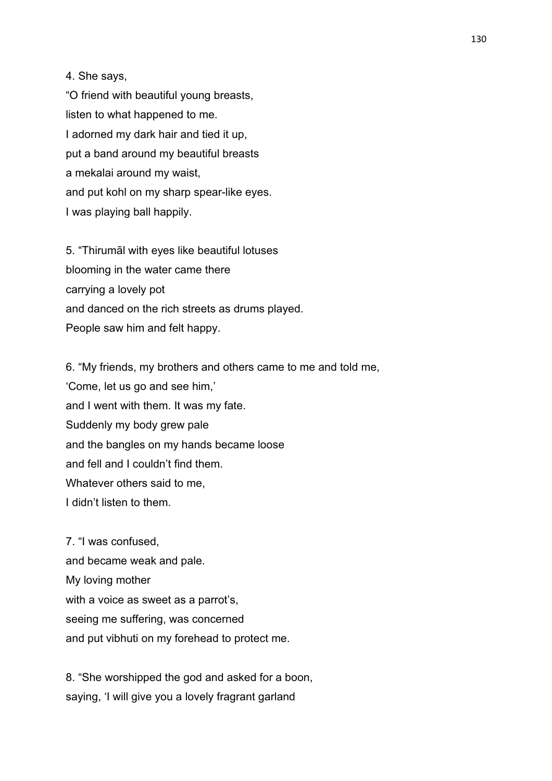4. She says,

"O friend with beautiful young breasts, listen to what happened to me. I adorned my dark hair and tied it up, put a band around my beautiful breasts a mekalai around my waist, and put kohl on my sharp spear-like eyes. I was playing ball happily.

5. "Thirumāl with eyes like beautiful lotuses blooming in the water came there carrying a lovely pot and danced on the rich streets as drums played. People saw him and felt happy.

6. "My friends, my brothers and others came to me and told me, 'Come, let us go and see him,' and I went with them. It was my fate. Suddenly my body grew pale and the bangles on my hands became loose and fell and I couldn't find them. Whatever others said to me, I didn't listen to them.

7. "I was confused, and became weak and pale. My loving mother with a voice as sweet as a parrot's, seeing me suffering, was concerned and put vibhuti on my forehead to protect me.

8. "She worshipped the god and asked for a boon, saying, 'I will give you a lovely fragrant garland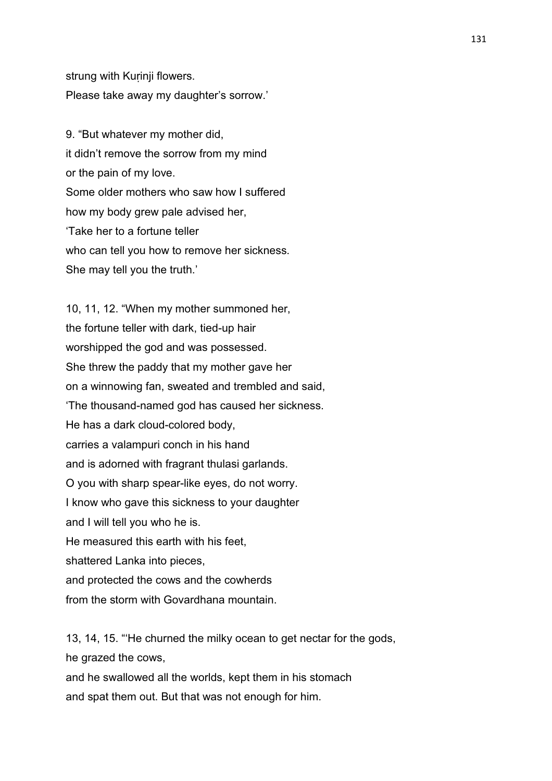strung with Kurinji flowers. Please take away my daughter's sorrow.'

9. "But whatever my mother did, it didn't remove the sorrow from my mind or the pain of my love. Some older mothers who saw how I suffered how my body grew pale advised her, 'Take her to a fortune teller who can tell you how to remove her sickness. She may tell you the truth.'

10, 11, 12. "When my mother summoned her, the fortune teller with dark, tied-up hair worshipped the god and was possessed. She threw the paddy that my mother gave her on a winnowing fan, sweated and trembled and said, 'The thousand-named god has caused her sickness. He has a dark cloud-colored body, carries a valampuri conch in his hand and is adorned with fragrant thulasi garlands. O you with sharp spear-like eyes, do not worry. I know who gave this sickness to your daughter and I will tell you who he is. He measured this earth with his feet, shattered Lanka into pieces, and protected the cows and the cowherds from the storm with Govardhana mountain.

13, 14, 15. "'He churned the milky ocean to get nectar for the gods, he grazed the cows.

and he swallowed all the worlds, kept them in his stomach and spat them out. But that was not enough for him.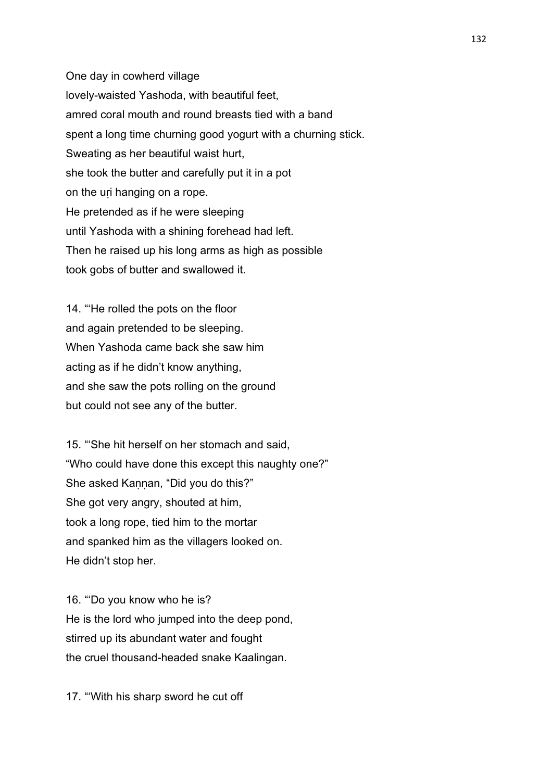One day in cowherd village lovely-waisted Yashoda, with beautiful feet, amred coral mouth and round breasts tied with a band spent a long time churning good yogurt with a churning stick. Sweating as her beautiful waist hurt, she took the butter and carefully put it in a pot on the uṛi hanging on a rope. He pretended as if he were sleeping until Yashoda with a shining forehead had left. Then he raised up his long arms as high as possible took gobs of butter and swallowed it.

14. "'He rolled the pots on the floor and again pretended to be sleeping. When Yashoda came back she saw him acting as if he didn't know anything, and she saw the pots rolling on the ground but could not see any of the butter.

15. "'She hit herself on her stomach and said, "Who could have done this except this naughty one?" She asked Kannan, "Did you do this?" She got very angry, shouted at him, took a long rope, tied him to the mortar and spanked him as the villagers looked on. He didn't stop her.

16. "'Do you know who he is? He is the lord who jumped into the deep pond, stirred up its abundant water and fought the cruel thousand-headed snake Kaalingan.

17. "'With his sharp sword he cut off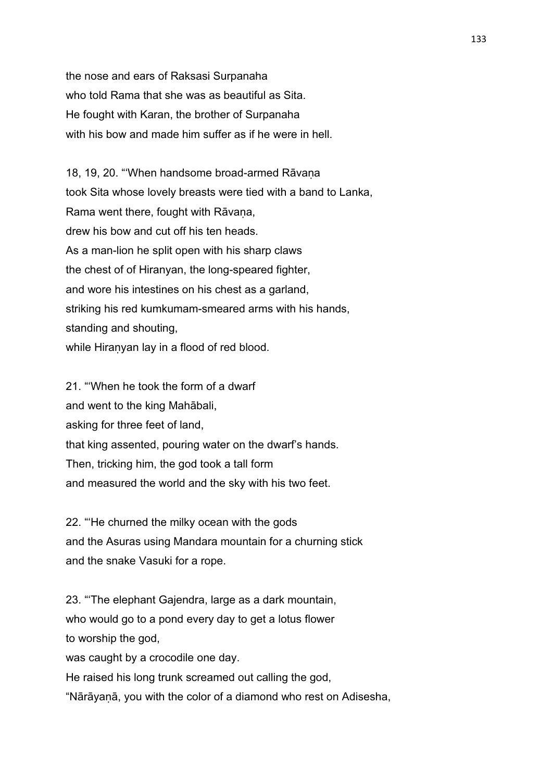the nose and ears of Raksasi Surpanaha who told Rama that she was as beautiful as Sita. He fought with Karan, the brother of Surpanaha with his bow and made him suffer as if he were in hell.

18, 19, 20. "'When handsome broad-armed Rāvaṇa took Sita whose lovely breasts were tied with a band to Lanka, Rama went there, fought with Rāvana, drew his bow and cut off his ten heads. As a man-lion he split open with his sharp claws the chest of of Hiranyan, the long-speared fighter, and wore his intestines on his chest as a garland, striking his red kumkumam-smeared arms with his hands, standing and shouting, while Hiranyan lay in a flood of red blood.

21. "'When he took the form of a dwarf and went to the king Mahābali, asking for three feet of land, that king assented, pouring water on the dwarf's hands. Then, tricking him, the god took a tall form and measured the world and the sky with his two feet.

22. "'He churned the milky ocean with the gods and the Asuras using Mandara mountain for a churning stick and the snake Vasuki for a rope.

23. "'The elephant Gajendra, large as a dark mountain, who would go to a pond every day to get a lotus flower to worship the god, was caught by a crocodile one day. He raised his long trunk screamed out calling the god, "Nārāyaṇā, you with the color of a diamond who rest on Adisesha,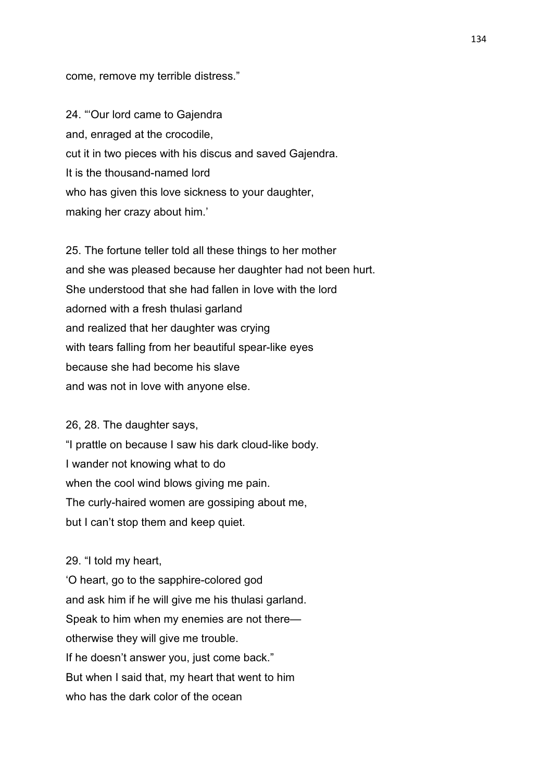come, remove my terrible distress."

24. "'Our lord came to Gajendra and, enraged at the crocodile, cut it in two pieces with his discus and saved Gajendra. It is the thousand-named lord who has given this love sickness to your daughter, making her crazy about him.'

25. The fortune teller told all these things to her mother and she was pleased because her daughter had not been hurt. She understood that she had fallen in love with the lord adorned with a fresh thulasi garland and realized that her daughter was crying with tears falling from her beautiful spear-like eyes because she had become his slave and was not in love with anyone else.

26, 28. The daughter says,

"I prattle on because I saw his dark cloud-like body. I wander not knowing what to do when the cool wind blows giving me pain. The curly-haired women are gossiping about me, but I can't stop them and keep quiet.

29. "I told my heart,

'O heart, go to the sapphire-colored god and ask him if he will give me his thulasi garland. Speak to him when my enemies are not there otherwise they will give me trouble. If he doesn't answer you, just come back." But when I said that, my heart that went to him who has the dark color of the ocean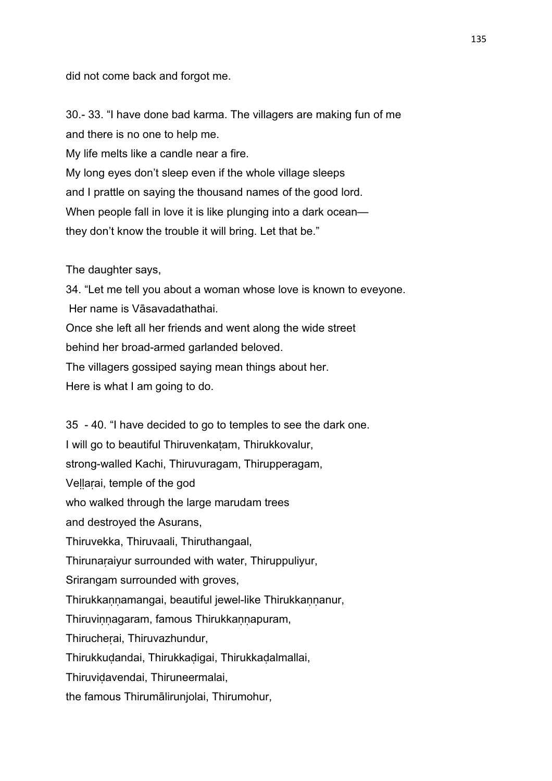did not come back and forgot me.

30.- 33. "I have done bad karma. The villagers are making fun of me and there is no one to help me.

My life melts like a candle near a fire.

My long eyes don't sleep even if the whole village sleeps and I prattle on saying the thousand names of the good lord. When people fall in love it is like plunging into a dark ocean they don't know the trouble it will bring. Let that be."

The daughter says,

34. "Let me tell you about a woman whose love is known to eveyone. Her name is Vāsavadathathai. Once she left all her friends and went along the wide street behind her broad-armed garlanded beloved. The villagers gossiped saying mean things about her. Here is what I am going to do.

35 - 40. "I have decided to go to temples to see the dark one. I will go to beautiful Thiruvenkaṭam, Thirukkovalur, strong-walled Kachi, Thiruvuragam, Thirupperagam, Veḷḷaṛai, temple of the god who walked through the large marudam trees and destroyed the Asurans, Thiruvekka, Thiruvaali, Thiruthangaal, Thirunaṛaiyur surrounded with water, Thiruppuliyur, Srirangam surrounded with groves, Thirukkannamangai, beautiful jewel-like Thirukkannanur, Thiruvinnagaram, famous Thirukkannapuram, Thirucheṛai, Thiruvazhundur, Thirukkuḍandai, Thirukkaḍigai, Thirukkaḍalmallai, Thiruviḍavendai, Thiruneermalai,

the famous Thirumālirunjolai, Thirumohur,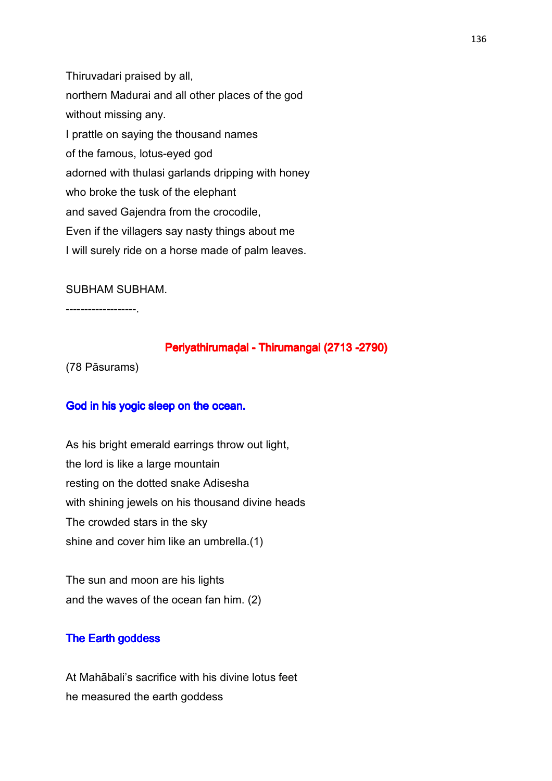Thiruvadari praised by all, northern Madurai and all other places of the god without missing any. I prattle on saying the thousand names of the famous, lotus-eyed god adorned with thulasi garlands dripping with honey who broke the tusk of the elephant and saved Gajendra from the crocodile, Even if the villagers say nasty things about me I will surely ride on a horse made of palm leaves.

## SUBHAM SUBHAM.

-------------------.

## Periyathirumaḍal - Thirumangai (2713 -2790)

(78 Pāsurams)

### God in his yogic sleep on the ocean.

As his bright emerald earrings throw out light, the lord is like a large mountain resting on the dotted snake Adisesha with shining jewels on his thousand divine heads The crowded stars in the sky shine and cover him like an umbrella.(1)

The sun and moon are his lights and the waves of the ocean fan him. (2)

### The Earth goddess

At Mahābali's sacrifice with his divine lotus feet he measured the earth goddess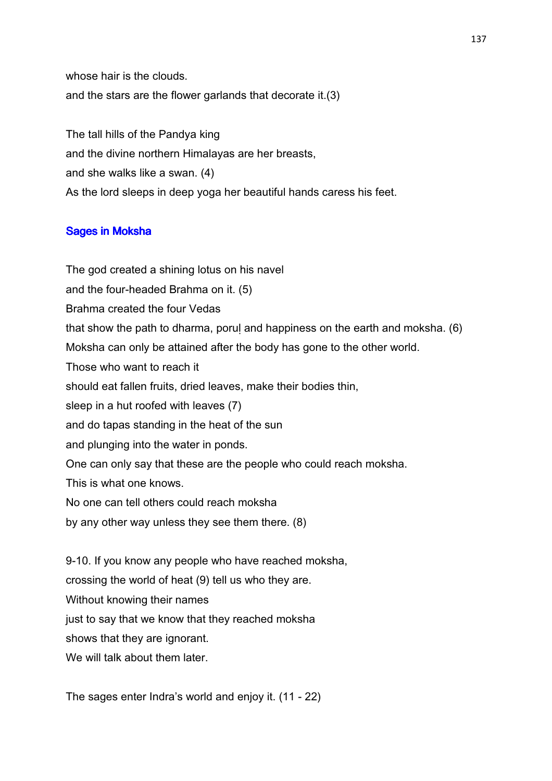whose hair is the clouds. and the stars are the flower garlands that decorate it.(3)

The tall hills of the Pandya king and the divine northern Himalayas are her breasts, and she walks like a swan. (4) As the lord sleeps in deep yoga her beautiful hands caress his feet.

# **Sages in Moksha**

The god created a shining lotus on his navel and the four-headed Brahma on it. (5) Brahma created the four Vedas that show the path to dharma, poruḷ and happiness on the earth and moksha. (6) Moksha can only be attained after the body has gone to the other world. Those who want to reach it should eat fallen fruits, dried leaves, make their bodies thin, sleep in a hut roofed with leaves (7) and do tapas standing in the heat of the sun and plunging into the water in ponds. One can only say that these are the people who could reach moksha. This is what one knows. No one can tell others could reach moksha by any other way unless they see them there. (8) 9-10. If you know any people who have reached moksha, crossing the world of heat (9) tell us who they are. Without knowing their names

just to say that we know that they reached moksha

shows that they are ignorant.

We will talk about them later.

The sages enter Indra's world and enjoy it. (11 - 22)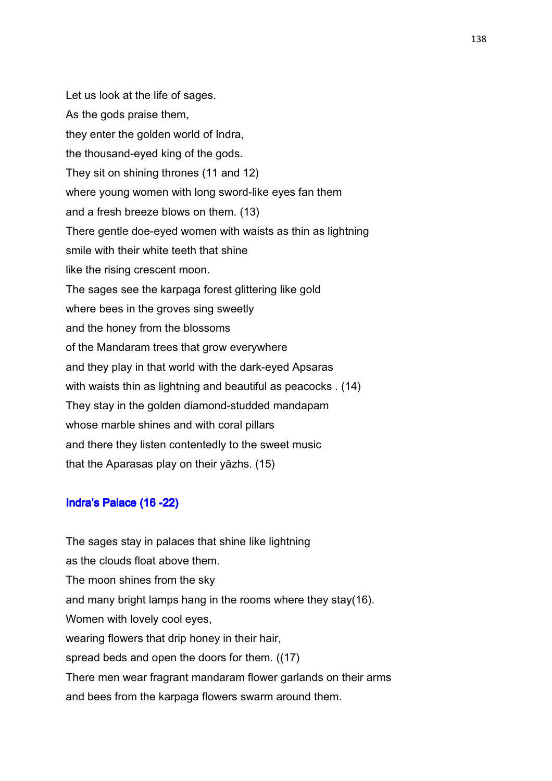Let us look at the life of sages. As the gods praise them, they enter the golden world of Indra, the thousand-eyed king of the gods. They sit on shining thrones (11 and 12) where young women with long sword-like eyes fan them and a fresh breeze blows on them. (13) There gentle doe-eyed women with waists as thin as lightning smile with their white teeth that shine like the rising crescent moon. The sages see the karpaga forest glittering like gold where bees in the groves sing sweetly and the honey from the blossoms of the Mandaram trees that grow everywhere and they play in that world with the dark-eyed Apsaras with waists thin as lightning and beautiful as peacocks . (14) They stay in the golden diamond-studded mandapam whose marble shines and with coral pillars and there they listen contentedly to the sweet music that the Aparasas play on their yāzhs. (15)

## Indra's Palace (16 -22)

The sages stay in palaces that shine like lightning as the clouds float above them. The moon shines from the sky and many bright lamps hang in the rooms where they stay(16). Women with lovely cool eyes, wearing flowers that drip honey in their hair, spread beds and open the doors for them. ((17) There men wear fragrant mandaram flower garlands on their arms and bees from the karpaga flowers swarm around them.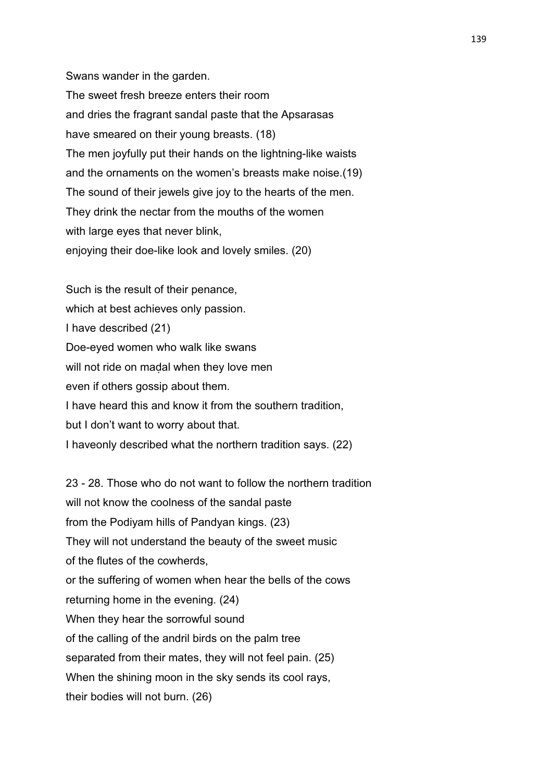Swans wander in the garden. The sweet fresh breeze enters their room and dries the fragrant sandal paste that the Apsarasas have smeared on their young breasts. (18) The men joyfully put their hands on the lightning-like waists and the ornaments on the women's breasts make noise.(19) The sound of their jewels give joy to the hearts of the men. They drink the nectar from the mouths of the women with large eyes that never blink, enjoying their doe-like look and lovely smiles. (20)

Such is the result of their penance, which at best achieves only passion. I have described (21) Doe-eyed women who walk like swans will not ride on madal when they love men even if others gossip about them. I have heard this and know it from the southern tradition, but I don't want to worry about that.

I haveonly described what the northern tradition says. (22)

23 - 28. Those who do not want to follow the northern tradition will not know the coolness of the sandal paste from the Podiyam hills of Pandyan kings. (23) They will not understand the beauty of the sweet music of the flutes of the cowherds, or the suffering of women when hear the bells of the cows returning home in the evening. (24) When they hear the sorrowful sound of the calling of the andril birds on the palm tree separated from their mates, they will not feel pain. (25) When the shining moon in the sky sends its cool rays, their bodies will not burn. (26)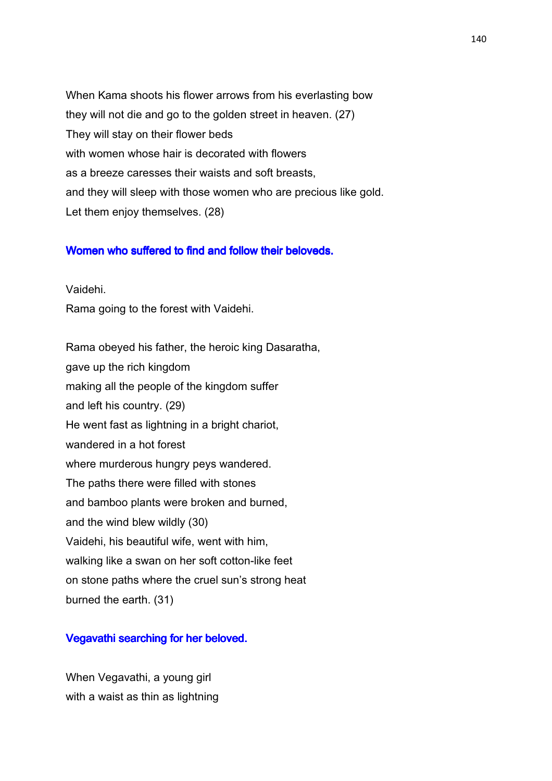When Kama shoots his flower arrows from his everlasting bow they will not die and go to the golden street in heaven. (27) They will stay on their flower beds with women whose hair is decorated with flowers as a breeze caresses their waists and soft breasts, and they will sleep with those women who are precious like gold. Let them enjoy themselves. (28)

### Women who suffered to find and follow their beloveds.

Vaidehi.

Rama going to the forest with Vaidehi.

Rama obeyed his father, the heroic king Dasaratha, gave up the rich kingdom making all the people of the kingdom suffer and left his country. (29) He went fast as lightning in a bright chariot, wandered in a hot forest where murderous hungry peys wandered. The paths there were filled with stones and bamboo plants were broken and burned, and the wind blew wildly (30) Vaidehi, his beautiful wife, went with him, walking like a swan on her soft cotton-like feet on stone paths where the cruel sun's strong heat burned the earth. (31)

### Vegavathi searching for her beloved.

When Vegavathi, a young girl with a waist as thin as lightning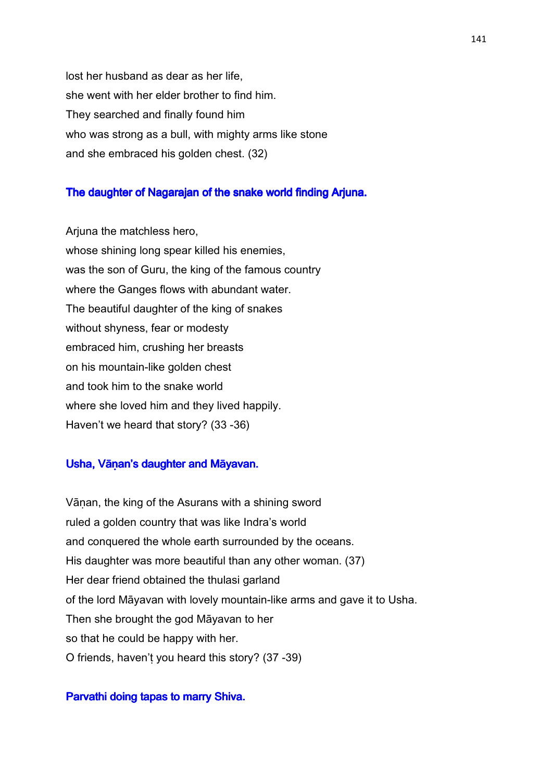lost her husband as dear as her life, she went with her elder brother to find him. They searched and finally found him who was strong as a bull, with mighty arms like stone and she embraced his golden chest. (32)

#### The daughter of Nagarajan of the snake world finding Arjuna.

Arjuna the matchless hero, whose shining long spear killed his enemies, was the son of Guru, the king of the famous country where the Ganges flows with abundant water. The beautiful daughter of the king of snakes without shyness, fear or modesty embraced him, crushing her breasts on his mountain-like golden chest and took him to the snake world where she loved him and they lived happily. Haven't we heard that story? (33 -36)

## Usha, Vāṇan's daughter and Māyavan.

Vāṇan, the king of the Asurans with a shining sword ruled a golden country that was like Indra's world and conquered the whole earth surrounded by the oceans. His daughter was more beautiful than any other woman. (37) Her dear friend obtained the thulasi garland of the lord Māyavan with lovely mountain-like arms and gave it to Usha. Then she brought the god Māyavan to her so that he could be happy with her. O friends, haven'ṭ you heard this story? (37 -39)

# Parvathi doing tapas to marry Shiva.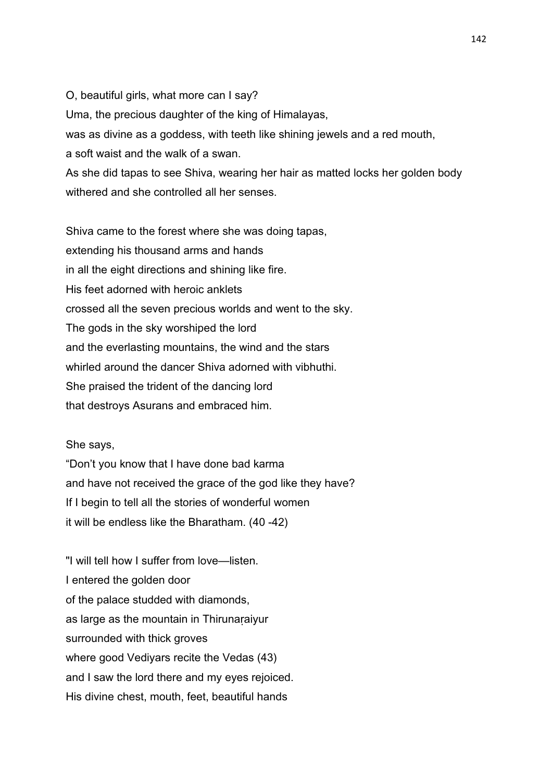O, beautiful girls, what more can I say? Uma, the precious daughter of the king of Himalayas, was as divine as a goddess, with teeth like shining jewels and a red mouth, a soft waist and the walk of a swan. As she did tapas to see Shiva, wearing her hair as matted locks her golden body withered and she controlled all her senses.

Shiva came to the forest where she was doing tapas, extending his thousand arms and hands in all the eight directions and shining like fire. His feet adorned with heroic anklets crossed all the seven precious worlds and went to the sky. The gods in the sky worshiped the lord and the everlasting mountains, the wind and the stars whirled around the dancer Shiva adorned with vibhuthi. She praised the trident of the dancing lord that destroys Asurans and embraced him.

She says,

"Don't you know that I have done bad karma and have not received the grace of the god like they have? If I begin to tell all the stories of wonderful women it will be endless like the Bharatham. (40 -42)

"I will tell how I suffer from love—listen. I entered the golden door of the palace studded with diamonds, as large as the mountain in Thirunaṛaiyur surrounded with thick groves where good Vediyars recite the Vedas (43) and I saw the lord there and my eyes rejoiced. His divine chest, mouth, feet, beautiful hands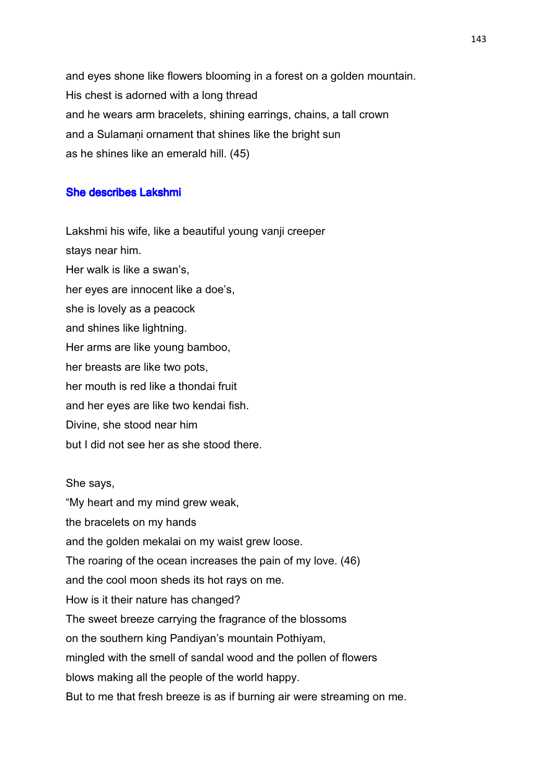and eyes shone like flowers blooming in a forest on a golden mountain. His chest is adorned with a long thread and he wears arm bracelets, shining earrings, chains, a tall crown and a Sulamani ornament that shines like the bright sun as he shines like an emerald hill. (45)

## **She describes Lakshmi**

Lakshmi his wife, like a beautiful young vanji creeper stays near him. Her walk is like a swan's, her eyes are innocent like a doe's, she is lovely as a peacock and shines like lightning. Her arms are like young bamboo, her breasts are like two pots, her mouth is red like a thondai fruit and her eyes are like two kendai fish. Divine, she stood near him but I did not see her as she stood there.

She says, "My heart and my mind grew weak, the bracelets on my hands and the golden mekalai on my waist grew loose. The roaring of the ocean increases the pain of my love. (46) and the cool moon sheds its hot rays on me. How is it their nature has changed? The sweet breeze carrying the fragrance of the blossoms on the southern king Pandiyan's mountain Pothiyam, mingled with the smell of sandal wood and the pollen of flowers blows making all the people of the world happy. But to me that fresh breeze is as if burning air were streaming on me.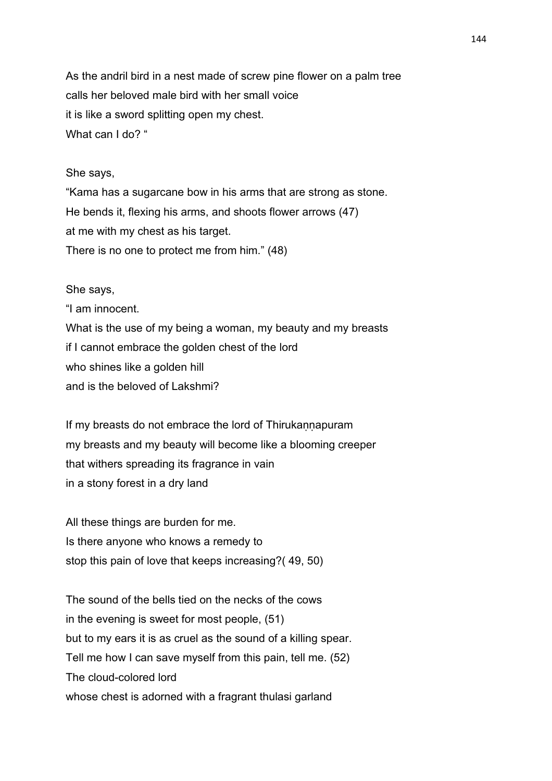As the andril bird in a nest made of screw pine flower on a palm tree calls her beloved male bird with her small voice it is like a sword splitting open my chest. What can I do? "

### She says,

"Kama has a sugarcane bow in his arms that are strong as stone. He bends it, flexing his arms, and shoots flower arrows (47) at me with my chest as his target. There is no one to protect me from him." (48)

## She says,

"I am innocent. What is the use of my being a woman, my beauty and my breasts if I cannot embrace the golden chest of the lord who shines like a golden hill and is the beloved of Lakshmi?

If my breasts do not embrace the lord of Thirukannapuram my breasts and my beauty will become like a blooming creeper that withers spreading its fragrance in vain in a stony forest in a dry land

All these things are burden for me. Is there anyone who knows a remedy to stop this pain of love that keeps increasing?( 49, 50)

The sound of the bells tied on the necks of the cows in the evening is sweet for most people, (51) but to my ears it is as cruel as the sound of a killing spear. Tell me how I can save myself from this pain, tell me. (52) The cloud-colored lord whose chest is adorned with a fragrant thulasi garland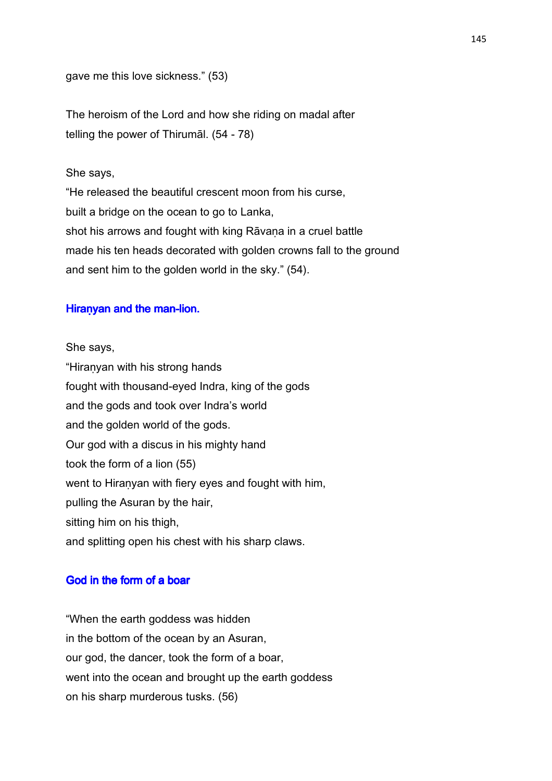gave me this love sickness." (53)

The heroism of the Lord and how she riding on madal after telling the power of Thirumāl. (54 - 78)

### She says,

"He released the beautiful crescent moon from his curse, built a bridge on the ocean to go to Lanka, shot his arrows and fought with king Rāvana in a cruel battle made his ten heads decorated with golden crowns fall to the ground and sent him to the golden world in the sky." (54).

## Hiranyan and the man-lion.

She says, "Hiraṇyan with his strong hands fought with thousand-eyed Indra, king of the gods and the gods and took over Indra's world and the golden world of the gods. Our god with a discus in his mighty hand took the form of a lion (55) went to Hiranyan with fiery eyes and fought with him, pulling the Asuran by the hair, sitting him on his thigh, and splitting open his chest with his sharp claws.

#### God in the form of a boar

"When the earth goddess was hidden in the bottom of the ocean by an Asuran, our god, the dancer, took the form of a boar, went into the ocean and brought up the earth goddess on his sharp murderous tusks. (56)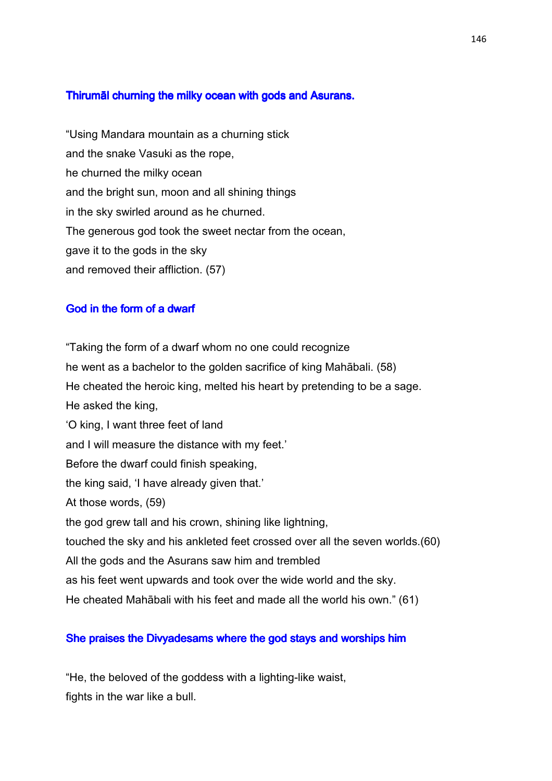# Thirumāl churning the milky ocean with gods and Asurans.

"Using Mandara mountain as a churning stick and the snake Vasuki as the rope, he churned the milky ocean and the bright sun, moon and all shining things in the sky swirled around as he churned. The generous god took the sweet nectar from the ocean, gave it to the gods in the sky and removed their affliction. (57)

#### God in the form of a dwarf

"Taking the form of a dwarf whom no one could recognize he went as a bachelor to the golden sacrifice of king Mahābali. (58) He cheated the heroic king, melted his heart by pretending to be a sage. He asked the king, 'O king, I want three feet of land and I will measure the distance with my feet.' Before the dwarf could finish speaking, the king said, 'I have already given that.' At those words, (59) the god grew tall and his crown, shining like lightning, touched the sky and his ankleted feet crossed over all the seven worlds.(60) All the gods and the Asurans saw him and trembled as his feet went upwards and took over the wide world and the sky. He cheated Mahābali with his feet and made all the world his own." (61)

### She praises the Divyadesams where the god stays and worships him

"He, the beloved of the goddess with a lighting-like waist, fights in the war like a bull.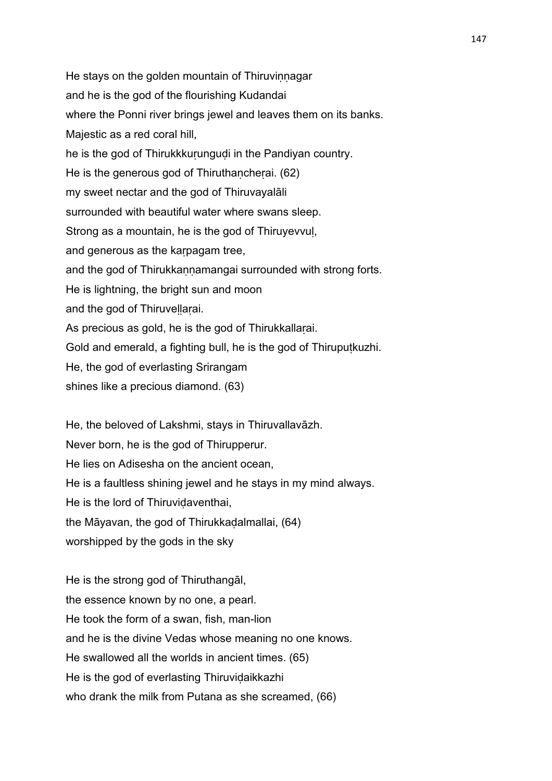He stays on the golden mountain of Thiruvinnagar and he is the god of the flourishing Kudandai where the Ponni river brings jewel and leaves them on its banks. Majestic as a red coral hill, he is the god of Thirukkkurungudi in the Pandiyan country. He is the generous god of Thiruthancherai. (62) my sweet nectar and the god of Thiruvayalāli surrounded with beautiful water where swans sleep. Strong as a mountain, he is the god of Thiruyevvuḷ, and generous as the kaṛpagam tree, and the god of Thirukkannamangai surrounded with strong forts. He is lightning, the bright sun and moon and the god of Thiruveḷḷaṛai. As precious as gold, he is the god of Thirukkallarai. Gold and emerald, a fighting bull, he is the god of Thiruputkuzhi. He, the god of everlasting Srirangam shines like a precious diamond. (63)

He, the beloved of Lakshmi, stays in Thiruvallavāzh. Never born, he is the god of Thirupperur. He lies on Adisesha on the ancient ocean, He is a faultless shining jewel and he stays in my mind always. He is the lord of Thiruvidaventhai. the Māyavan, the god of Thirukkaḍalmallai, (64) worshipped by the gods in the sky

He is the strong god of Thiruthangāl, the essence known by no one, a pearl. He took the form of a swan, fish, man-lion and he is the divine Vedas whose meaning no one knows. He swallowed all the worlds in ancient times. (65) He is the god of everlasting Thiruvidaikkazhi who drank the milk from Putana as she screamed, (66)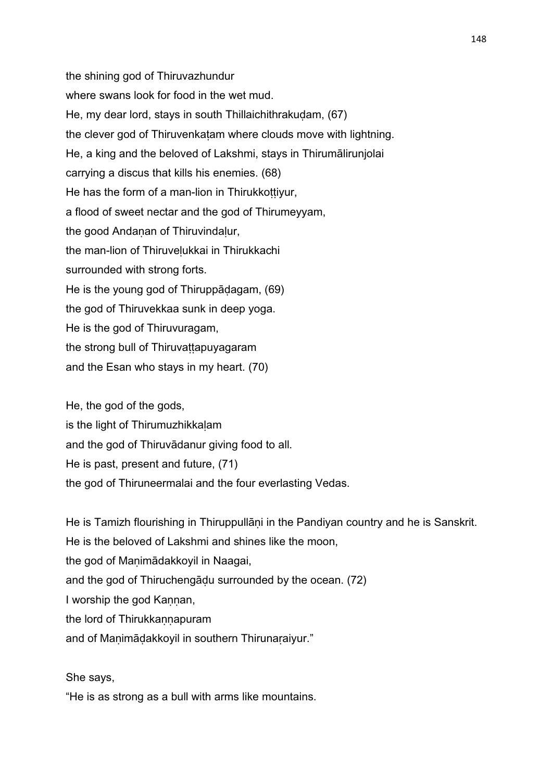the shining god of Thiruvazhundur where swans look for food in the wet mud. He, my dear lord, stays in south Thillaichithrakuḍam, (67) the clever god of Thiruvenkatam where clouds move with lightning. He, a king and the beloved of Lakshmi, stays in Thirumālirunjolai carrying a discus that kills his enemies. (68) He has the form of a man-lion in Thirukkottiyur, a flood of sweet nectar and the god of Thirumeyyam, the good Andanan of Thiruvindalur, the man-lion of Thiruveḷukkai in Thirukkachi surrounded with strong forts. He is the young god of Thiruppāḍagam, (69) the god of Thiruvekkaa sunk in deep yoga. He is the god of Thiruvuragam, the strong bull of Thiruvattapuyagaram and the Esan who stays in my heart. (70)

He, the god of the gods,

is the light of Thirumuzhikkalam

and the god of Thiruvādanur giving food to all.

He is past, present and future, (71)

the god of Thiruneermalai and the four everlasting Vedas.

He is Tamizh flourishing in Thiruppullani in the Pandiyan country and he is Sanskrit. He is the beloved of Lakshmi and shines like the moon, the god of Manimādakkoyil in Naagai, and the god of Thiruchengāḍu surrounded by the ocean. (72) I worship the god Kannan, the lord of Thirukkannapuram and of Manimādakkoyil in southern Thirunaraiyur."

She says,

"He is as strong as a bull with arms like mountains.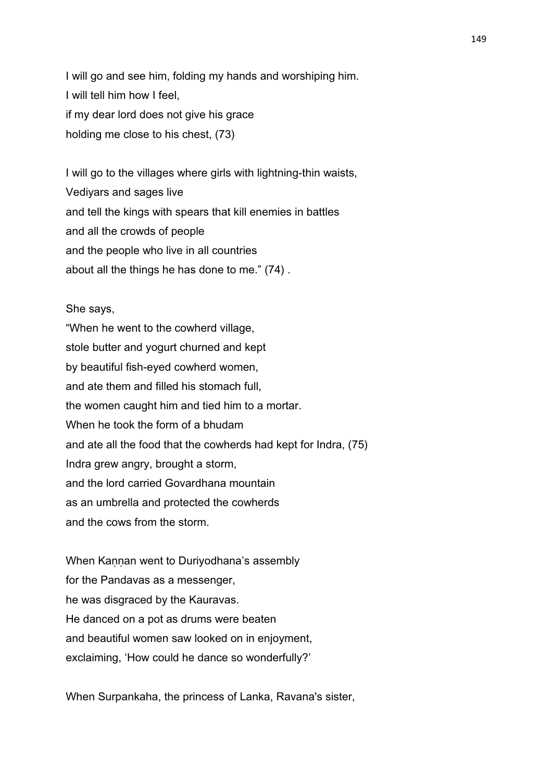I will go and see him, folding my hands and worshiping him. I will tell him how I feel, if my dear lord does not give his grace holding me close to his chest, (73)

I will go to the villages where girls with lightning-thin waists, Vediyars and sages live and tell the kings with spears that kill enemies in battles and all the crowds of people and the people who live in all countries about all the things he has done to me." (74) .

#### She says,

"When he went to the cowherd village, stole butter and yogurt churned and kept by beautiful fish-eyed cowherd women, and ate them and filled his stomach full, the women caught him and tied him to a mortar. When he took the form of a bhudam and ate all the food that the cowherds had kept for Indra, (75) Indra grew angry, brought a storm, and the lord carried Govardhana mountain as an umbrella and protected the cowherds and the cows from the storm.

When Kannan went to Duriyodhana's assembly for the Pandavas as a messenger, he was disgraced by the Kauravas. He danced on a pot as drums were beaten and beautiful women saw looked on in enjoyment, exclaiming, 'How could he dance so wonderfully?'

When Surpankaha, the princess of Lanka, Ravana's sister,